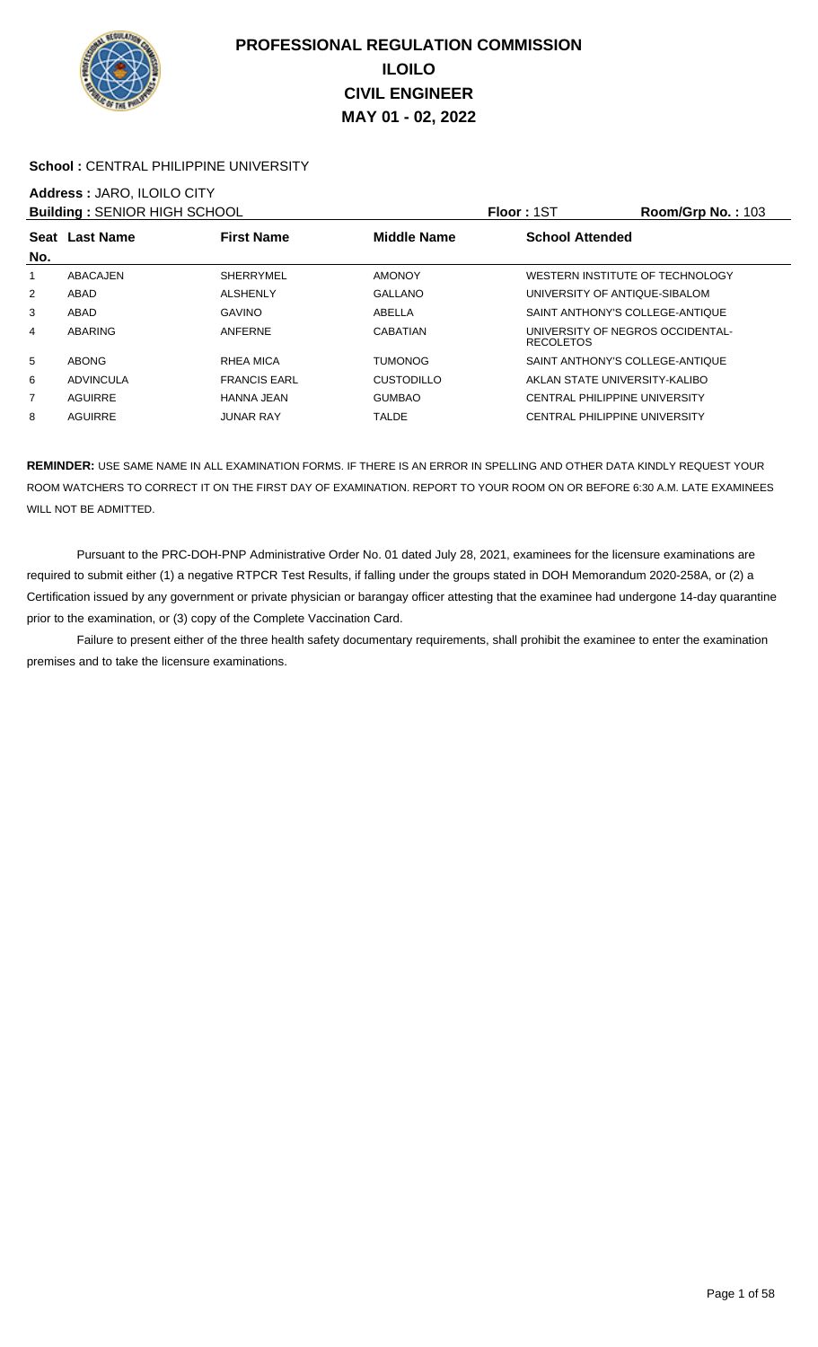

### School : CENTRAL PHILIPPINE UNIVERSITY

## **Address :** JARO, ILOILO CITY

|     | <b>Building: SENIOR HIGH SCHOOL</b> |                     |                    | <b>Floor: 1ST</b>                                    | <b>Room/Grp No.: 103</b> |
|-----|-------------------------------------|---------------------|--------------------|------------------------------------------------------|--------------------------|
| No. | Seat Last Name                      | <b>First Name</b>   | <b>Middle Name</b> | <b>School Attended</b>                               |                          |
| 1   | ABACAJEN                            | <b>SHERRYMEL</b>    | <b>AMONOY</b>      | WESTERN INSTITUTE OF TECHNOLOGY                      |                          |
| 2   | ABAD                                | <b>ALSHENLY</b>     | <b>GALLANO</b>     | UNIVERSITY OF ANTIQUE-SIBALOM                        |                          |
| 3   | ABAD                                | <b>GAVINO</b>       | ABELLA             | SAINT ANTHONY'S COLLEGE-ANTIQUE                      |                          |
| 4   | ABARING                             | ANFERNE             | CABATIAN           | UNIVERSITY OF NEGROS OCCIDENTAL-<br><b>RECOLETOS</b> |                          |
| 5   | <b>ABONG</b>                        | RHEA MICA           | <b>TUMONOG</b>     | SAINT ANTHONY'S COLLEGE-ANTIQUE                      |                          |
| 6   | ADVINCULA                           | <b>FRANCIS EARL</b> | <b>CUSTODILLO</b>  | AKLAN STATE UNIVERSITY-KALIBO                        |                          |
| 7   | AGUIRRE                             | HANNA JEAN          | <b>GUMBAO</b>      | <b>CENTRAL PHILIPPINE UNIVERSITY</b>                 |                          |
| 8   | AGUIRRE                             | JUNAR RAY           | TALDE              | CENTRAL PHILIPPINE UNIVERSITY                        |                          |

**REMINDER:** USE SAME NAME IN ALL EXAMINATION FORMS. IF THERE IS AN ERROR IN SPELLING AND OTHER DATA KINDLY REQUEST YOUR ROOM WATCHERS TO CORRECT IT ON THE FIRST DAY OF EXAMINATION. REPORT TO YOUR ROOM ON OR BEFORE 6:30 A.M. LATE EXAMINEES WILL NOT BE ADMITTED.

 Pursuant to the PRC-DOH-PNP Administrative Order No. 01 dated July 28, 2021, examinees for the licensure examinations are required to submit either (1) a negative RTPCR Test Results, if falling under the groups stated in DOH Memorandum 2020-258A, or (2) a Certification issued by any government or private physician or barangay officer attesting that the examinee had undergone 14-day quarantine prior to the examination, or (3) copy of the Complete Vaccination Card.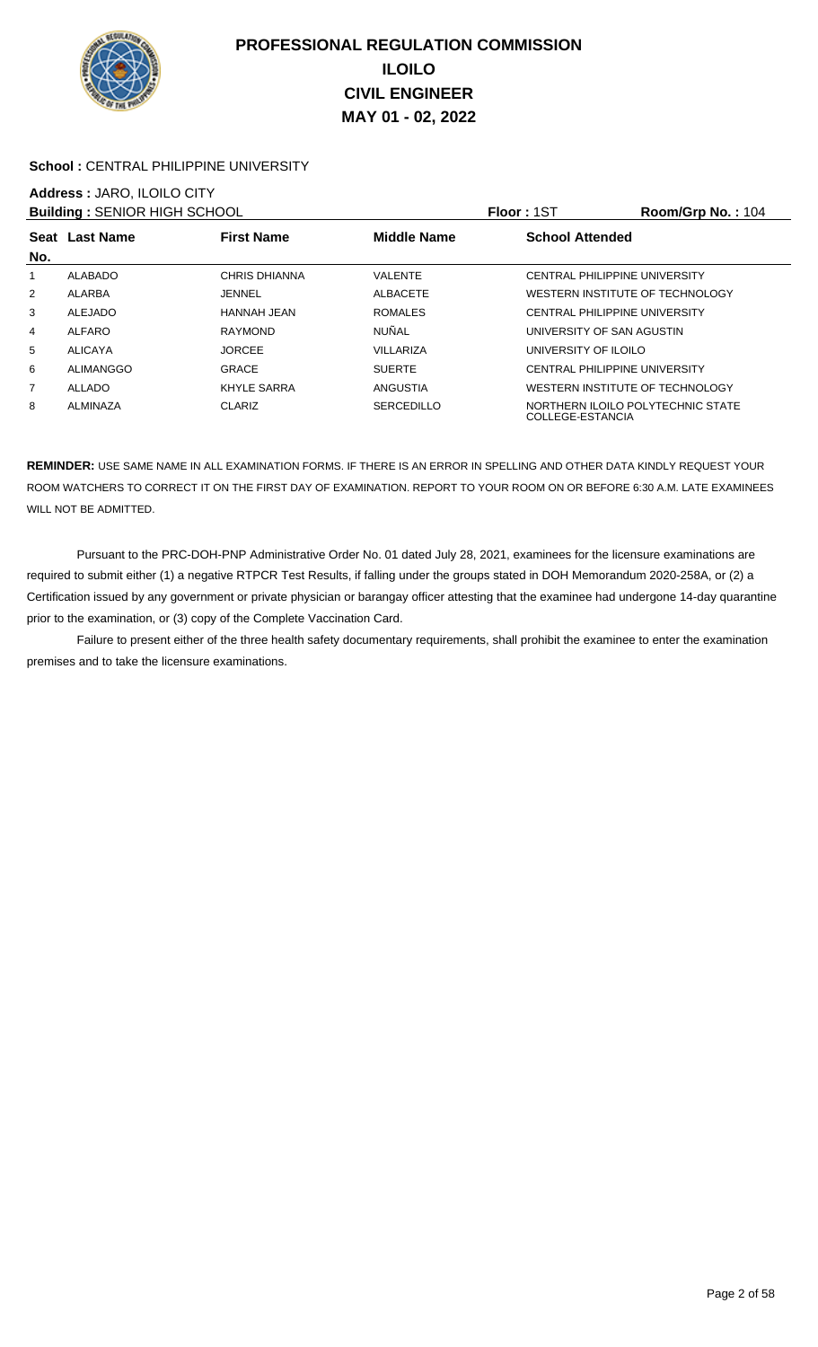

### School : CENTRAL PHILIPPINE UNIVERSITY

# **Address :** JARO, ILOILO CITY

|     | <b>Building: SENIOR HIGH SCHOOL</b>                |                |                   | Floor: 1ST             | Room/Grp No.: 104                 |
|-----|----------------------------------------------------|----------------|-------------------|------------------------|-----------------------------------|
|     | Middle Name<br>Seat Last Name<br><b>First Name</b> |                |                   | <b>School Attended</b> |                                   |
| No. |                                                    |                |                   |                        |                                   |
|     | <b>ALABADO</b>                                     | CHRIS DHIANNA  | <b>VALENTE</b>    |                        | CENTRAL PHILIPPINE UNIVERSITY     |
| 2   | ALARBA                                             | <b>JENNEL</b>  | ALBACETE          |                        | WESTERN INSTITUTE OF TECHNOLOGY   |
| 3   | ALEJADO                                            | HANNAH JEAN    | <b>ROMALES</b>    |                        | CENTRAL PHILIPPINE UNIVERSITY     |
| 4   | ALFARO                                             | <b>RAYMOND</b> | <b>NUÑAL</b>      |                        | UNIVERSITY OF SAN AGUSTIN         |
| 5   | ALICAYA                                            | <b>JORCEE</b>  | VILLARIZA         | UNIVERSITY OF ILOILO   |                                   |
| 6   | ALIMANGGO                                          | <b>GRACE</b>   | <b>SUERTE</b>     |                        | CENTRAL PHILIPPINE UNIVERSITY     |
| 7   | ALLADO                                             | KHYLE SARRA    | ANGUSTIA          |                        | WESTERN INSTITUTE OF TECHNOLOGY   |
| 8   | ALMINAZA                                           | <b>CLARIZ</b>  | <b>SERCEDILLO</b> | COLLEGE-ESTANCIA       | NORTHERN ILOILO POLYTECHNIC STATE |

**REMINDER:** USE SAME NAME IN ALL EXAMINATION FORMS. IF THERE IS AN ERROR IN SPELLING AND OTHER DATA KINDLY REQUEST YOUR ROOM WATCHERS TO CORRECT IT ON THE FIRST DAY OF EXAMINATION. REPORT TO YOUR ROOM ON OR BEFORE 6:30 A.M. LATE EXAMINEES WILL NOT BE ADMITTED.

 Pursuant to the PRC-DOH-PNP Administrative Order No. 01 dated July 28, 2021, examinees for the licensure examinations are required to submit either (1) a negative RTPCR Test Results, if falling under the groups stated in DOH Memorandum 2020-258A, or (2) a Certification issued by any government or private physician or barangay officer attesting that the examinee had undergone 14-day quarantine prior to the examination, or (3) copy of the Complete Vaccination Card.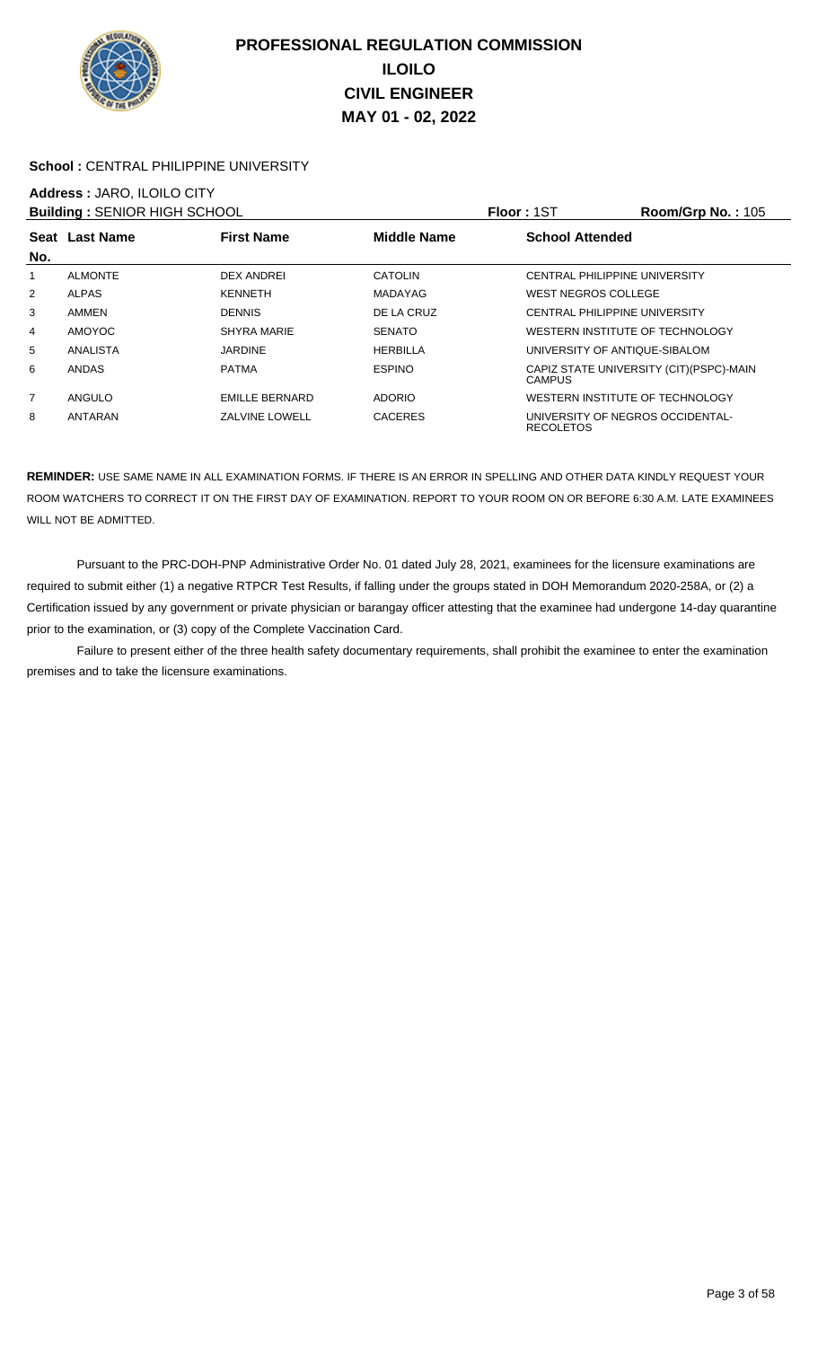

### School : CENTRAL PHILIPPINE UNIVERSITY

# **Address :** JARO, ILOILO CITY

| <b>Building: SENIOR HIGH SCHOOL</b> |                |                       |                    | <b>Floor: 1ST</b>      | <b>Room/Grp No.: 105</b>                 |
|-------------------------------------|----------------|-----------------------|--------------------|------------------------|------------------------------------------|
|                                     | Seat Last Name | <b>First Name</b>     | <b>Middle Name</b> | <b>School Attended</b> |                                          |
| No.                                 |                |                       |                    |                        |                                          |
|                                     | <b>ALMONTE</b> | <b>DEX ANDREI</b>     | <b>CATOLIN</b>     |                        | CENTRAL PHILIPPINE UNIVERSITY            |
| 2                                   | <b>ALPAS</b>   | <b>KENNETH</b>        | <b>MADAYAG</b>     | WEST NEGROS COLLEGE    |                                          |
| 3                                   | AMMEN          | <b>DENNIS</b>         | DE LA CRUZ         |                        | <b>CENTRAL PHILIPPINE UNIVERSITY</b>     |
| 4                                   | <b>AMOYOC</b>  | SHYRA MARIE           | <b>SENATO</b>      |                        | WESTERN INSTITUTE OF TECHNOLOGY          |
| 5                                   | ANALISTA       | <b>JARDINE</b>        | <b>HERBILLA</b>    |                        | UNIVERSITY OF ANTIQUE-SIBALOM            |
| 6                                   | <b>ANDAS</b>   | <b>PATMA</b>          | <b>ESPINO</b>      | <b>CAMPUS</b>          | CAPIZ STATE UNIVERSITY (CIT) (PSPC)-MAIN |
| 7                                   | ANGULO         | <b>EMILLE BERNARD</b> | <b>ADORIO</b>      |                        | WESTERN INSTITUTE OF TECHNOLOGY          |
| 8                                   | ANTARAN        | <b>ZALVINE LOWELL</b> | <b>CACERES</b>     | <b>RECOLETOS</b>       | UNIVERSITY OF NEGROS OCCIDENTAL-         |

**REMINDER:** USE SAME NAME IN ALL EXAMINATION FORMS. IF THERE IS AN ERROR IN SPELLING AND OTHER DATA KINDLY REQUEST YOUR ROOM WATCHERS TO CORRECT IT ON THE FIRST DAY OF EXAMINATION. REPORT TO YOUR ROOM ON OR BEFORE 6:30 A.M. LATE EXAMINEES WILL NOT BE ADMITTED.

 Pursuant to the PRC-DOH-PNP Administrative Order No. 01 dated July 28, 2021, examinees for the licensure examinations are required to submit either (1) a negative RTPCR Test Results, if falling under the groups stated in DOH Memorandum 2020-258A, or (2) a Certification issued by any government or private physician or barangay officer attesting that the examinee had undergone 14-day quarantine prior to the examination, or (3) copy of the Complete Vaccination Card.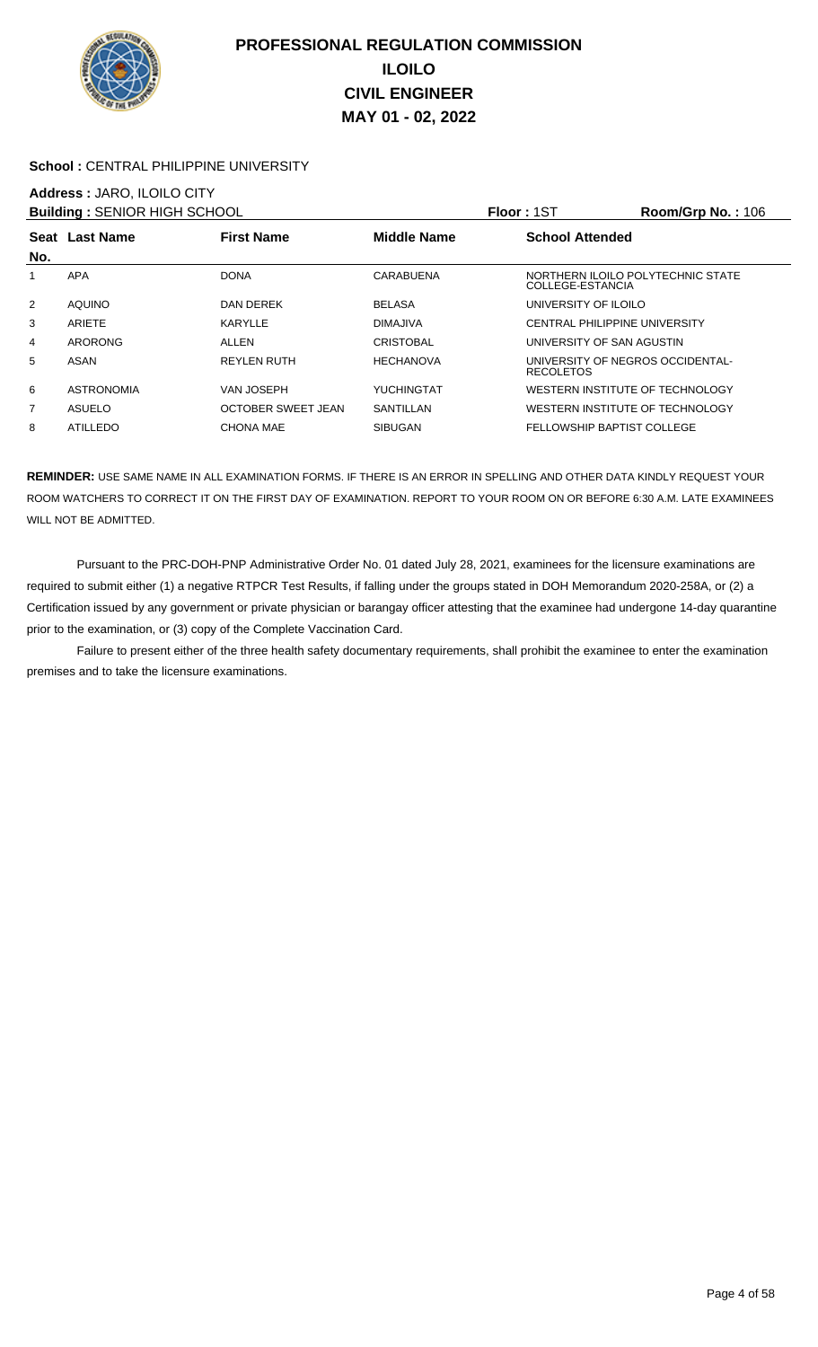

### School : CENTRAL PHILIPPINE UNIVERSITY

### **Address :** JARO, ILOILO CITY

| <b>Building: SENIOR HIGH SCHOOL</b> |                   |                           |                  | Floor: 1ST                                            | Room/Grp No.: 106 |
|-------------------------------------|-------------------|---------------------------|------------------|-------------------------------------------------------|-------------------|
|                                     | Seat Last Name    | <b>First Name</b>         | Middle Name      | <b>School Attended</b>                                |                   |
| No.                                 |                   |                           |                  |                                                       |                   |
|                                     | <b>APA</b>        | <b>DONA</b>               | CARABUENA        | NORTHERN ILOILO POLYTECHNIC STATE<br>COLLEGE-ESTANCIA |                   |
| $\overline{2}$                      | <b>AQUINO</b>     | DAN DEREK                 | <b>BELASA</b>    | UNIVERSITY OF ILOILO                                  |                   |
| 3                                   | ARIETE            | KARYLLE                   | <b>DIMAJIVA</b>  | CENTRAL PHILIPPINE UNIVERSITY                         |                   |
| 4                                   | ARORONG           | ALLEN                     | <b>CRISTOBAL</b> | UNIVERSITY OF SAN AGUSTIN                             |                   |
| 5                                   | ASAN              | REYLEN RUTH               | <b>HECHANOVA</b> | UNIVERSITY OF NEGROS OCCIDENTAL-<br><b>RECOLETOS</b>  |                   |
| 6                                   | <b>ASTRONOMIA</b> | VAN JOSEPH                | YUCHINGTAT       | WESTERN INSTITUTE OF TECHNOLOGY                       |                   |
| $\overline{7}$                      | ASUELO            | <b>OCTOBER SWEET JEAN</b> | SANTILLAN        | WESTERN INSTITUTE OF TECHNOLOGY                       |                   |
| 8                                   | <b>ATILLEDO</b>   | <b>CHONA MAE</b>          | <b>SIBUGAN</b>   | FELLOWSHIP BAPTIST COLLEGE                            |                   |

**REMINDER:** USE SAME NAME IN ALL EXAMINATION FORMS. IF THERE IS AN ERROR IN SPELLING AND OTHER DATA KINDLY REQUEST YOUR ROOM WATCHERS TO CORRECT IT ON THE FIRST DAY OF EXAMINATION. REPORT TO YOUR ROOM ON OR BEFORE 6:30 A.M. LATE EXAMINEES WILL NOT BE ADMITTED.

 Pursuant to the PRC-DOH-PNP Administrative Order No. 01 dated July 28, 2021, examinees for the licensure examinations are required to submit either (1) a negative RTPCR Test Results, if falling under the groups stated in DOH Memorandum 2020-258A, or (2) a Certification issued by any government or private physician or barangay officer attesting that the examinee had undergone 14-day quarantine prior to the examination, or (3) copy of the Complete Vaccination Card.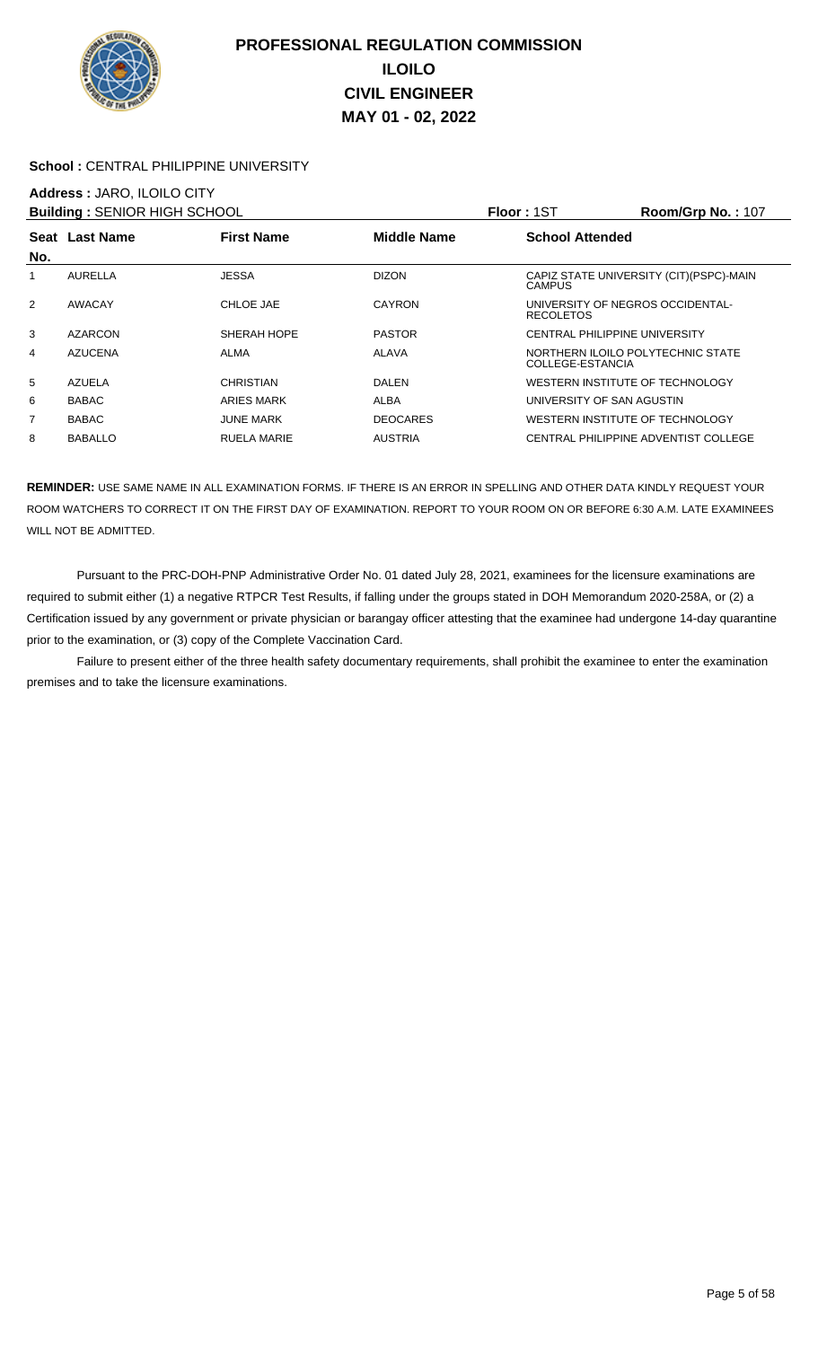

### **School :** CENTRAL PHILIPPINE UNIVERSITY

### **Address :** JARO, ILOILO CITY

| <b>Building: SENIOR HIGH SCHOOL</b>                       |                |                    |                        | <b>Floor: 1ST</b>                                     | <b>Room/Grp No.: 107</b>                 |
|-----------------------------------------------------------|----------------|--------------------|------------------------|-------------------------------------------------------|------------------------------------------|
| <b>First Name</b><br><b>Middle Name</b><br>Seat Last Name |                |                    | <b>School Attended</b> |                                                       |                                          |
| No.                                                       |                |                    |                        |                                                       |                                          |
|                                                           | <b>AURELLA</b> | <b>JESSA</b>       | <b>DIZON</b>           | <b>CAMPUS</b>                                         | CAPIZ STATE UNIVERSITY (CIT) (PSPC)-MAIN |
| $\overline{2}$                                            | AWACAY         | CHLOE JAE          | <b>CAYRON</b>          | UNIVERSITY OF NEGROS OCCIDENTAL-<br><b>RECOLETOS</b>  |                                          |
| 3                                                         | <b>AZARCON</b> | SHERAH HOPE        | <b>PASTOR</b>          | CENTRAL PHILIPPINE UNIVERSITY                         |                                          |
| 4                                                         | <b>AZUCENA</b> | <b>ALMA</b>        | <b>ALAVA</b>           | NORTHERN ILOILO POLYTECHNIC STATE<br>COLLEGE-ESTANCIA |                                          |
| 5                                                         | <b>AZUELA</b>  | CHRISTIAN          | <b>DALEN</b>           | WESTERN INSTITUTE OF TECHNOLOGY                       |                                          |
| 6                                                         | <b>BABAC</b>   | ARIES MARK         | ALBA                   | UNIVERSITY OF SAN AGUSTIN                             |                                          |
| $\overline{7}$                                            | <b>BABAC</b>   | <b>JUNE MARK</b>   | <b>DEOCARES</b>        | WESTERN INSTITUTE OF TECHNOLOGY                       |                                          |
| 8                                                         | <b>BABALLO</b> | <b>RUELA MARIE</b> | <b>AUSTRIA</b>         |                                                       | CENTRAL PHILIPPINE ADVENTIST COLLEGE     |

**REMINDER:** USE SAME NAME IN ALL EXAMINATION FORMS. IF THERE IS AN ERROR IN SPELLING AND OTHER DATA KINDLY REQUEST YOUR ROOM WATCHERS TO CORRECT IT ON THE FIRST DAY OF EXAMINATION. REPORT TO YOUR ROOM ON OR BEFORE 6:30 A.M. LATE EXAMINEES WILL NOT BE ADMITTED.

 Pursuant to the PRC-DOH-PNP Administrative Order No. 01 dated July 28, 2021, examinees for the licensure examinations are required to submit either (1) a negative RTPCR Test Results, if falling under the groups stated in DOH Memorandum 2020-258A, or (2) a Certification issued by any government or private physician or barangay officer attesting that the examinee had undergone 14-day quarantine prior to the examination, or (3) copy of the Complete Vaccination Card.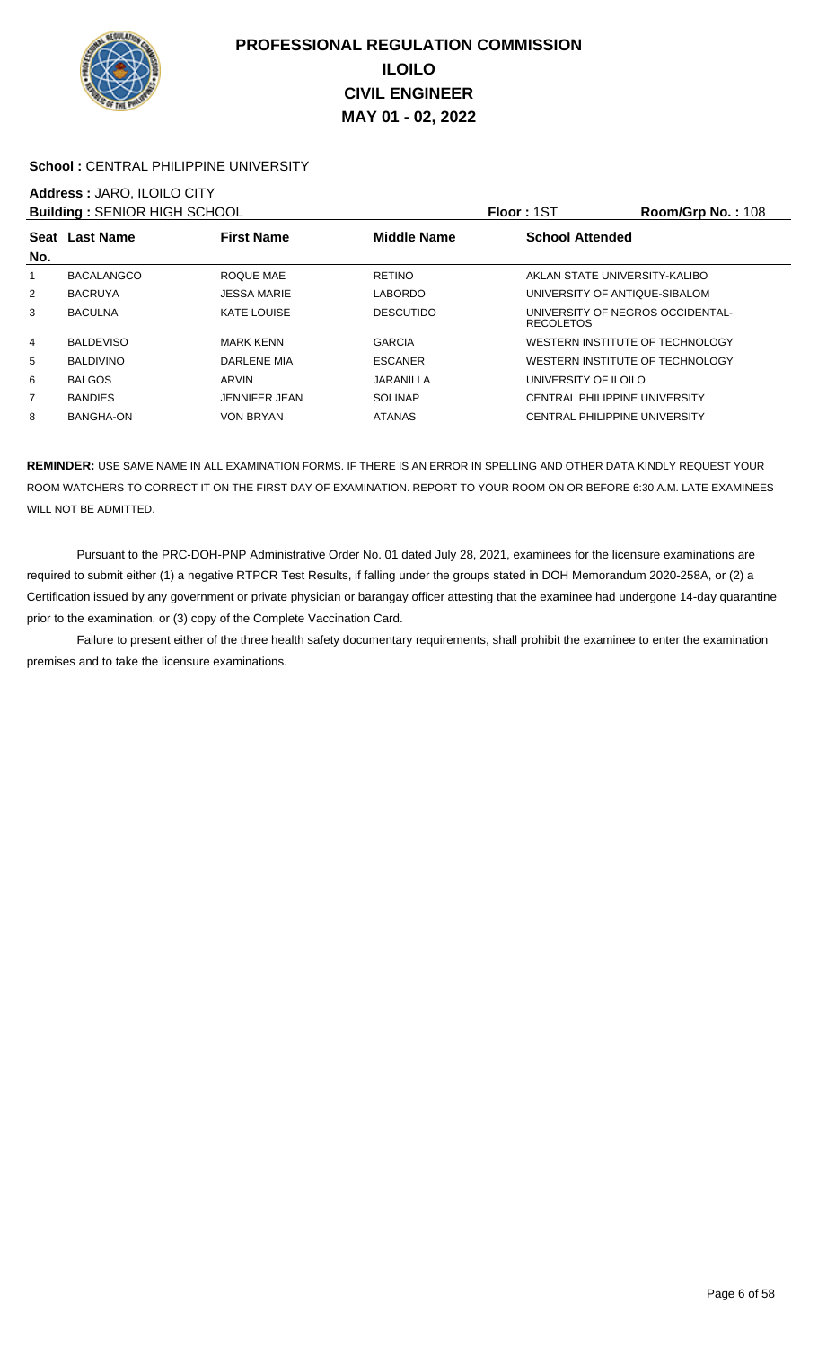

### School : CENTRAL PHILIPPINE UNIVERSITY

# **Address :** JARO, ILOILO CITY

| <b>Building: SENIOR HIGH SCHOOL</b> |                   |                    |                    | <b>Floor: 1ST</b>                                    | Room/Grp No.: 108 |
|-------------------------------------|-------------------|--------------------|--------------------|------------------------------------------------------|-------------------|
| No.                                 | Seat Last Name    | <b>First Name</b>  | <b>Middle Name</b> | <b>School Attended</b>                               |                   |
| 1                                   | <b>BACALANGCO</b> | ROQUE MAE          | <b>RETINO</b>      | AKLAN STATE UNIVERSITY-KALIBO                        |                   |
| $\overline{2}$                      | <b>BACRUYA</b>    | <b>JESSA MARIE</b> | <b>LABORDO</b>     | UNIVERSITY OF ANTIQUE-SIBALOM                        |                   |
| 3                                   | <b>BACULNA</b>    | <b>KATE LOUISE</b> | <b>DESCUTIDO</b>   | UNIVERSITY OF NEGROS OCCIDENTAL-<br><b>RECOLETOS</b> |                   |
| 4                                   | <b>BALDEVISO</b>  | <b>MARK KENN</b>   | <b>GARCIA</b>      | WESTERN INSTITUTE OF TECHNOLOGY                      |                   |
| 5                                   | <b>BALDIVINO</b>  | DARLENE MIA        | <b>ESCANER</b>     | WESTERN INSTITUTE OF TECHNOLOGY                      |                   |
| 6                                   | <b>BALGOS</b>     | ARVIN              | JARANILLA          | UNIVERSITY OF ILOILO                                 |                   |
| $\overline{7}$                      | <b>BANDIES</b>    | JENNIFER JEAN      | <b>SOLINAP</b>     | <b>CENTRAL PHILIPPINE UNIVERSITY</b>                 |                   |
| 8                                   | BANGHA-ON         | <b>VON BRYAN</b>   | <b>ATANAS</b>      | CENTRAL PHILIPPINE UNIVERSITY                        |                   |

**REMINDER:** USE SAME NAME IN ALL EXAMINATION FORMS. IF THERE IS AN ERROR IN SPELLING AND OTHER DATA KINDLY REQUEST YOUR ROOM WATCHERS TO CORRECT IT ON THE FIRST DAY OF EXAMINATION. REPORT TO YOUR ROOM ON OR BEFORE 6:30 A.M. LATE EXAMINEES WILL NOT BE ADMITTED.

 Pursuant to the PRC-DOH-PNP Administrative Order No. 01 dated July 28, 2021, examinees for the licensure examinations are required to submit either (1) a negative RTPCR Test Results, if falling under the groups stated in DOH Memorandum 2020-258A, or (2) a Certification issued by any government or private physician or barangay officer attesting that the examinee had undergone 14-day quarantine prior to the examination, or (3) copy of the Complete Vaccination Card.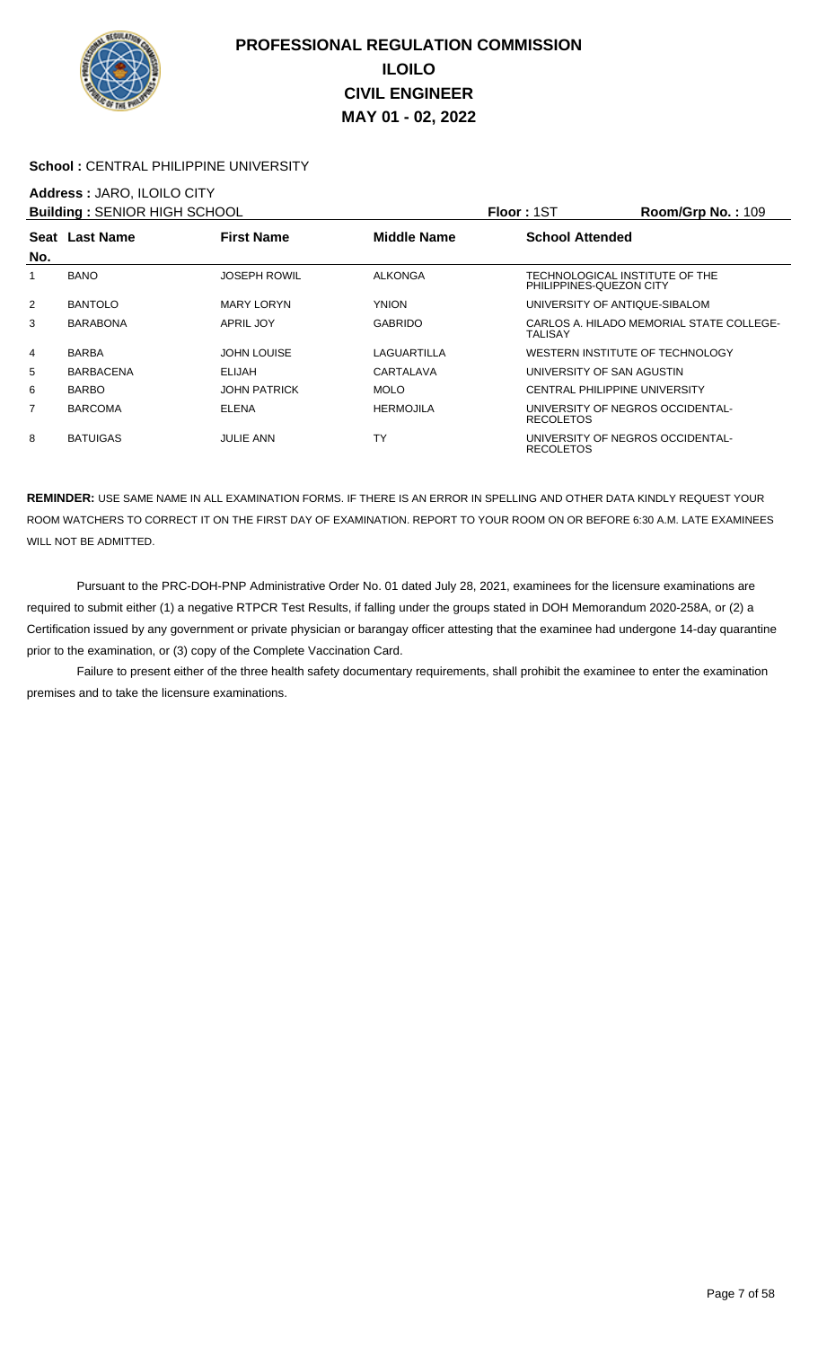

### School : CENTRAL PHILIPPINE UNIVERSITY

### **Address :** JARO, ILOILO CITY

| <b>Building: SENIOR HIGH SCHOOL</b> |                  |                     |                    | Floor: 1ST                                                | <b>Room/Grp No.: 109</b>                 |
|-------------------------------------|------------------|---------------------|--------------------|-----------------------------------------------------------|------------------------------------------|
|                                     | Seat Last Name   | <b>First Name</b>   | <b>Middle Name</b> | <b>School Attended</b>                                    |                                          |
| No.                                 |                  |                     |                    |                                                           |                                          |
| 1                                   | <b>BANO</b>      | <b>JOSEPH ROWIL</b> | <b>ALKONGA</b>     | TECHNOLOGICAL INSTITUTE OF THE<br>PHILIPPINES-QUEZON CITY |                                          |
| 2                                   | <b>BANTOLO</b>   | <b>MARY LORYN</b>   | <b>YNION</b>       | UNIVERSITY OF ANTIQUE-SIBALOM                             |                                          |
| 3                                   | <b>BARABONA</b>  | <b>APRIL JOY</b>    | <b>GABRIDO</b>     | TALISAY                                                   | CARLOS A. HILADO MEMORIAL STATE COLLEGE- |
| 4                                   | <b>BARBA</b>     | <b>JOHN LOUISE</b>  | LAGUARTILLA        | WESTERN INSTITUTE OF TECHNOLOGY                           |                                          |
| 5                                   | <b>BARBACENA</b> | ELIJAH              | CARTALAVA          | UNIVERSITY OF SAN AGUSTIN                                 |                                          |
| 6                                   | <b>BARBO</b>     | <b>JOHN PATRICK</b> | <b>MOLO</b>        | <b>CENTRAL PHILIPPINE UNIVERSITY</b>                      |                                          |
| 7                                   | <b>BARCOMA</b>   | <b>ELENA</b>        | <b>HERMOJILA</b>   | UNIVERSITY OF NEGROS OCCIDENTAL-<br><b>RECOLETOS</b>      |                                          |
| 8                                   | <b>BATUIGAS</b>  | <b>JULIE ANN</b>    | <b>TY</b>          | UNIVERSITY OF NEGROS OCCIDENTAL-<br><b>RECOLETOS</b>      |                                          |

**REMINDER:** USE SAME NAME IN ALL EXAMINATION FORMS. IF THERE IS AN ERROR IN SPELLING AND OTHER DATA KINDLY REQUEST YOUR ROOM WATCHERS TO CORRECT IT ON THE FIRST DAY OF EXAMINATION. REPORT TO YOUR ROOM ON OR BEFORE 6:30 A.M. LATE EXAMINEES WILL NOT BE ADMITTED.

 Pursuant to the PRC-DOH-PNP Administrative Order No. 01 dated July 28, 2021, examinees for the licensure examinations are required to submit either (1) a negative RTPCR Test Results, if falling under the groups stated in DOH Memorandum 2020-258A, or (2) a Certification issued by any government or private physician or barangay officer attesting that the examinee had undergone 14-day quarantine prior to the examination, or (3) copy of the Complete Vaccination Card.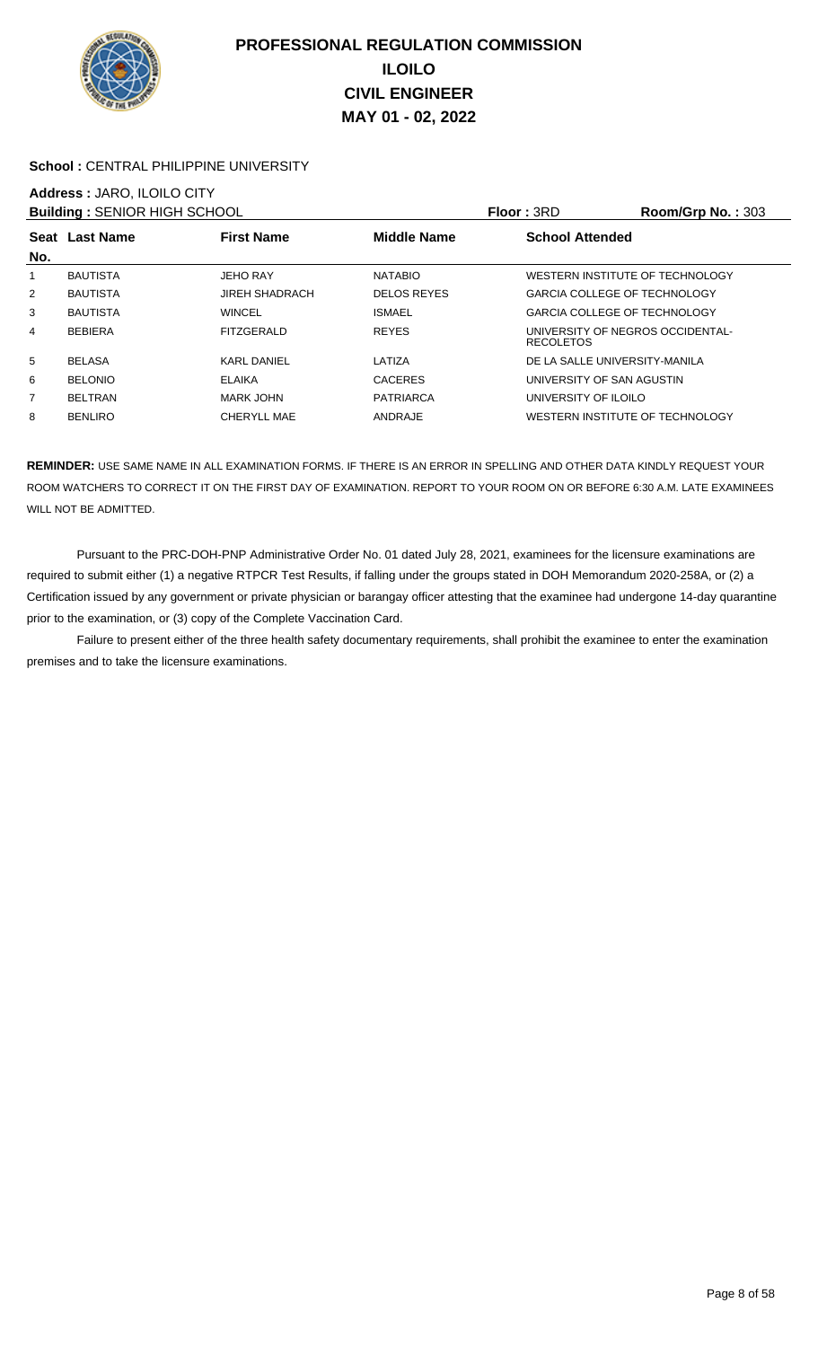

### School : CENTRAL PHILIPPINE UNIVERSITY

# **Address :** JARO, ILOILO CITY

|                | <b>Building: SENIOR HIGH SCHOOL</b> |                       |                    | Floor: 3RD                                           | Room/Grp No.: 303 |
|----------------|-------------------------------------|-----------------------|--------------------|------------------------------------------------------|-------------------|
| No.            | Seat Last Name                      | <b>First Name</b>     | <b>Middle Name</b> | <b>School Attended</b>                               |                   |
| 1              | <b>BAUTISTA</b>                     | <b>JEHO RAY</b>       | <b>NATABIO</b>     | WESTERN INSTITUTE OF TECHNOLOGY                      |                   |
| $\overline{2}$ | <b>BAUTISTA</b>                     | <b>JIREH SHADRACH</b> | <b>DELOS REYES</b> | <b>GARCIA COLLEGE OF TECHNOLOGY</b>                  |                   |
| 3              | <b>BAUTISTA</b>                     | <b>WINCEL</b>         | <b>ISMAEL</b>      | <b>GARCIA COLLEGE OF TECHNOLOGY</b>                  |                   |
| 4              | <b>BEBIERA</b>                      | FITZGERALD            | <b>REYES</b>       | UNIVERSITY OF NEGROS OCCIDENTAL-<br><b>RECOLETOS</b> |                   |
| 5              | <b>BELASA</b>                       | <b>KARL DANIEL</b>    | LATIZA             | DE LA SALLE UNIVERSITY-MANILA                        |                   |
| 6              | <b>BELONIO</b>                      | <b>ELAIKA</b>         | <b>CACERES</b>     | UNIVERSITY OF SAN AGUSTIN                            |                   |
| $\overline{7}$ | <b>BELTRAN</b>                      | MARK JOHN             | <b>PATRIARCA</b>   | UNIVERSITY OF ILOILO                                 |                   |
| 8              | <b>BENLIRO</b>                      | <b>CHERYLL MAE</b>    | ANDRAJE            | WESTERN INSTITUTE OF TECHNOLOGY                      |                   |

**REMINDER:** USE SAME NAME IN ALL EXAMINATION FORMS. IF THERE IS AN ERROR IN SPELLING AND OTHER DATA KINDLY REQUEST YOUR ROOM WATCHERS TO CORRECT IT ON THE FIRST DAY OF EXAMINATION. REPORT TO YOUR ROOM ON OR BEFORE 6:30 A.M. LATE EXAMINEES WILL NOT BE ADMITTED.

 Pursuant to the PRC-DOH-PNP Administrative Order No. 01 dated July 28, 2021, examinees for the licensure examinations are required to submit either (1) a negative RTPCR Test Results, if falling under the groups stated in DOH Memorandum 2020-258A, or (2) a Certification issued by any government or private physician or barangay officer attesting that the examinee had undergone 14-day quarantine prior to the examination, or (3) copy of the Complete Vaccination Card.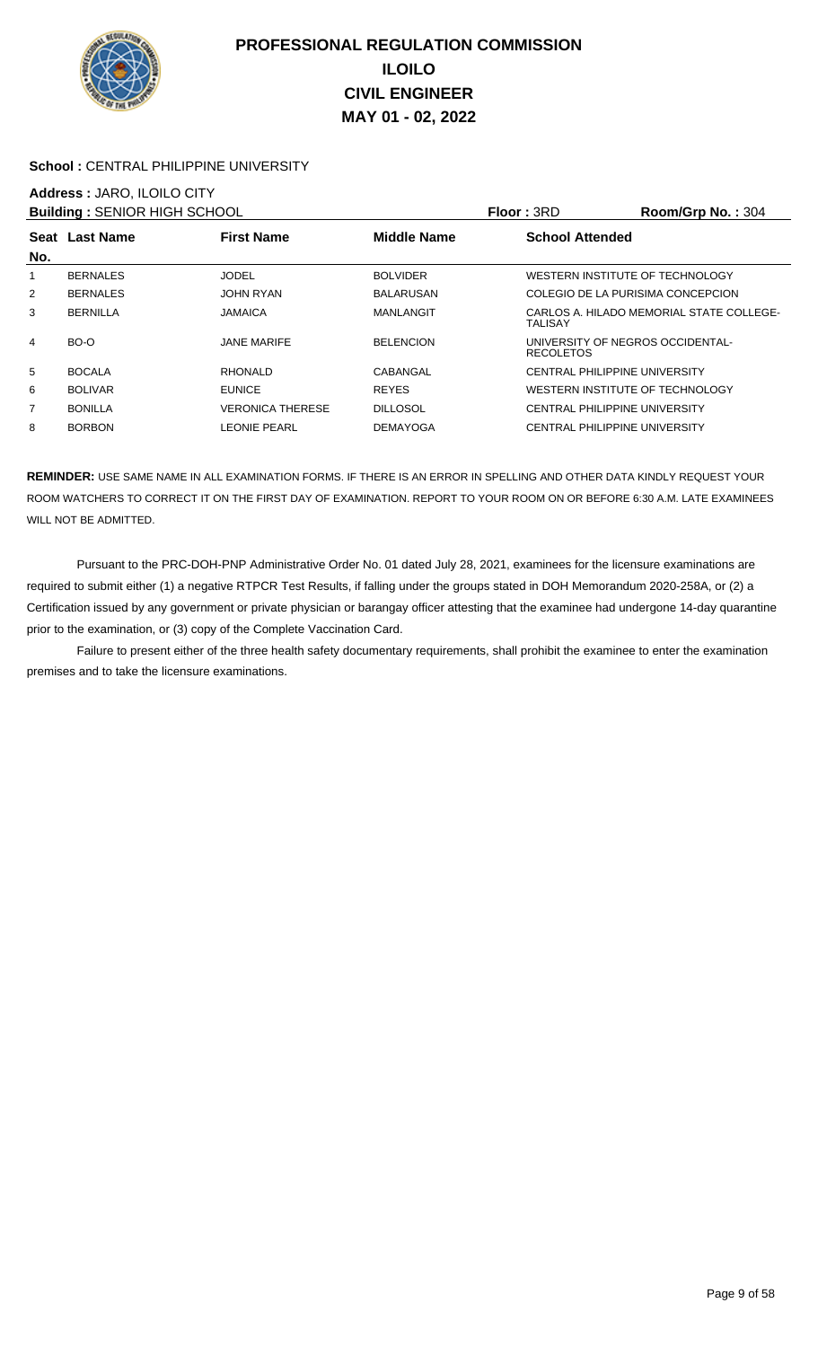

### School : CENTRAL PHILIPPINE UNIVERSITY

# **Address :** JARO, ILOILO CITY

| <b>Building: SENIOR HIGH SCHOOL</b> |                 |                         |                    | <b>Floor: 3RD</b>                                    | Room/Grp No.: 304                        |
|-------------------------------------|-----------------|-------------------------|--------------------|------------------------------------------------------|------------------------------------------|
| No.                                 | Seat Last Name  | <b>First Name</b>       | <b>Middle Name</b> | <b>School Attended</b>                               |                                          |
| 1                                   | <b>BERNALES</b> | JODEL                   | <b>BOLVIDER</b>    | WESTERN INSTITUTE OF TECHNOLOGY                      |                                          |
| 2                                   | <b>BERNALES</b> | JOHN RYAN               | <b>BALARUSAN</b>   | COLEGIO DE LA PURISIMA CONCEPCION                    |                                          |
| 3                                   | <b>BERNILLA</b> | JAMAICA                 | MANLANGIT          | TALISAY                                              | CARLOS A. HILADO MEMORIAL STATE COLLEGE- |
| 4                                   | BO-O            | <b>JANE MARIFE</b>      | <b>BELENCION</b>   | UNIVERSITY OF NEGROS OCCIDENTAL-<br><b>RECOLETOS</b> |                                          |
| 5                                   | <b>BOCALA</b>   | RHONALD                 | CABANGAL           | CENTRAL PHILIPPINE UNIVERSITY                        |                                          |
| 6                                   | <b>BOLIVAR</b>  | <b>EUNICE</b>           | <b>REYES</b>       | WESTERN INSTITUTE OF TECHNOLOGY                      |                                          |
| 7                                   | <b>BONILLA</b>  | <b>VERONICA THERESE</b> | <b>DILLOSOL</b>    | CENTRAL PHILIPPINE UNIVERSITY                        |                                          |
| 8                                   | <b>BORBON</b>   | LEONIE PEARL            | <b>DEMAYOGA</b>    | CENTRAL PHILIPPINE UNIVERSITY                        |                                          |
|                                     |                 |                         |                    |                                                      |                                          |

**REMINDER:** USE SAME NAME IN ALL EXAMINATION FORMS. IF THERE IS AN ERROR IN SPELLING AND OTHER DATA KINDLY REQUEST YOUR ROOM WATCHERS TO CORRECT IT ON THE FIRST DAY OF EXAMINATION. REPORT TO YOUR ROOM ON OR BEFORE 6:30 A.M. LATE EXAMINEES WILL NOT BE ADMITTED.

 Pursuant to the PRC-DOH-PNP Administrative Order No. 01 dated July 28, 2021, examinees for the licensure examinations are required to submit either (1) a negative RTPCR Test Results, if falling under the groups stated in DOH Memorandum 2020-258A, or (2) a Certification issued by any government or private physician or barangay officer attesting that the examinee had undergone 14-day quarantine prior to the examination, or (3) copy of the Complete Vaccination Card.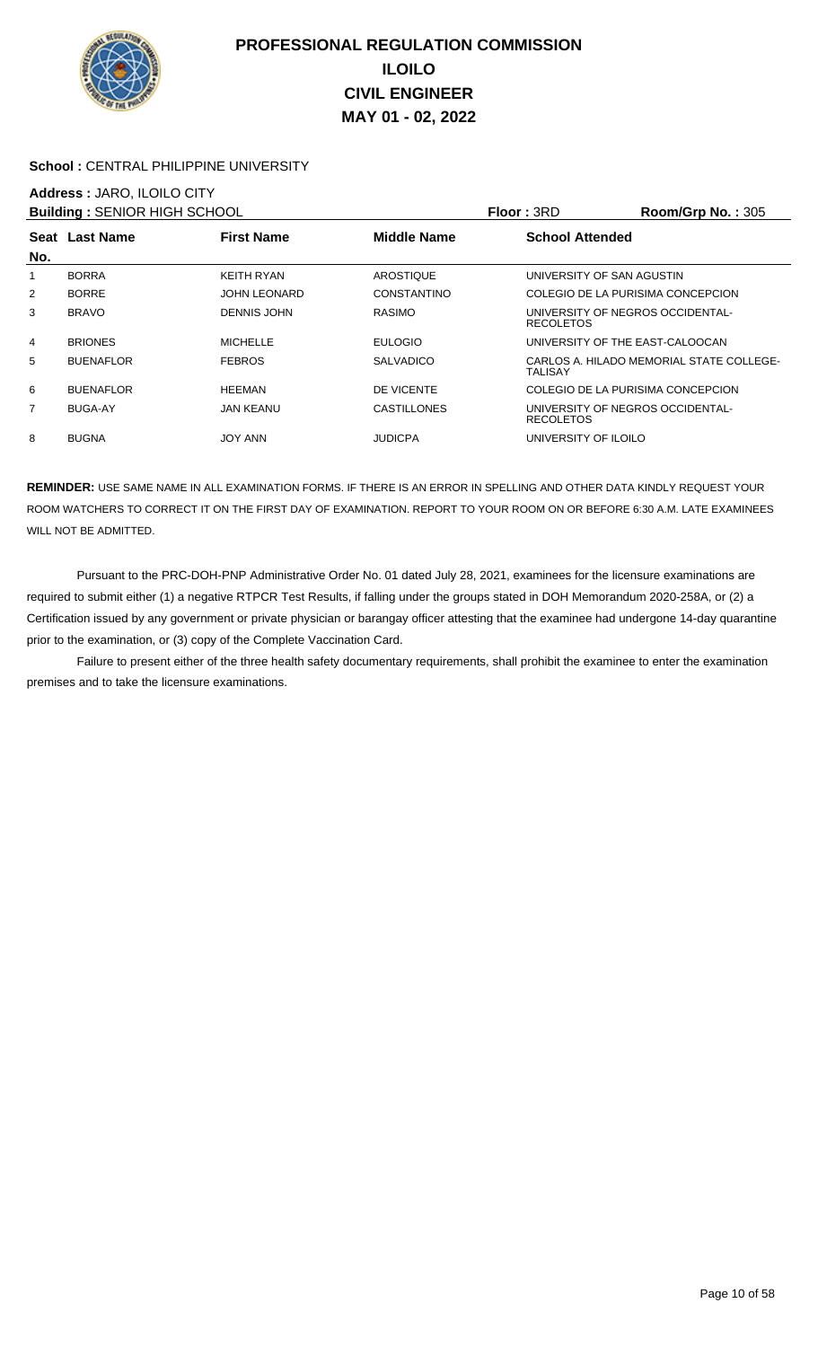

#### **School :** CENTRAL PHILIPPINE UNIVERSITY

# **Address :** JARO, ILOILO CITY

| <b>Building: SENIOR HIGH SCHOOL</b> |                  |                     |                    | <b>Floor: 3RD</b>                                    | <b>Room/Grp No.: 305</b>                 |
|-------------------------------------|------------------|---------------------|--------------------|------------------------------------------------------|------------------------------------------|
|                                     | Seat Last Name   | <b>First Name</b>   | <b>Middle Name</b> | <b>School Attended</b>                               |                                          |
| No.                                 |                  |                     |                    |                                                      |                                          |
|                                     | <b>BORRA</b>     | <b>KEITH RYAN</b>   | AROSTIQUE          | UNIVERSITY OF SAN AGUSTIN                            |                                          |
| 2                                   | <b>BORRE</b>     | <b>JOHN LEONARD</b> | <b>CONSTANTINO</b> | COLEGIO DE LA PURISIMA CONCEPCION                    |                                          |
| 3                                   | <b>BRAVO</b>     | DENNIS JOHN         | <b>RASIMO</b>      | UNIVERSITY OF NEGROS OCCIDENTAL-<br><b>RECOLETOS</b> |                                          |
| 4                                   | <b>BRIONES</b>   | <b>MICHELLE</b>     | <b>EULOGIO</b>     | UNIVERSITY OF THE EAST-CALOOCAN                      |                                          |
| 5                                   | <b>BUENAFLOR</b> | <b>FEBROS</b>       | <b>SALVADICO</b>   | TALISAY                                              | CARLOS A. HILADO MEMORIAL STATE COLLEGE- |
| 6                                   | <b>BUENAFLOR</b> | <b>HEEMAN</b>       | DE VICENTE         | COLEGIO DE LA PURISIMA CONCEPCION                    |                                          |
| 7                                   | <b>BUGA-AY</b>   | JAN KEANU           | <b>CASTILLONES</b> | UNIVERSITY OF NEGROS OCCIDENTAL-<br><b>RECOLETOS</b> |                                          |
| 8                                   | <b>BUGNA</b>     | <b>JOY ANN</b>      | <b>JUDICPA</b>     | UNIVERSITY OF ILOILO                                 |                                          |

**REMINDER:** USE SAME NAME IN ALL EXAMINATION FORMS. IF THERE IS AN ERROR IN SPELLING AND OTHER DATA KINDLY REQUEST YOUR ROOM WATCHERS TO CORRECT IT ON THE FIRST DAY OF EXAMINATION. REPORT TO YOUR ROOM ON OR BEFORE 6:30 A.M. LATE EXAMINEES WILL NOT BE ADMITTED.

 Pursuant to the PRC-DOH-PNP Administrative Order No. 01 dated July 28, 2021, examinees for the licensure examinations are required to submit either (1) a negative RTPCR Test Results, if falling under the groups stated in DOH Memorandum 2020-258A, or (2) a Certification issued by any government or private physician or barangay officer attesting that the examinee had undergone 14-day quarantine prior to the examination, or (3) copy of the Complete Vaccination Card.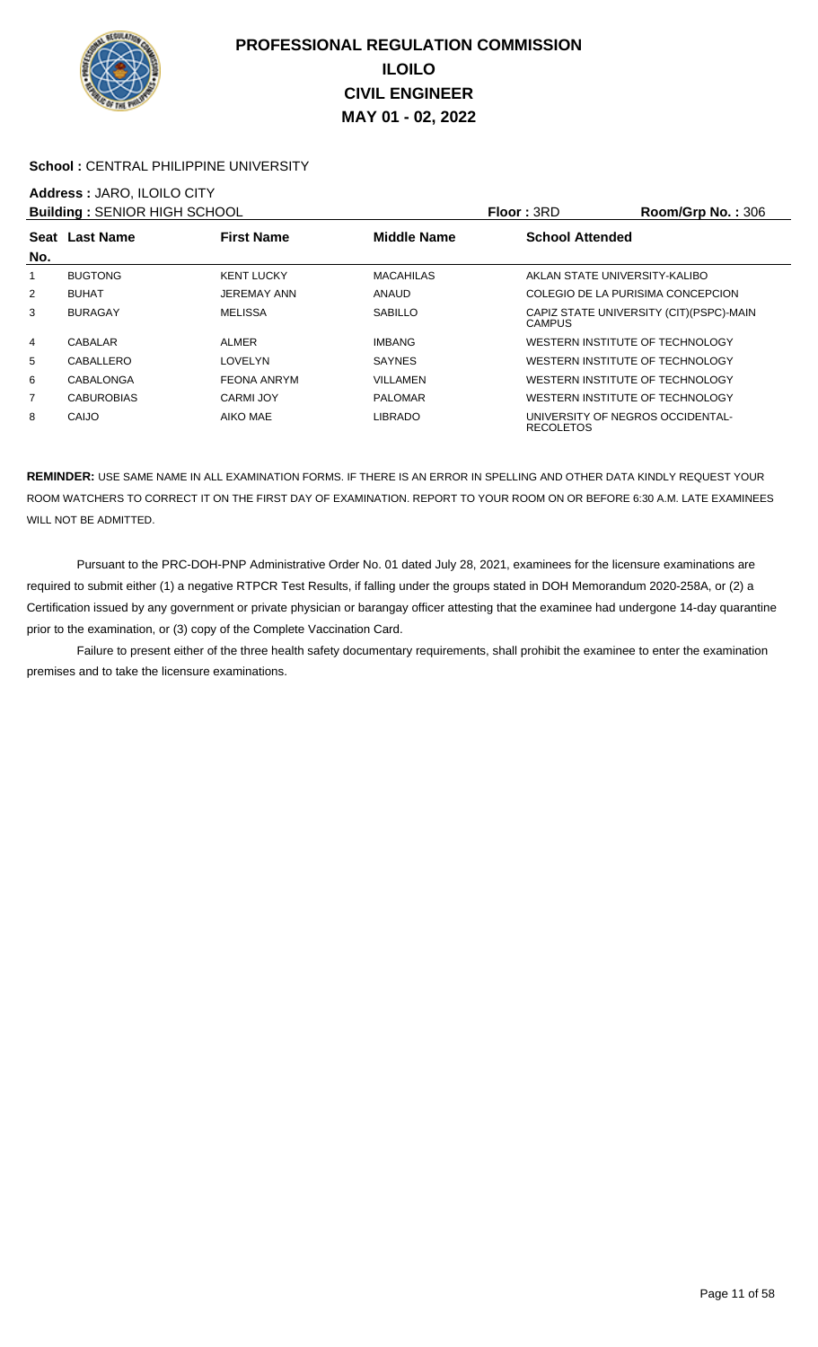

### School : CENTRAL PHILIPPINE UNIVERSITY

# **Address :** JARO, ILOILO CITY

|     | <b>Building: SENIOR HIGH SCHOOL</b> |                    |                    | Floor: 3RD             | <b>Room/Grp No.: 306</b>                 |
|-----|-------------------------------------|--------------------|--------------------|------------------------|------------------------------------------|
| No. | Seat Last Name                      | <b>First Name</b>  | <b>Middle Name</b> | <b>School Attended</b> |                                          |
| 1   | <b>BUGTONG</b>                      | <b>KENT LUCKY</b>  | <b>MACAHILAS</b>   |                        | AKLAN STATE UNIVERSITY-KALIBO            |
| 2   | <b>BUHAT</b>                        | <b>JEREMAY ANN</b> | <b>ANAUD</b>       |                        | COLEGIO DE LA PURISIMA CONCEPCION        |
| 3   | <b>BURAGAY</b>                      | <b>MELISSA</b>     | <b>SABILLO</b>     | <b>CAMPUS</b>          | CAPIZ STATE UNIVERSITY (CIT) (PSPC)-MAIN |
| 4   | CABALAR                             | <b>ALMER</b>       | <b>IMBANG</b>      |                        | WESTERN INSTITUTE OF TECHNOLOGY          |
| 5   | CABALLERO                           | LOVELYN            | <b>SAYNES</b>      |                        | WESTERN INSTITUTE OF TECHNOLOGY          |
| 6   | CABALONGA                           | <b>FEONA ANRYM</b> | VILLAMEN           |                        | WESTERN INSTITUTE OF TECHNOLOGY          |
| 7   | <b>CABUROBIAS</b>                   | CARMI JOY          | <b>PALOMAR</b>     |                        | WESTERN INSTITUTE OF TECHNOLOGY          |
| 8   | CAIJO                               | AIKO MAE           | <b>LIBRADO</b>     | <b>RECOLETOS</b>       | UNIVERSITY OF NEGROS OCCIDENTAL-         |

**REMINDER:** USE SAME NAME IN ALL EXAMINATION FORMS. IF THERE IS AN ERROR IN SPELLING AND OTHER DATA KINDLY REQUEST YOUR ROOM WATCHERS TO CORRECT IT ON THE FIRST DAY OF EXAMINATION. REPORT TO YOUR ROOM ON OR BEFORE 6:30 A.M. LATE EXAMINEES WILL NOT BE ADMITTED.

 Pursuant to the PRC-DOH-PNP Administrative Order No. 01 dated July 28, 2021, examinees for the licensure examinations are required to submit either (1) a negative RTPCR Test Results, if falling under the groups stated in DOH Memorandum 2020-258A, or (2) a Certification issued by any government or private physician or barangay officer attesting that the examinee had undergone 14-day quarantine prior to the examination, or (3) copy of the Complete Vaccination Card.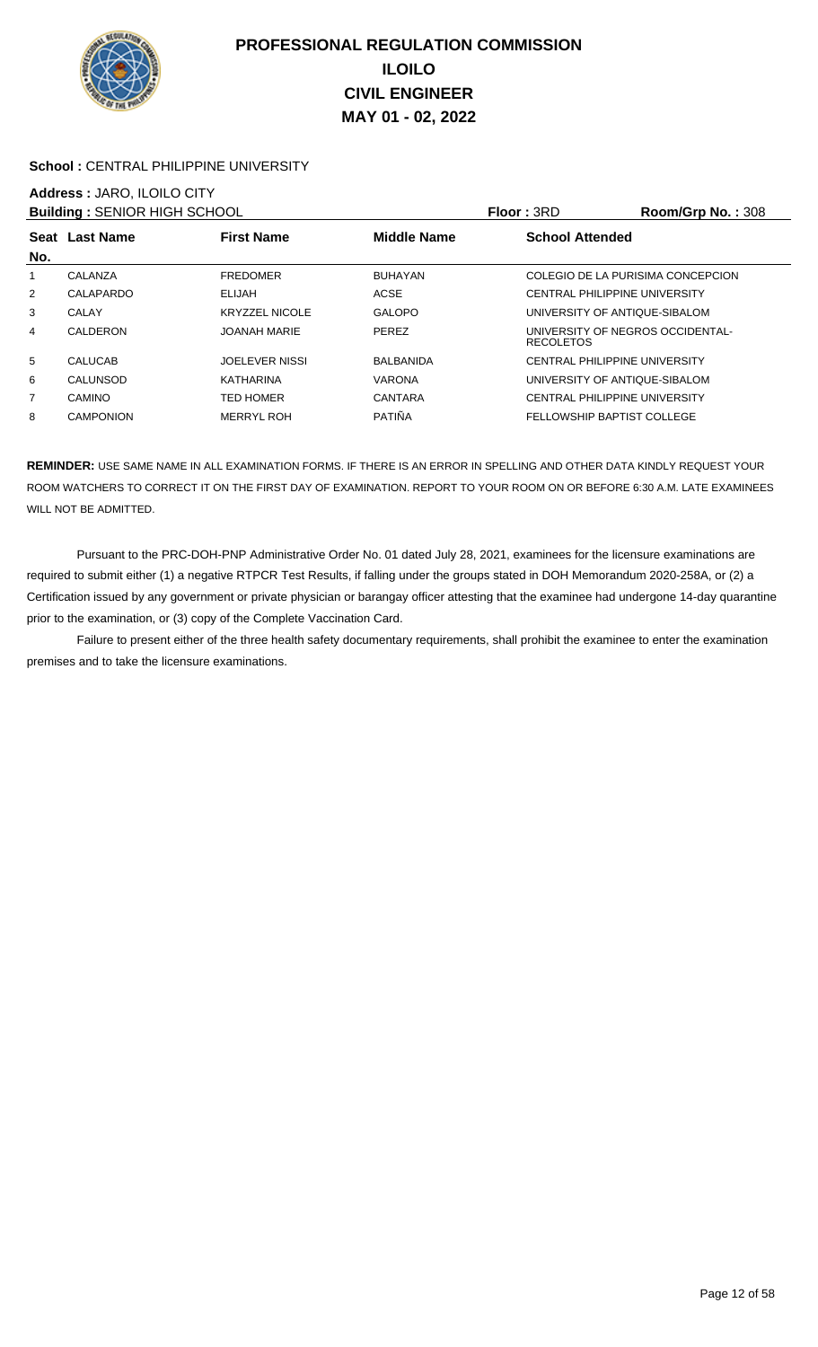

### School : CENTRAL PHILIPPINE UNIVERSITY

# **Address :** JARO, ILOILO CITY

| <b>Building: SENIOR HIGH SCHOOL</b> |                  |                       |                    | <b>Floor: 3RD</b>                                    | Room/Grp No.: 308 |
|-------------------------------------|------------------|-----------------------|--------------------|------------------------------------------------------|-------------------|
| No.                                 | Seat Last Name   | <b>First Name</b>     | <b>Middle Name</b> | <b>School Attended</b>                               |                   |
|                                     | CALANZA          | <b>FREDOMER</b>       | <b>BUHAYAN</b>     | COLEGIO DE LA PURISIMA CONCEPCION                    |                   |
| 2                                   | CALAPARDO        | <b>ELIJAH</b>         | <b>ACSE</b>        | <b>CENTRAL PHILIPPINE UNIVERSITY</b>                 |                   |
| 3                                   | CALAY            | <b>KRYZZEL NICOLE</b> | <b>GALOPO</b>      | UNIVERSITY OF ANTIQUE-SIBALOM                        |                   |
| 4                                   | CALDERON         | <b>JOANAH MARIE</b>   | PEREZ              | UNIVERSITY OF NEGROS OCCIDENTAL-<br><b>RECOLETOS</b> |                   |
| 5                                   | <b>CALUCAB</b>   | <b>JOELEVER NISSI</b> | <b>BALBANIDA</b>   | <b>CENTRAL PHILIPPINE UNIVERSITY</b>                 |                   |
| 6                                   | CALUNSOD         | <b>KATHARINA</b>      | <b>VARONA</b>      | UNIVERSITY OF ANTIQUE-SIBALOM                        |                   |
| $\overline{7}$                      | CAMINO           | TED HOMER             | <b>CANTARA</b>     | <b>CENTRAL PHILIPPINE UNIVERSITY</b>                 |                   |
| 8                                   | <b>CAMPONION</b> | <b>MERRYL ROH</b>     | <b>PATIÑA</b>      | FELLOWSHIP BAPTIST COLLEGE                           |                   |

**REMINDER:** USE SAME NAME IN ALL EXAMINATION FORMS. IF THERE IS AN ERROR IN SPELLING AND OTHER DATA KINDLY REQUEST YOUR ROOM WATCHERS TO CORRECT IT ON THE FIRST DAY OF EXAMINATION. REPORT TO YOUR ROOM ON OR BEFORE 6:30 A.M. LATE EXAMINEES WILL NOT BE ADMITTED.

 Pursuant to the PRC-DOH-PNP Administrative Order No. 01 dated July 28, 2021, examinees for the licensure examinations are required to submit either (1) a negative RTPCR Test Results, if falling under the groups stated in DOH Memorandum 2020-258A, or (2) a Certification issued by any government or private physician or barangay officer attesting that the examinee had undergone 14-day quarantine prior to the examination, or (3) copy of the Complete Vaccination Card.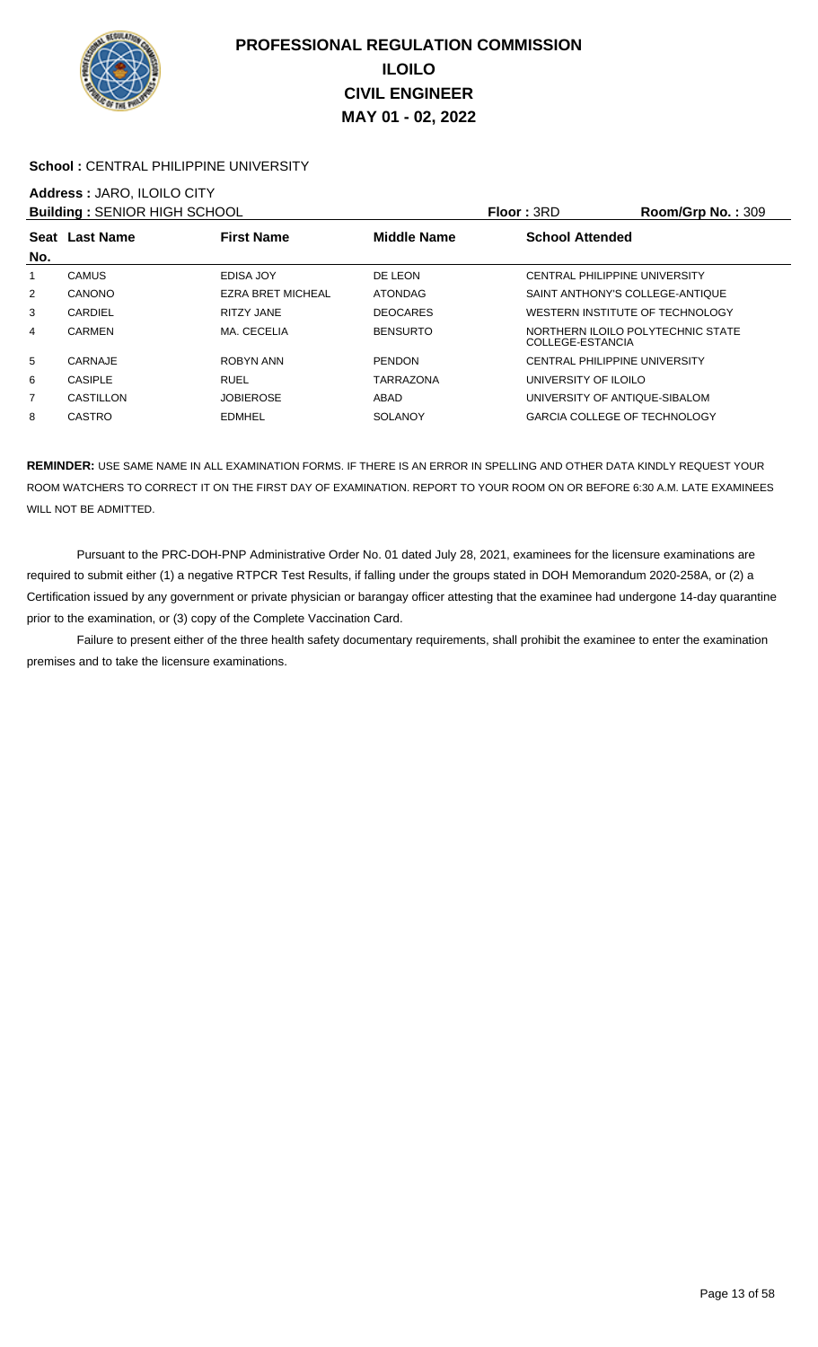

### School : CENTRAL PHILIPPINE UNIVERSITY

# **Address :** JARO, ILOILO CITY

| <b>Building: SENIOR HIGH SCHOOL</b> |                |                   |                    | Floor: 3RD                                            | Room/Grp No.: 309 |
|-------------------------------------|----------------|-------------------|--------------------|-------------------------------------------------------|-------------------|
| No.                                 | Seat Last Name | <b>First Name</b> | <b>Middle Name</b> | <b>School Attended</b>                                |                   |
| 1                                   | <b>CAMUS</b>   | EDISA JOY         | DE LEON            | CENTRAL PHILIPPINE UNIVERSITY                         |                   |
| 2                                   | CANONO         | EZRA BRET MICHEAL | <b>ATONDAG</b>     | SAINT ANTHONY'S COLLEGE-ANTIQUE                       |                   |
| 3                                   | CARDIEL        | <b>RITZY JANE</b> | <b>DEOCARES</b>    | WESTERN INSTITUTE OF TECHNOLOGY                       |                   |
| 4                                   | CARMEN         | MA. CECELIA       | <b>BENSURTO</b>    | NORTHERN ILOILO POLYTECHNIC STATE<br>COLLEGE-ESTANCIA |                   |
| 5                                   | CARNAJE        | ROBYN ANN         | <b>PENDON</b>      | CENTRAL PHILIPPINE UNIVERSITY                         |                   |
| 6                                   | <b>CASIPLE</b> | <b>RUEL</b>       | <b>TARRAZONA</b>   | UNIVERSITY OF ILOILO                                  |                   |
| 7                                   | CASTILLON      | <b>JOBIEROSE</b>  | ABAD               | UNIVERSITY OF ANTIQUE-SIBALOM                         |                   |
| 8                                   | CASTRO         | <b>EDMHEL</b>     | SOLANOY            | <b>GARCIA COLLEGE OF TECHNOLOGY</b>                   |                   |

**REMINDER:** USE SAME NAME IN ALL EXAMINATION FORMS. IF THERE IS AN ERROR IN SPELLING AND OTHER DATA KINDLY REQUEST YOUR ROOM WATCHERS TO CORRECT IT ON THE FIRST DAY OF EXAMINATION. REPORT TO YOUR ROOM ON OR BEFORE 6:30 A.M. LATE EXAMINEES WILL NOT BE ADMITTED.

 Pursuant to the PRC-DOH-PNP Administrative Order No. 01 dated July 28, 2021, examinees for the licensure examinations are required to submit either (1) a negative RTPCR Test Results, if falling under the groups stated in DOH Memorandum 2020-258A, or (2) a Certification issued by any government or private physician or barangay officer attesting that the examinee had undergone 14-day quarantine prior to the examination, or (3) copy of the Complete Vaccination Card.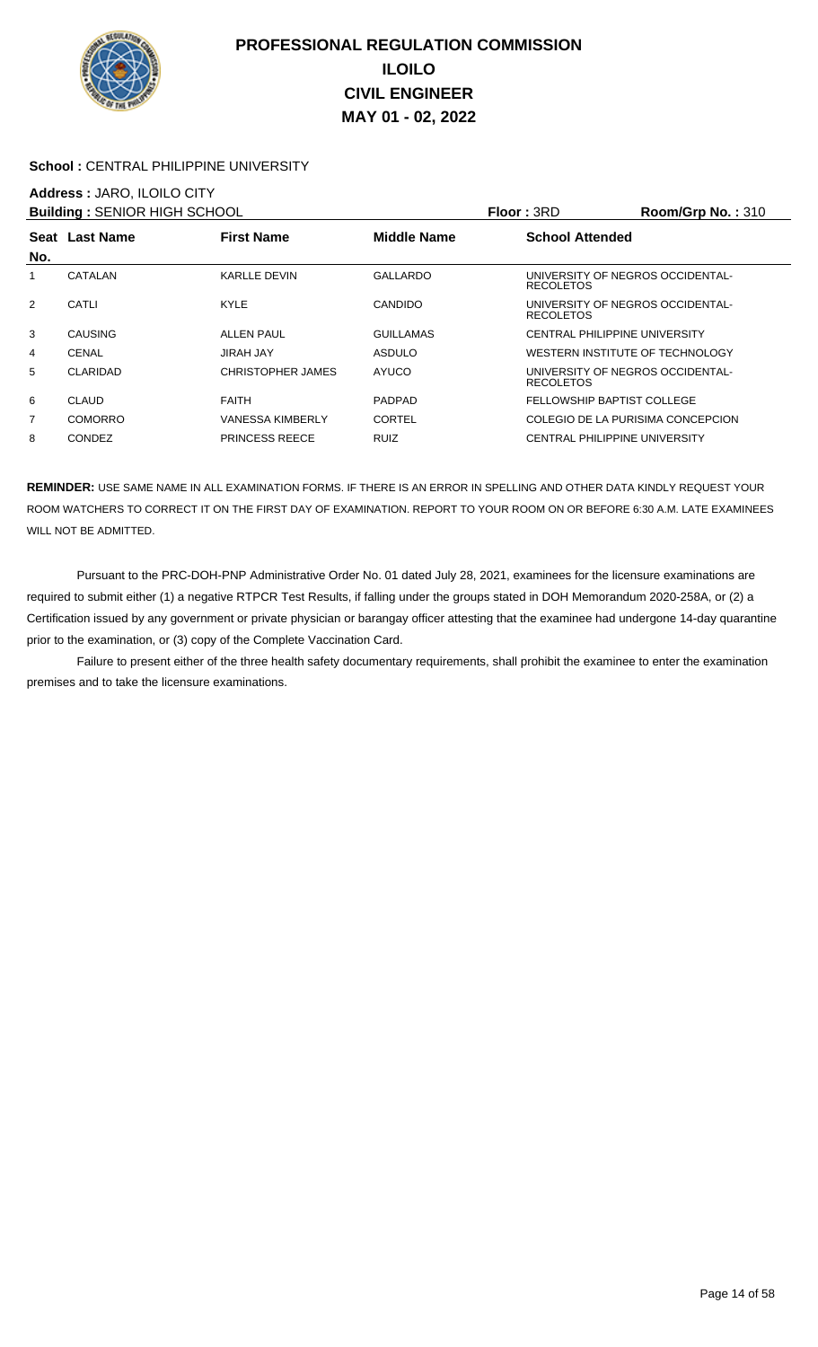

### **School :** CENTRAL PHILIPPINE UNIVERSITY

### **Address :** JARO, ILOILO CITY

| <b>Building: SENIOR HIGH SCHOOL</b> |                |                       |                    | Floor: 3RD                                           | Room/Grp No.: $310$ |
|-------------------------------------|----------------|-----------------------|--------------------|------------------------------------------------------|---------------------|
|                                     | Seat Last Name | <b>First Name</b>     | <b>Middle Name</b> | <b>School Attended</b>                               |                     |
| No.                                 |                |                       |                    |                                                      |                     |
| 1                                   | CATALAN        | <b>KARLLE DEVIN</b>   | GALLARDO           | UNIVERSITY OF NEGROS OCCIDENTAL-<br><b>RECOLETOS</b> |                     |
| 2                                   | CATLI          | <b>KYLE</b>           | <b>CANDIDO</b>     | UNIVERSITY OF NEGROS OCCIDENTAL-<br><b>RECOLETOS</b> |                     |
| 3                                   | <b>CAUSING</b> | <b>ALLEN PAUL</b>     | <b>GUILLAMAS</b>   | CENTRAL PHILIPPINE UNIVERSITY                        |                     |
| 4                                   | <b>CENAL</b>   | <b>JIRAH JAY</b>      | ASDULO             | WESTERN INSTITUTE OF TECHNOLOGY                      |                     |
| 5                                   | CLARIDAD       | CHRISTOPHER JAMES     | <b>AYUCO</b>       | UNIVERSITY OF NEGROS OCCIDENTAL-<br><b>RECOLETOS</b> |                     |
| 6                                   | CLAUD          | <b>FAITH</b>          | <b>PADPAD</b>      | FELLOWSHIP BAPTIST COLLEGE                           |                     |
| $\overline{7}$                      | <b>COMORRO</b> | VANESSA KIMBERLY      | <b>CORTEL</b>      | COLEGIO DE LA PURISIMA CONCEPCION                    |                     |
| 8                                   | CONDEZ         | <b>PRINCESS REECE</b> | <b>RUIZ</b>        | <b>CENTRAL PHILIPPINE UNIVERSITY</b>                 |                     |

**REMINDER:** USE SAME NAME IN ALL EXAMINATION FORMS. IF THERE IS AN ERROR IN SPELLING AND OTHER DATA KINDLY REQUEST YOUR ROOM WATCHERS TO CORRECT IT ON THE FIRST DAY OF EXAMINATION. REPORT TO YOUR ROOM ON OR BEFORE 6:30 A.M. LATE EXAMINEES WILL NOT BE ADMITTED.

 Pursuant to the PRC-DOH-PNP Administrative Order No. 01 dated July 28, 2021, examinees for the licensure examinations are required to submit either (1) a negative RTPCR Test Results, if falling under the groups stated in DOH Memorandum 2020-258A, or (2) a Certification issued by any government or private physician or barangay officer attesting that the examinee had undergone 14-day quarantine prior to the examination, or (3) copy of the Complete Vaccination Card.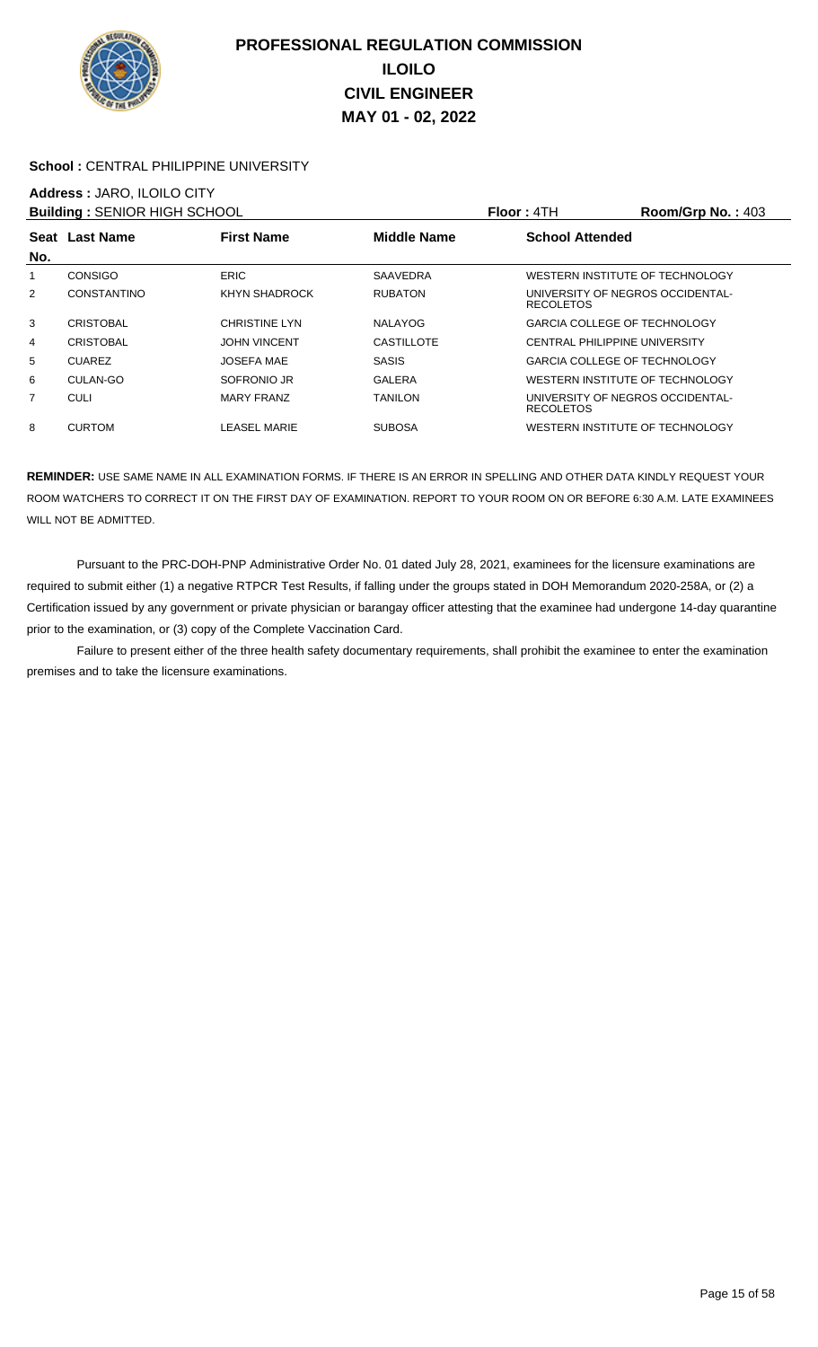

### School : CENTRAL PHILIPPINE UNIVERSITY

## **Address :** JARO, ILOILO CITY

| <b>Building: SENIOR HIGH SCHOOL</b> |                    |                      |                    | <b>Floor: 4TH</b>                                    | Room/Grp No.: $403$ |
|-------------------------------------|--------------------|----------------------|--------------------|------------------------------------------------------|---------------------|
|                                     | Seat Last Name     | <b>First Name</b>    | <b>Middle Name</b> | <b>School Attended</b>                               |                     |
| No.                                 |                    |                      |                    |                                                      |                     |
| 1                                   | <b>CONSIGO</b>     | <b>ERIC</b>          | <b>SAAVEDRA</b>    | WESTERN INSTITUTE OF TECHNOLOGY                      |                     |
| $\overline{2}$                      | <b>CONSTANTINO</b> | KHYN SHADROCK        | <b>RUBATON</b>     | UNIVERSITY OF NEGROS OCCIDENTAL-<br><b>RECOLETOS</b> |                     |
| 3                                   | <b>CRISTOBAL</b>   | <b>CHRISTINE LYN</b> | <b>NALAYOG</b>     | <b>GARCIA COLLEGE OF TECHNOLOGY</b>                  |                     |
| 4                                   | <b>CRISTOBAL</b>   | <b>JOHN VINCENT</b>  | <b>CASTILLOTE</b>  | <b>CENTRAL PHILIPPINE UNIVERSITY</b>                 |                     |
| 5                                   | <b>CUAREZ</b>      | <b>JOSEFA MAE</b>    | <b>SASIS</b>       | <b>GARCIA COLLEGE OF TECHNOLOGY</b>                  |                     |
| 6                                   | CULAN-GO           | SOFRONIO JR          | <b>GALERA</b>      | WESTERN INSTITUTE OF TECHNOLOGY                      |                     |
| $\overline{7}$                      | <b>CULI</b>        | <b>MARY FRANZ</b>    | TANILON            | UNIVERSITY OF NEGROS OCCIDENTAL-<br><b>RECOLETOS</b> |                     |
| 8                                   | <b>CURTOM</b>      | LEASEL MARIE         | <b>SUBOSA</b>      | WESTERN INSTITUTE OF TECHNOLOGY                      |                     |

**REMINDER:** USE SAME NAME IN ALL EXAMINATION FORMS. IF THERE IS AN ERROR IN SPELLING AND OTHER DATA KINDLY REQUEST YOUR ROOM WATCHERS TO CORRECT IT ON THE FIRST DAY OF EXAMINATION. REPORT TO YOUR ROOM ON OR BEFORE 6:30 A.M. LATE EXAMINEES WILL NOT BE ADMITTED.

 Pursuant to the PRC-DOH-PNP Administrative Order No. 01 dated July 28, 2021, examinees for the licensure examinations are required to submit either (1) a negative RTPCR Test Results, if falling under the groups stated in DOH Memorandum 2020-258A, or (2) a Certification issued by any government or private physician or barangay officer attesting that the examinee had undergone 14-day quarantine prior to the examination, or (3) copy of the Complete Vaccination Card.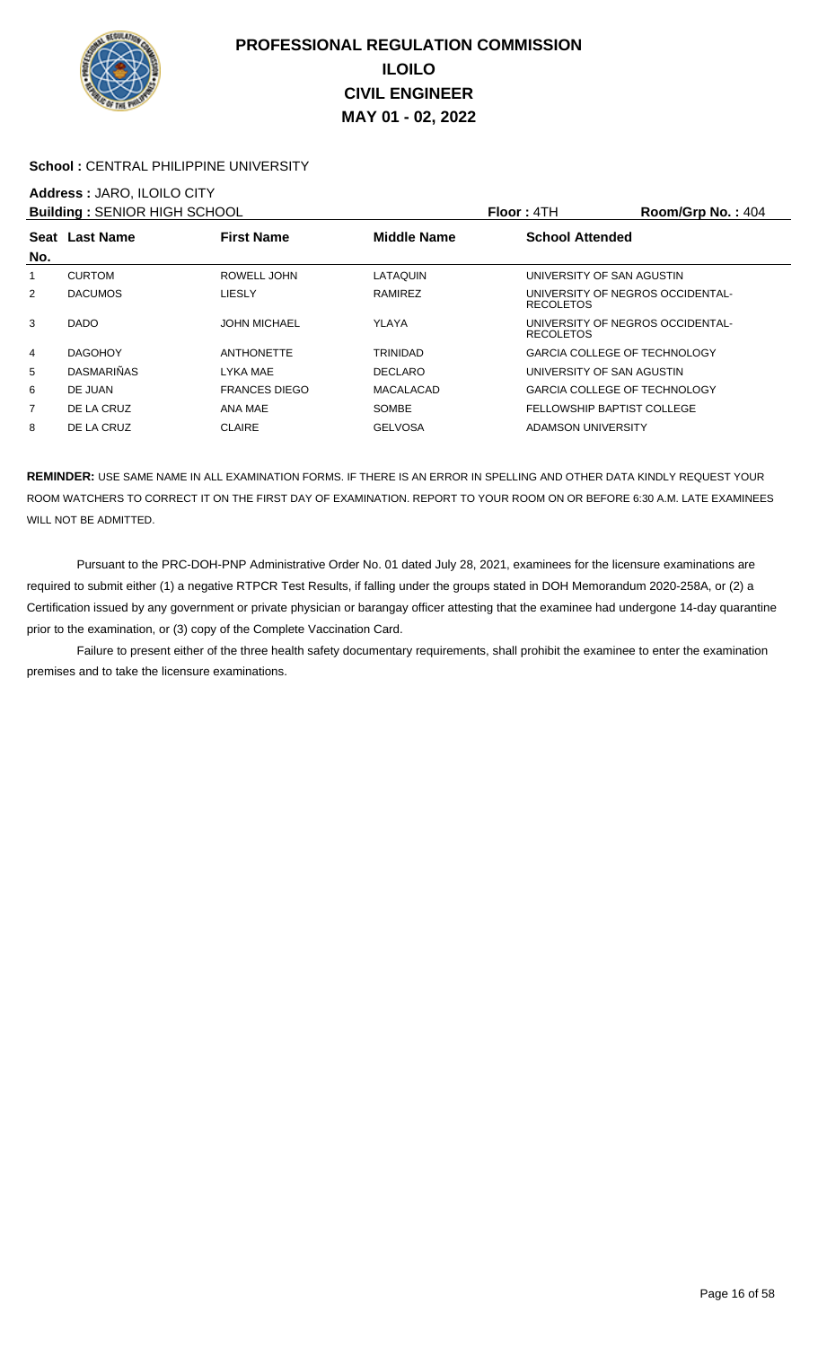

### School : CENTRAL PHILIPPINE UNIVERSITY

### **Address :** JARO, ILOILO CITY

| <b>Building: SENIOR HIGH SCHOOL</b> |                   |                      |                    | Floor: 4TH             | Room/Grp No.: 404                   |
|-------------------------------------|-------------------|----------------------|--------------------|------------------------|-------------------------------------|
|                                     | Seat Last Name    | <b>First Name</b>    | <b>Middle Name</b> | <b>School Attended</b> |                                     |
| No.                                 |                   |                      |                    |                        |                                     |
|                                     | <b>CURTOM</b>     | ROWELL JOHN          | LATAQUIN           |                        | UNIVERSITY OF SAN AGUSTIN           |
| $\overline{2}$                      | <b>DACUMOS</b>    | <b>LIESLY</b>        | RAMIREZ            | <b>RECOLETOS</b>       | UNIVERSITY OF NEGROS OCCIDENTAL-    |
| 3                                   | DADO              | <b>JOHN MICHAEL</b>  | YLAYA              | <b>RECOLETOS</b>       | UNIVERSITY OF NEGROS OCCIDENTAL-    |
| 4                                   | <b>DAGOHOY</b>    | <b>ANTHONETTE</b>    | TRINIDAD           |                        | <b>GARCIA COLLEGE OF TECHNOLOGY</b> |
| 5                                   | <b>DASMARIÑAS</b> | LYKA MAE             | <b>DECLARO</b>     |                        | UNIVERSITY OF SAN AGUSTIN           |
| 6                                   | DE JUAN           | <b>FRANCES DIEGO</b> | <b>MACALACAD</b>   |                        | <b>GARCIA COLLEGE OF TECHNOLOGY</b> |
| 7                                   | DE LA CRUZ        | ANA MAE              | <b>SOMBE</b>       |                        | FELLOWSHIP BAPTIST COLLEGE          |
| 8                                   | DE LA CRUZ        | <b>CLAIRE</b>        | <b>GELVOSA</b>     | ADAMSON UNIVERSITY     |                                     |

**REMINDER:** USE SAME NAME IN ALL EXAMINATION FORMS. IF THERE IS AN ERROR IN SPELLING AND OTHER DATA KINDLY REQUEST YOUR ROOM WATCHERS TO CORRECT IT ON THE FIRST DAY OF EXAMINATION. REPORT TO YOUR ROOM ON OR BEFORE 6:30 A.M. LATE EXAMINEES WILL NOT BE ADMITTED.

 Pursuant to the PRC-DOH-PNP Administrative Order No. 01 dated July 28, 2021, examinees for the licensure examinations are required to submit either (1) a negative RTPCR Test Results, if falling under the groups stated in DOH Memorandum 2020-258A, or (2) a Certification issued by any government or private physician or barangay officer attesting that the examinee had undergone 14-day quarantine prior to the examination, or (3) copy of the Complete Vaccination Card.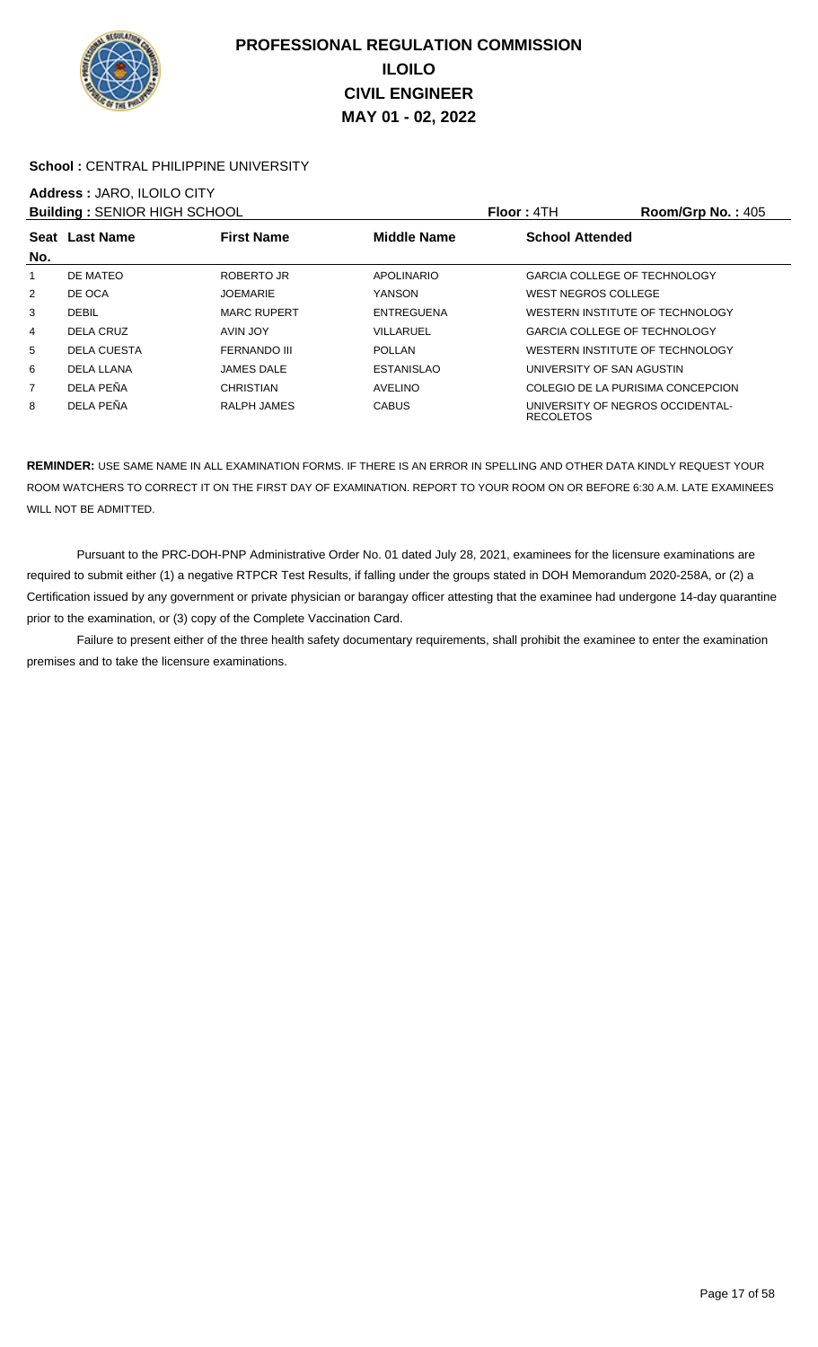

### School : CENTRAL PHILIPPINE UNIVERSITY

# **Address :** JARO, ILOILO CITY

| <b>Building: SENIOR HIGH SCHOOL</b> |                    |                     |                    | Floor: 4TH                                           | Room/Grp No.: 405 |
|-------------------------------------|--------------------|---------------------|--------------------|------------------------------------------------------|-------------------|
|                                     | Seat Last Name     | <b>First Name</b>   | <b>Middle Name</b> | <b>School Attended</b>                               |                   |
| No.                                 |                    |                     |                    |                                                      |                   |
|                                     | DE MATEO           | ROBERTO JR          | <b>APOLINARIO</b>  | <b>GARCIA COLLEGE OF TECHNOLOGY</b>                  |                   |
| 2                                   | DE OCA             | <b>JOEMARIE</b>     | YANSON             | WEST NEGROS COLLEGE                                  |                   |
| 3                                   | <b>DEBIL</b>       | <b>MARC RUPERT</b>  | <b>ENTREGUENA</b>  | WESTERN INSTITUTE OF TECHNOLOGY                      |                   |
| 4                                   | DELA CRUZ          | AVIN JOY            | VILLARUEL          | <b>GARCIA COLLEGE OF TECHNOLOGY</b>                  |                   |
| 5                                   | <b>DELA CUESTA</b> | <b>FERNANDO III</b> | <b>POLLAN</b>      | WESTERN INSTITUTE OF TECHNOLOGY                      |                   |
| 6                                   | DELA LLANA         | <b>JAMES DALE</b>   | <b>ESTANISLAO</b>  | UNIVERSITY OF SAN AGUSTIN                            |                   |
| 7                                   | DELA PEÑA          | CHRISTIAN           | <b>AVELINO</b>     | COLEGIO DE LA PURISIMA CONCEPCION                    |                   |
| 8                                   | DELA PEÑA          | RALPH JAMES         | <b>CABUS</b>       | UNIVERSITY OF NEGROS OCCIDENTAL-<br><b>RECOLETOS</b> |                   |

**REMINDER:** USE SAME NAME IN ALL EXAMINATION FORMS. IF THERE IS AN ERROR IN SPELLING AND OTHER DATA KINDLY REQUEST YOUR ROOM WATCHERS TO CORRECT IT ON THE FIRST DAY OF EXAMINATION. REPORT TO YOUR ROOM ON OR BEFORE 6:30 A.M. LATE EXAMINEES WILL NOT BE ADMITTED.

 Pursuant to the PRC-DOH-PNP Administrative Order No. 01 dated July 28, 2021, examinees for the licensure examinations are required to submit either (1) a negative RTPCR Test Results, if falling under the groups stated in DOH Memorandum 2020-258A, or (2) a Certification issued by any government or private physician or barangay officer attesting that the examinee had undergone 14-day quarantine prior to the examination, or (3) copy of the Complete Vaccination Card.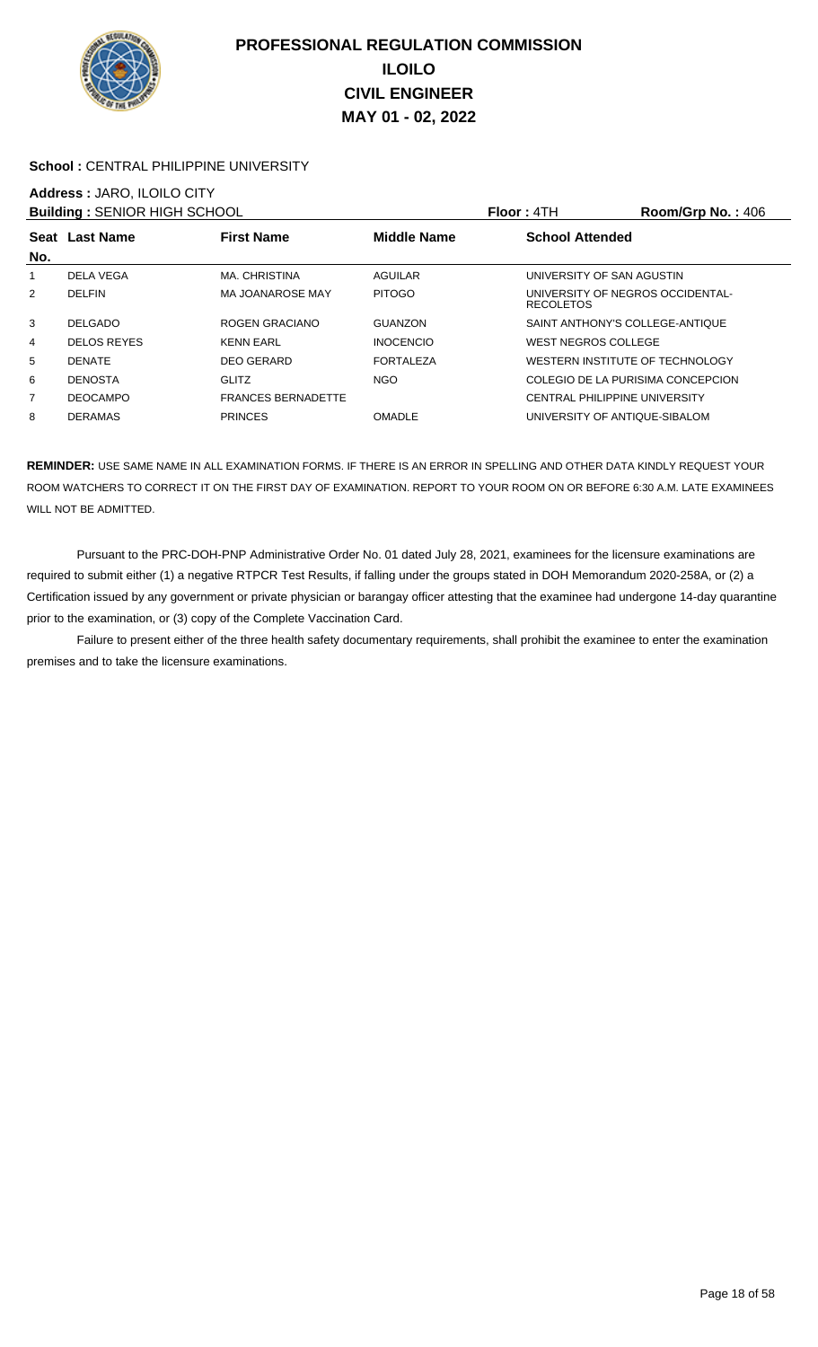

### School : CENTRAL PHILIPPINE UNIVERSITY

### **Address :** JARO, ILOILO CITY

| <b>Building: SENIOR HIGH SCHOOL</b> |                    |                           |                    | <b>Floor: 4TH</b>                                    | Room/Grp No.: 406 |
|-------------------------------------|--------------------|---------------------------|--------------------|------------------------------------------------------|-------------------|
| No.                                 | Seat Last Name     | <b>First Name</b>         | <b>Middle Name</b> | <b>School Attended</b>                               |                   |
|                                     | DELA VEGA          | MA. CHRISTINA             | AGUILAR            | UNIVERSITY OF SAN AGUSTIN                            |                   |
| 2                                   | <b>DELFIN</b>      | MA JOANAROSE MAY          | <b>PITOGO</b>      | UNIVERSITY OF NEGROS OCCIDENTAL-<br><b>RECOLETOS</b> |                   |
| 3                                   | <b>DELGADO</b>     | ROGEN GRACIANO            | GUANZON            | SAINT ANTHONY'S COLLEGE-ANTIQUE                      |                   |
| 4                                   | <b>DELOS REYES</b> | <b>KENN EARL</b>          | <b>INOCENCIO</b>   | <b>WEST NEGROS COLLEGE</b>                           |                   |
| 5                                   | <b>DENATE</b>      | <b>DEO GERARD</b>         | <b>FORTALEZA</b>   | WESTERN INSTITUTE OF TECHNOLOGY                      |                   |
| 6                                   | <b>DENOSTA</b>     | <b>GLITZ</b>              | <b>NGO</b>         | COLEGIO DE LA PURISIMA CONCEPCION                    |                   |
| 7                                   | <b>DEOCAMPO</b>    | <b>FRANCES BERNADETTE</b> |                    | <b>CENTRAL PHILIPPINE UNIVERSITY</b>                 |                   |
| 8                                   | <b>DERAMAS</b>     | <b>PRINCES</b>            | <b>OMADLE</b>      | UNIVERSITY OF ANTIQUE-SIBALOM                        |                   |

**REMINDER:** USE SAME NAME IN ALL EXAMINATION FORMS. IF THERE IS AN ERROR IN SPELLING AND OTHER DATA KINDLY REQUEST YOUR ROOM WATCHERS TO CORRECT IT ON THE FIRST DAY OF EXAMINATION. REPORT TO YOUR ROOM ON OR BEFORE 6:30 A.M. LATE EXAMINEES WILL NOT BE ADMITTED.

 Pursuant to the PRC-DOH-PNP Administrative Order No. 01 dated July 28, 2021, examinees for the licensure examinations are required to submit either (1) a negative RTPCR Test Results, if falling under the groups stated in DOH Memorandum 2020-258A, or (2) a Certification issued by any government or private physician or barangay officer attesting that the examinee had undergone 14-day quarantine prior to the examination, or (3) copy of the Complete Vaccination Card.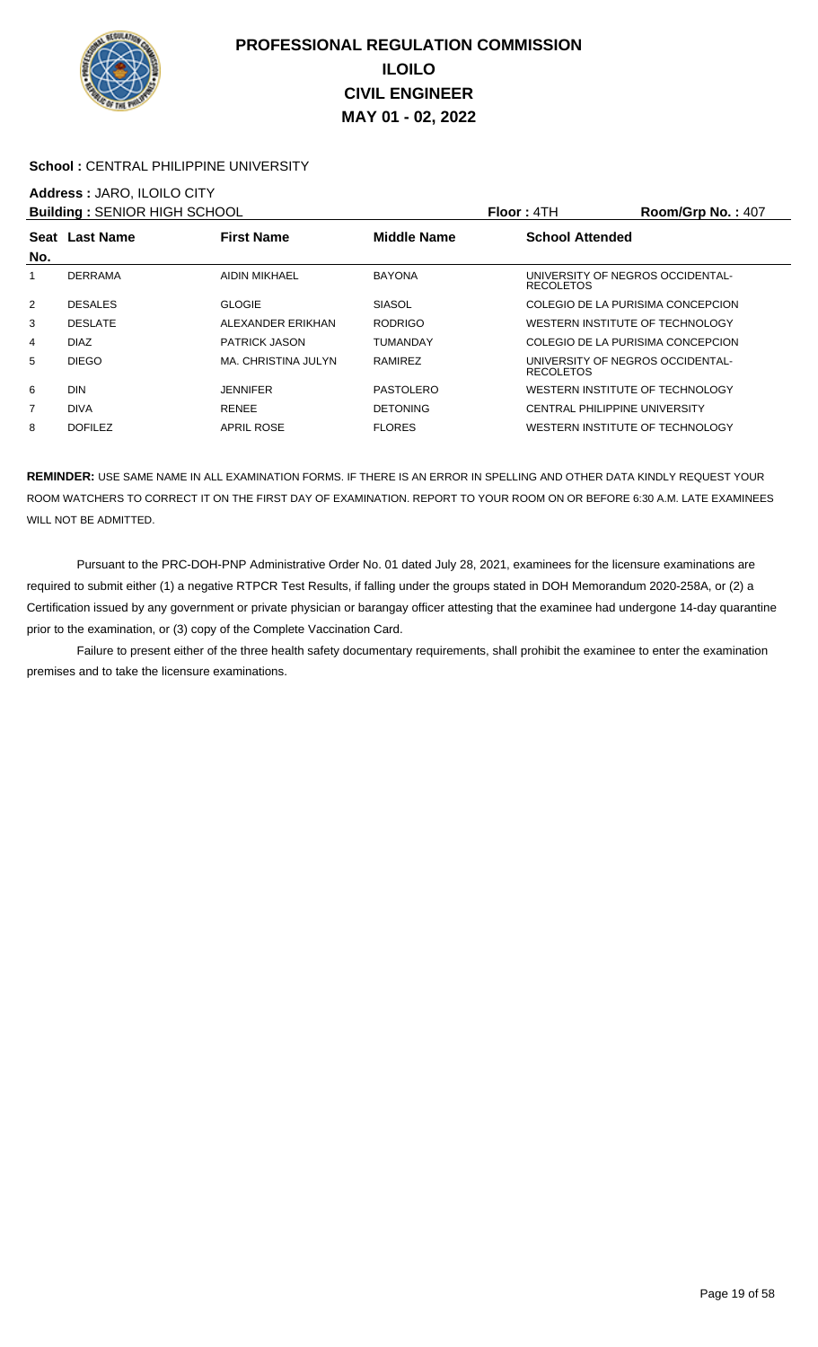

### School : CENTRAL PHILIPPINE UNIVERSITY

### **Address :** JARO, ILOILO CITY

| <b>Building: SENIOR HIGH SCHOOL</b> |                |                      |                 | <b>Floor: 4TH</b>                                    | Room/Grp No.: 407 |
|-------------------------------------|----------------|----------------------|-----------------|------------------------------------------------------|-------------------|
|                                     | Seat Last Name | <b>First Name</b>    | Middle Name     | <b>School Attended</b>                               |                   |
| No.                                 |                |                      |                 |                                                      |                   |
|                                     | <b>DERRAMA</b> | AIDIN MIKHAEL        | <b>BAYONA</b>   | UNIVERSITY OF NEGROS OCCIDENTAL-<br><b>RECOLETOS</b> |                   |
| 2                                   | <b>DESALES</b> | <b>GLOGIE</b>        | <b>SIASOL</b>   | COLEGIO DE LA PURISIMA CONCEPCION                    |                   |
| 3                                   | <b>DESLATE</b> | ALEXANDER ERIKHAN    | <b>RODRIGO</b>  | WESTERN INSTITUTE OF TECHNOLOGY                      |                   |
| 4                                   | <b>DIAZ</b>    | <b>PATRICK JASON</b> | TUMANDAY        | COLEGIO DE LA PURISIMA CONCEPCION                    |                   |
| 5                                   | <b>DIEGO</b>   | MA, CHRISTINA JULYN  | <b>RAMIREZ</b>  | UNIVERSITY OF NEGROS OCCIDENTAL-<br><b>RECOLETOS</b> |                   |
| 6                                   | <b>DIN</b>     | <b>JENNIFER</b>      | PASTOLERO       | WESTERN INSTITUTE OF TECHNOLOGY                      |                   |
| $\overline{7}$                      | <b>DIVA</b>    | <b>RENEE</b>         | <b>DETONING</b> | <b>CENTRAL PHILIPPINE UNIVERSITY</b>                 |                   |
| 8                                   | <b>DOFILEZ</b> | <b>APRIL ROSE</b>    | <b>FLORES</b>   | WESTERN INSTITUTE OF TECHNOLOGY                      |                   |

**REMINDER:** USE SAME NAME IN ALL EXAMINATION FORMS. IF THERE IS AN ERROR IN SPELLING AND OTHER DATA KINDLY REQUEST YOUR ROOM WATCHERS TO CORRECT IT ON THE FIRST DAY OF EXAMINATION. REPORT TO YOUR ROOM ON OR BEFORE 6:30 A.M. LATE EXAMINEES WILL NOT BE ADMITTED.

 Pursuant to the PRC-DOH-PNP Administrative Order No. 01 dated July 28, 2021, examinees for the licensure examinations are required to submit either (1) a negative RTPCR Test Results, if falling under the groups stated in DOH Memorandum 2020-258A, or (2) a Certification issued by any government or private physician or barangay officer attesting that the examinee had undergone 14-day quarantine prior to the examination, or (3) copy of the Complete Vaccination Card.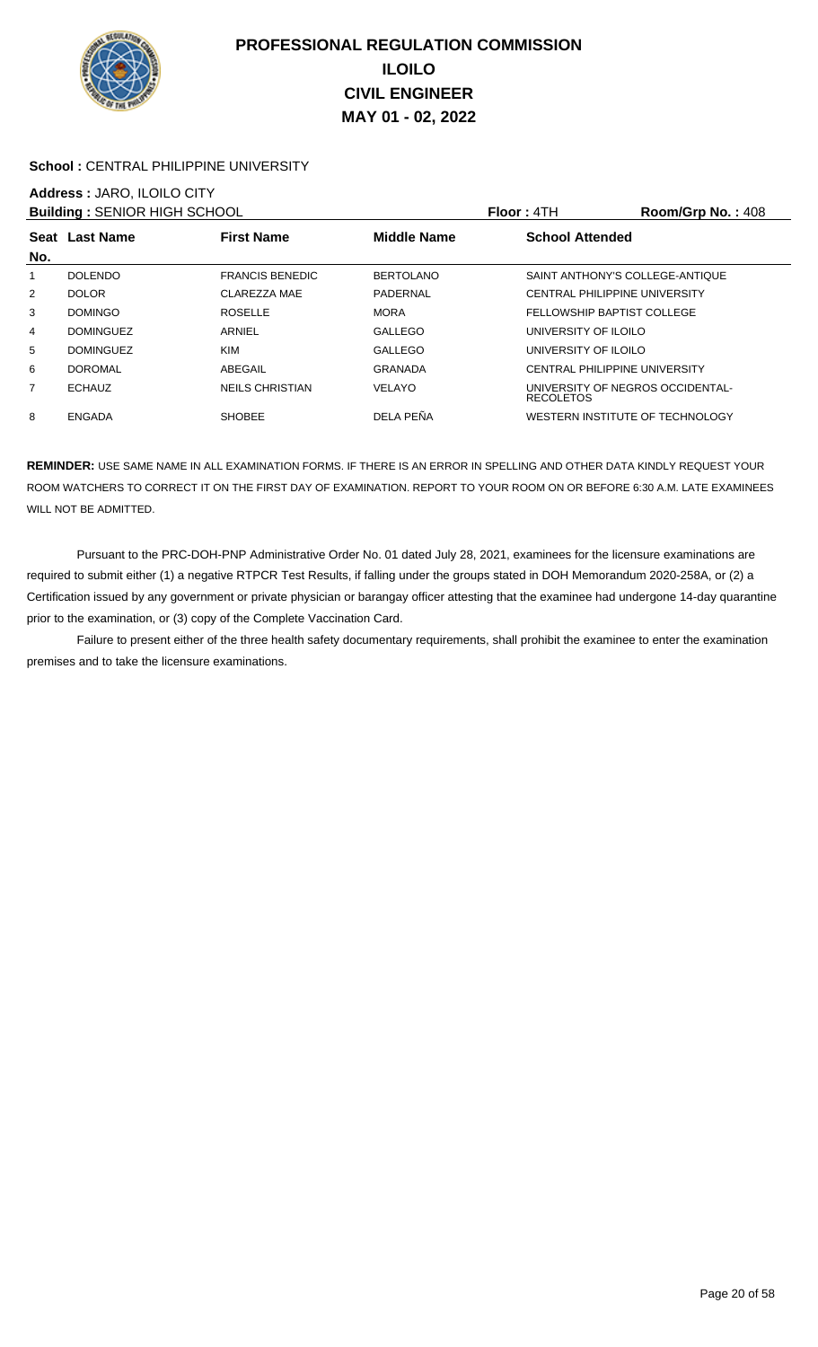

### School : CENTRAL PHILIPPINE UNIVERSITY

# **Address :** JARO, ILOILO CITY

| <b>Building: SENIOR HIGH SCHOOL</b> |                  |                        |                  | <b>Floor: 4TH</b>                                    | Room/Grp No.: 408 |
|-------------------------------------|------------------|------------------------|------------------|------------------------------------------------------|-------------------|
| No.                                 | Seat Last Name   | <b>First Name</b>      | Middle Name      | <b>School Attended</b>                               |                   |
|                                     | <b>DOLENDO</b>   | <b>FRANCIS BENEDIC</b> | <b>BERTOLANO</b> | SAINT ANTHONY'S COLLEGE-ANTIQUE                      |                   |
| 2                                   | <b>DOLOR</b>     | CLAREZZA MAE           | PADERNAL         | <b>CENTRAL PHILIPPINE UNIVERSITY</b>                 |                   |
| 3                                   | <b>DOMINGO</b>   | <b>ROSELLE</b>         | <b>MORA</b>      | FELLOWSHIP BAPTIST COLLEGE                           |                   |
| 4                                   | <b>DOMINGUEZ</b> | ARNIEL                 | <b>GALLEGO</b>   | UNIVERSITY OF ILOILO                                 |                   |
| 5                                   | <b>DOMINGUEZ</b> | <b>KIM</b>             | GALLEGO          | UNIVERSITY OF ILOILO                                 |                   |
| 6                                   | DOROMAL          | ABEGAIL                | <b>GRANADA</b>   | CENTRAL PHILIPPINE UNIVERSITY                        |                   |
| 7                                   | <b>ECHAUZ</b>    | <b>NEILS CHRISTIAN</b> | <b>VELAYO</b>    | UNIVERSITY OF NEGROS OCCIDENTAL-<br><b>RECOLETOS</b> |                   |
| 8                                   | ENGADA           | <b>SHOBEE</b>          | DELA PEÑA        | WESTERN INSTITUTE OF TECHNOLOGY                      |                   |

**REMINDER:** USE SAME NAME IN ALL EXAMINATION FORMS. IF THERE IS AN ERROR IN SPELLING AND OTHER DATA KINDLY REQUEST YOUR ROOM WATCHERS TO CORRECT IT ON THE FIRST DAY OF EXAMINATION. REPORT TO YOUR ROOM ON OR BEFORE 6:30 A.M. LATE EXAMINEES WILL NOT BE ADMITTED.

 Pursuant to the PRC-DOH-PNP Administrative Order No. 01 dated July 28, 2021, examinees for the licensure examinations are required to submit either (1) a negative RTPCR Test Results, if falling under the groups stated in DOH Memorandum 2020-258A, or (2) a Certification issued by any government or private physician or barangay officer attesting that the examinee had undergone 14-day quarantine prior to the examination, or (3) copy of the Complete Vaccination Card.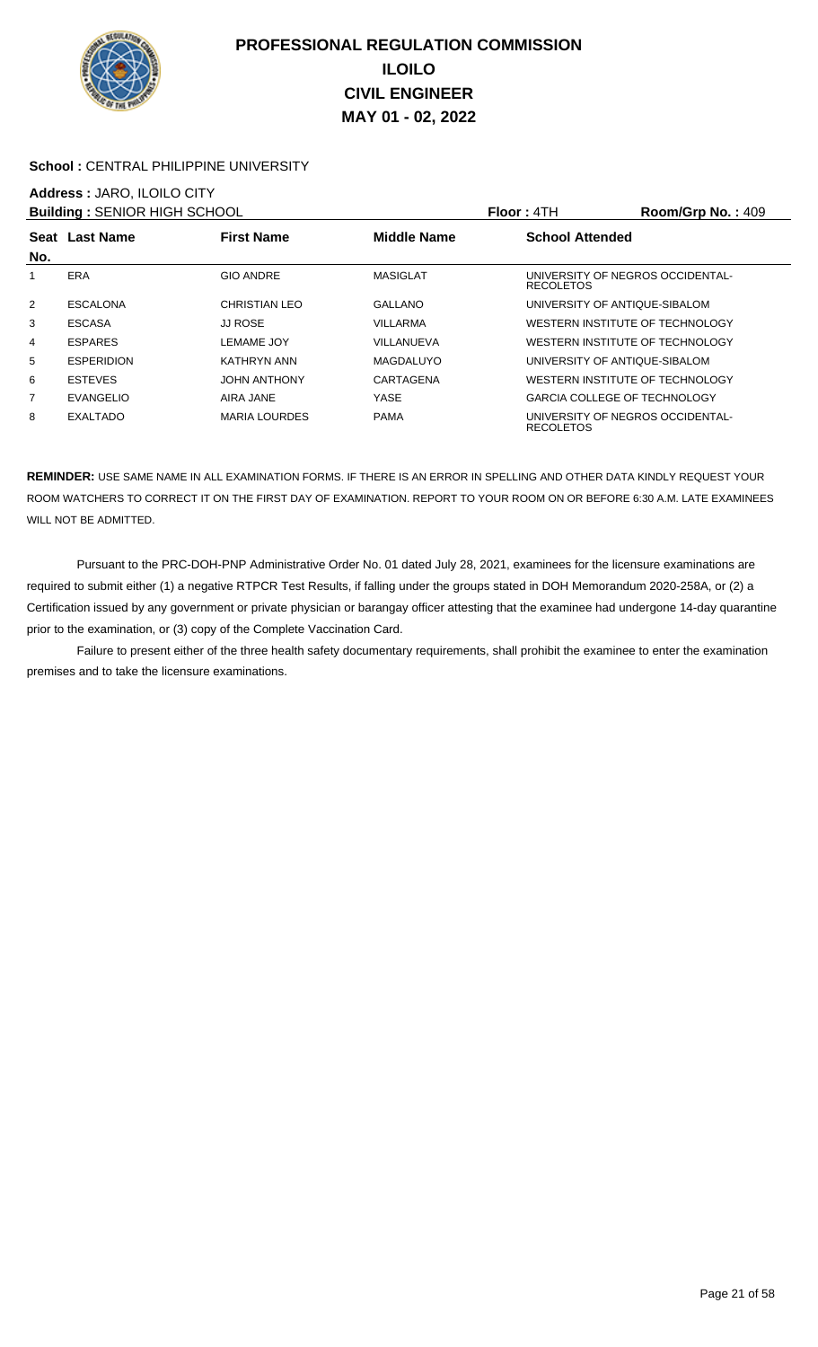

### School : CENTRAL PHILIPPINE UNIVERSITY

### **Address :** JARO, ILOILO CITY

| <b>Building: SENIOR HIGH SCHOOL</b> |                   |                      |                    | Floor: 4TH                                           | Room/Grp No.: 409 |
|-------------------------------------|-------------------|----------------------|--------------------|------------------------------------------------------|-------------------|
| Seat                                | <b>Last Name</b>  | <b>First Name</b>    | <b>Middle Name</b> | <b>School Attended</b>                               |                   |
| No.                                 |                   |                      |                    |                                                      |                   |
|                                     | ERA               | <b>GIO ANDRE</b>     | <b>MASIGLAT</b>    | UNIVERSITY OF NEGROS OCCIDENTAL-<br><b>RECOLETOS</b> |                   |
| $\overline{2}$                      | <b>ESCALONA</b>   | <b>CHRISTIAN LEO</b> | GALLANO            | UNIVERSITY OF ANTIQUE-SIBALOM                        |                   |
| 3                                   | <b>ESCASA</b>     | <b>JJ ROSE</b>       | <b>VILLARMA</b>    | WESTERN INSTITUTE OF TECHNOLOGY                      |                   |
| 4                                   | <b>ESPARES</b>    | <b>LEMAME JOY</b>    | VILLANUEVA         | WESTERN INSTITUTE OF TECHNOLOGY                      |                   |
| 5                                   | <b>ESPERIDION</b> | KATHRYN ANN          | MAGDALUYO          | UNIVERSITY OF ANTIQUE-SIBALOM                        |                   |
| 6                                   | <b>ESTEVES</b>    | <b>JOHN ANTHONY</b>  | CARTAGENA          | WESTERN INSTITUTE OF TECHNOLOGY                      |                   |
| 7                                   | EVANGELIO         | AIRA JANE            | <b>YASE</b>        | <b>GARCIA COLLEGE OF TECHNOLOGY</b>                  |                   |
| 8                                   | <b>EXALTADO</b>   | <b>MARIA LOURDES</b> | <b>PAMA</b>        | UNIVERSITY OF NEGROS OCCIDENTAL-<br><b>RECOLETOS</b> |                   |

**REMINDER:** USE SAME NAME IN ALL EXAMINATION FORMS. IF THERE IS AN ERROR IN SPELLING AND OTHER DATA KINDLY REQUEST YOUR ROOM WATCHERS TO CORRECT IT ON THE FIRST DAY OF EXAMINATION. REPORT TO YOUR ROOM ON OR BEFORE 6:30 A.M. LATE EXAMINEES WILL NOT BE ADMITTED.

 Pursuant to the PRC-DOH-PNP Administrative Order No. 01 dated July 28, 2021, examinees for the licensure examinations are required to submit either (1) a negative RTPCR Test Results, if falling under the groups stated in DOH Memorandum 2020-258A, or (2) a Certification issued by any government or private physician or barangay officer attesting that the examinee had undergone 14-day quarantine prior to the examination, or (3) copy of the Complete Vaccination Card.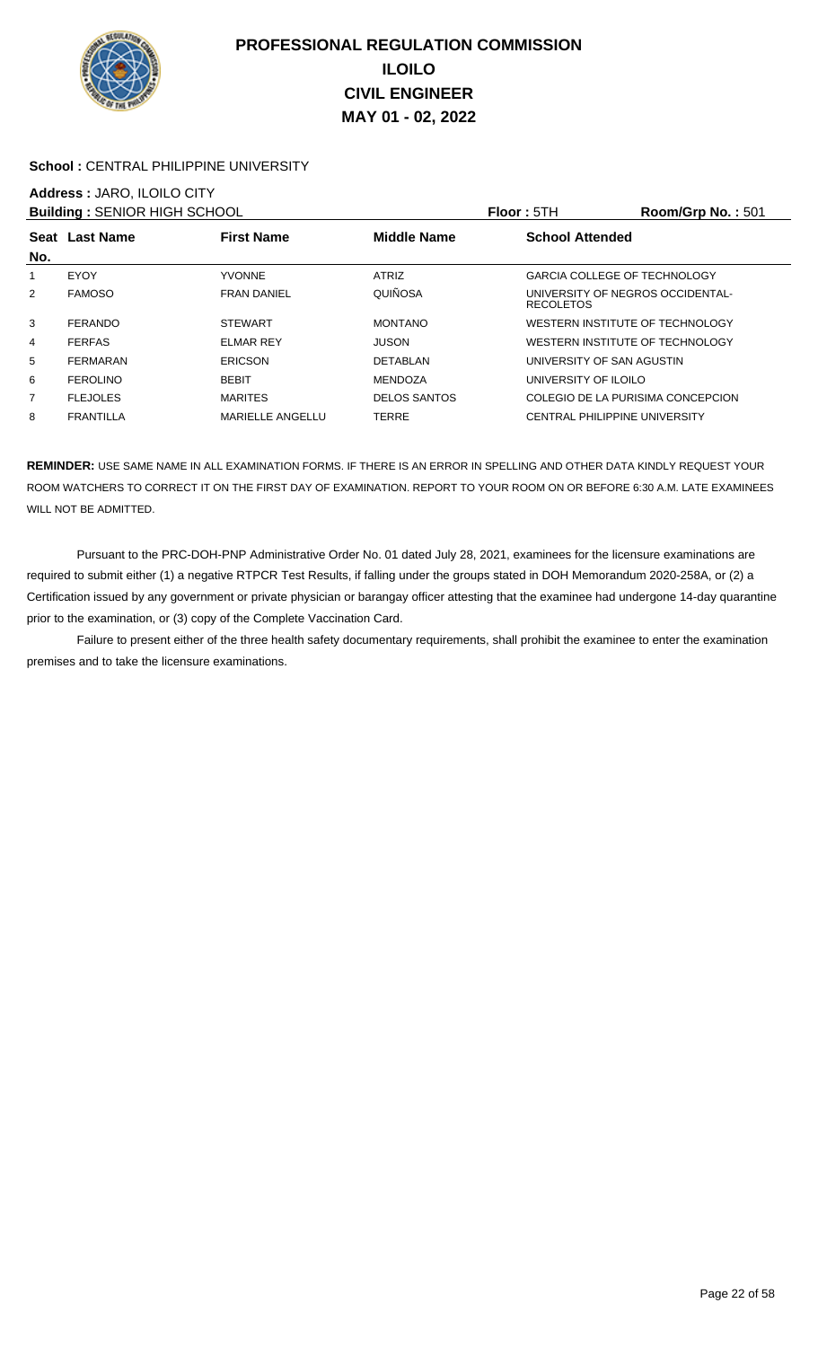

### School : CENTRAL PHILIPPINE UNIVERSITY

# **Address :** JARO, ILOILO CITY

| <b>Building: SENIOR HIGH SCHOOL</b> |                  |                         |                     | <b>Floor: 5TH</b>                                    | Room/Grp No.: 501 |
|-------------------------------------|------------------|-------------------------|---------------------|------------------------------------------------------|-------------------|
| No.                                 | Seat Last Name   | <b>First Name</b>       | Middle Name         | <b>School Attended</b>                               |                   |
|                                     | EYOY             | <b>YVONNE</b>           | <b>ATRIZ</b>        | <b>GARCIA COLLEGE OF TECHNOLOGY</b>                  |                   |
| $\overline{2}$                      | <b>FAMOSO</b>    | <b>FRAN DANIEL</b>      | QUIÑOSA             | UNIVERSITY OF NEGROS OCCIDENTAL-<br><b>RECOLETOS</b> |                   |
| 3                                   | <b>FERANDO</b>   | <b>STEWART</b>          | <b>MONTANO</b>      | WESTERN INSTITUTE OF TECHNOLOGY                      |                   |
| 4                                   | <b>FERFAS</b>    | <b>ELMAR REY</b>        | <b>JUSON</b>        | WESTERN INSTITUTE OF TECHNOLOGY                      |                   |
| 5                                   | FERMARAN         | <b>ERICSON</b>          | DETABLAN            | UNIVERSITY OF SAN AGUSTIN                            |                   |
| 6                                   | <b>FEROLINO</b>  | <b>BEBIT</b>            | <b>MENDOZA</b>      | UNIVERSITY OF ILOILO                                 |                   |
| 7                                   | <b>FLEJOLES</b>  | <b>MARITES</b>          | <b>DELOS SANTOS</b> | COLEGIO DE LA PURISIMA CONCEPCION                    |                   |
| 8                                   | <b>FRANTILLA</b> | <b>MARIELLE ANGELLU</b> | <b>TERRE</b>        | CENTRAL PHILIPPINE UNIVERSITY                        |                   |

**REMINDER:** USE SAME NAME IN ALL EXAMINATION FORMS. IF THERE IS AN ERROR IN SPELLING AND OTHER DATA KINDLY REQUEST YOUR ROOM WATCHERS TO CORRECT IT ON THE FIRST DAY OF EXAMINATION. REPORT TO YOUR ROOM ON OR BEFORE 6:30 A.M. LATE EXAMINEES WILL NOT BE ADMITTED.

 Pursuant to the PRC-DOH-PNP Administrative Order No. 01 dated July 28, 2021, examinees for the licensure examinations are required to submit either (1) a negative RTPCR Test Results, if falling under the groups stated in DOH Memorandum 2020-258A, or (2) a Certification issued by any government or private physician or barangay officer attesting that the examinee had undergone 14-day quarantine prior to the examination, or (3) copy of the Complete Vaccination Card.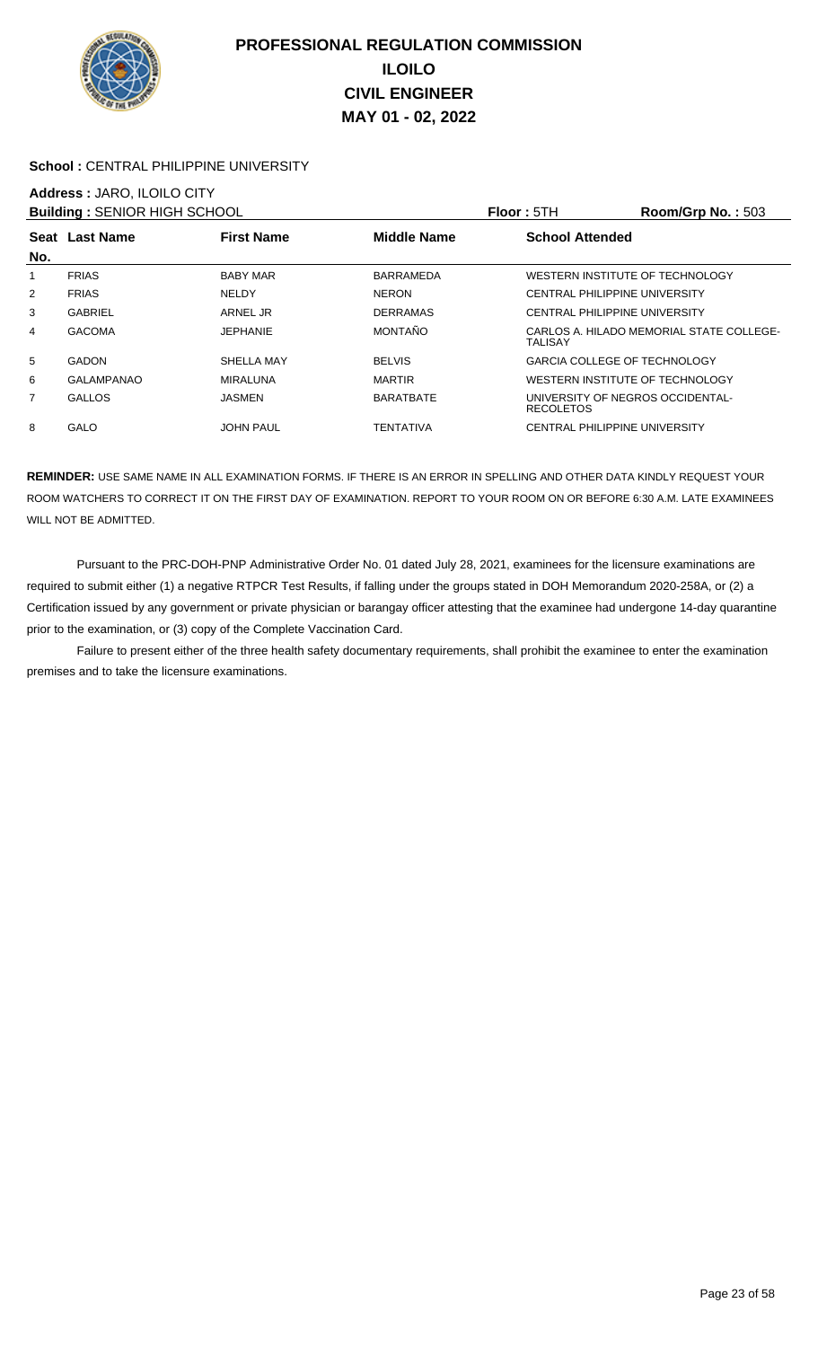

### School : CENTRAL PHILIPPINE UNIVERSITY

## **Address :** JARO, ILOILO CITY

|                   |                   |                                     |                                                      | Room/Grp No.: 503                        |
|-------------------|-------------------|-------------------------------------|------------------------------------------------------|------------------------------------------|
| Seat Last Name    | <b>First Name</b> | <b>Middle Name</b>                  | <b>School Attended</b>                               |                                          |
|                   |                   |                                     |                                                      |                                          |
| <b>FRIAS</b>      | <b>BABY MAR</b>   | <b>BARRAMEDA</b>                    | WESTERN INSTITUTE OF TECHNOLOGY                      |                                          |
| <b>FRIAS</b>      | <b>NELDY</b>      | <b>NERON</b>                        | <b>CENTRAL PHILIPPINE UNIVERSITY</b>                 |                                          |
| <b>GABRIEL</b>    | ARNEL JR          | <b>DERRAMAS</b>                     | <b>CENTRAL PHILIPPINE UNIVERSITY</b>                 |                                          |
| <b>GACOMA</b>     | <b>JEPHANIE</b>   | MONTAÑO                             | TALISAY                                              | CARLOS A. HILADO MEMORIAL STATE COLLEGE- |
| <b>GADON</b>      | SHELLA MAY        | <b>BELVIS</b>                       | <b>GARCIA COLLEGE OF TECHNOLOGY</b>                  |                                          |
| <b>GALAMPANAO</b> | <b>MIRALUNA</b>   | <b>MARTIR</b>                       | WESTERN INSTITUTE OF TECHNOLOGY                      |                                          |
| <b>GALLOS</b>     | <b>JASMEN</b>     | <b>BARATBATE</b>                    | UNIVERSITY OF NEGROS OCCIDENTAL-<br><b>RECOLETOS</b> |                                          |
| <b>GALO</b>       | <b>JOHN PAUL</b>  | TENTATIVA                           | CENTRAL PHILIPPINE UNIVERSITY                        |                                          |
|                   |                   | <b>Building: SENIOR HIGH SCHOOL</b> |                                                      | <b>Floor: 5TH</b>                        |

**REMINDER:** USE SAME NAME IN ALL EXAMINATION FORMS. IF THERE IS AN ERROR IN SPELLING AND OTHER DATA KINDLY REQUEST YOUR ROOM WATCHERS TO CORRECT IT ON THE FIRST DAY OF EXAMINATION. REPORT TO YOUR ROOM ON OR BEFORE 6:30 A.M. LATE EXAMINEES WILL NOT BE ADMITTED.

 Pursuant to the PRC-DOH-PNP Administrative Order No. 01 dated July 28, 2021, examinees for the licensure examinations are required to submit either (1) a negative RTPCR Test Results, if falling under the groups stated in DOH Memorandum 2020-258A, or (2) a Certification issued by any government or private physician or barangay officer attesting that the examinee had undergone 14-day quarantine prior to the examination, or (3) copy of the Complete Vaccination Card.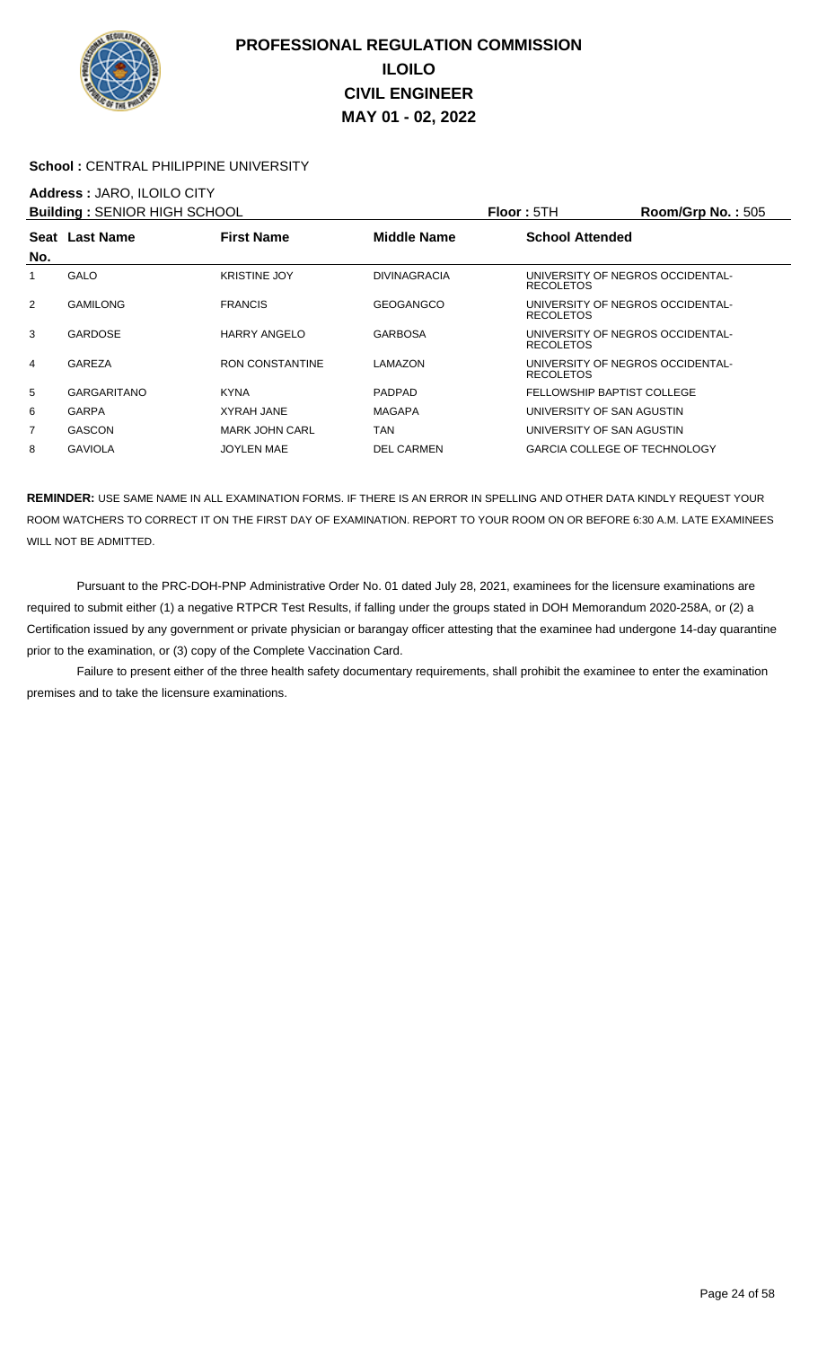

### School : CENTRAL PHILIPPINE UNIVERSITY

### **Address :** JARO, ILOILO CITY

| <b>Building: SENIOR HIGH SCHOOL</b> |                    |                        |                     | <b>Floor: 5TH</b>                                    | <b>Room/Grp No.: 505</b> |
|-------------------------------------|--------------------|------------------------|---------------------|------------------------------------------------------|--------------------------|
| Seat                                | <b>Last Name</b>   | <b>First Name</b>      | <b>Middle Name</b>  | <b>School Attended</b>                               |                          |
| No.                                 |                    |                        |                     |                                                      |                          |
|                                     | <b>GALO</b>        | <b>KRISTINE JOY</b>    | <b>DIVINAGRACIA</b> | UNIVERSITY OF NEGROS OCCIDENTAL-<br><b>RECOLETOS</b> |                          |
| $\overline{2}$                      | <b>GAMILONG</b>    | <b>FRANCIS</b>         | <b>GEOGANGCO</b>    | UNIVERSITY OF NEGROS OCCIDENTAL-<br><b>RECOLETOS</b> |                          |
| 3                                   | <b>GARDOSE</b>     | <b>HARRY ANGELO</b>    | <b>GARBOSA</b>      | UNIVERSITY OF NEGROS OCCIDENTAL-<br><b>RECOLETOS</b> |                          |
| 4                                   | GAREZA             | <b>RON CONSTANTINE</b> | LAMAZON             | UNIVERSITY OF NEGROS OCCIDENTAL-<br><b>RECOLETOS</b> |                          |
| 5                                   | <b>GARGARITANO</b> | <b>KYNA</b>            | <b>PADPAD</b>       | <b>FELLOWSHIP BAPTIST COLLEGE</b>                    |                          |
| 6                                   | <b>GARPA</b>       | <b>XYRAH JANE</b>      | <b>MAGAPA</b>       | UNIVERSITY OF SAN AGUSTIN                            |                          |
| 7                                   | <b>GASCON</b>      | <b>MARK JOHN CARL</b>  | TAN                 | UNIVERSITY OF SAN AGUSTIN                            |                          |
| 8                                   | <b>GAVIOLA</b>     | <b>JOYLEN MAE</b>      | <b>DEL CARMEN</b>   | <b>GARCIA COLLEGE OF TECHNOLOGY</b>                  |                          |

**REMINDER:** USE SAME NAME IN ALL EXAMINATION FORMS. IF THERE IS AN ERROR IN SPELLING AND OTHER DATA KINDLY REQUEST YOUR ROOM WATCHERS TO CORRECT IT ON THE FIRST DAY OF EXAMINATION. REPORT TO YOUR ROOM ON OR BEFORE 6:30 A.M. LATE EXAMINEES WILL NOT BE ADMITTED.

 Pursuant to the PRC-DOH-PNP Administrative Order No. 01 dated July 28, 2021, examinees for the licensure examinations are required to submit either (1) a negative RTPCR Test Results, if falling under the groups stated in DOH Memorandum 2020-258A, or (2) a Certification issued by any government or private physician or barangay officer attesting that the examinee had undergone 14-day quarantine prior to the examination, or (3) copy of the Complete Vaccination Card.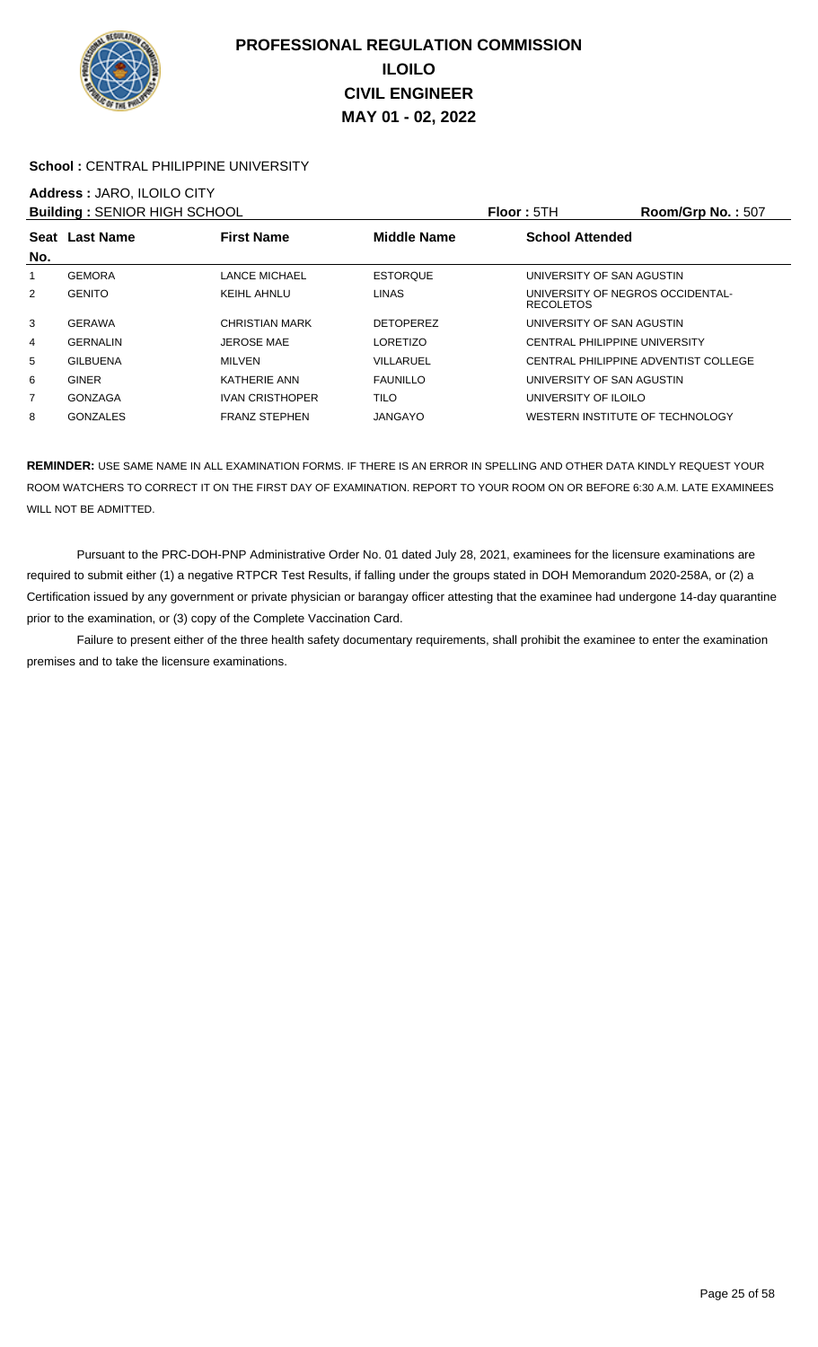

### School : CENTRAL PHILIPPINE UNIVERSITY

## **Address :** JARO, ILOILO CITY

| <b>Building: SENIOR HIGH SCHOOL</b> |                 |                        |                    | Floor: 5TH                                           | Room/Grp No.: 507                    |
|-------------------------------------|-----------------|------------------------|--------------------|------------------------------------------------------|--------------------------------------|
| No.                                 | Seat Last Name  | <b>First Name</b>      | <b>Middle Name</b> | <b>School Attended</b>                               |                                      |
| 1                                   | <b>GEMORA</b>   | LANCE MICHAEL          | <b>ESTORQUE</b>    | UNIVERSITY OF SAN AGUSTIN                            |                                      |
| $\overline{2}$                      | <b>GENITO</b>   | KEIHL AHNLU            | <b>LINAS</b>       | UNIVERSITY OF NEGROS OCCIDENTAL-<br><b>RECOLETOS</b> |                                      |
| 3                                   | <b>GERAWA</b>   | CHRISTIAN MARK         | <b>DETOPEREZ</b>   | UNIVERSITY OF SAN AGUSTIN                            |                                      |
| 4                                   | <b>GERNALIN</b> | <b>JEROSE MAE</b>      | <b>LORETIZO</b>    | <b>CENTRAL PHILIPPINE UNIVERSITY</b>                 |                                      |
| 5                                   | <b>GILBUENA</b> | <b>MILVEN</b>          | VILLARUEL          |                                                      | CENTRAL PHILIPPINE ADVENTIST COLLEGE |
| 6                                   | <b>GINER</b>    | <b>KATHERIE ANN</b>    | <b>FAUNILLO</b>    | UNIVERSITY OF SAN AGUSTIN                            |                                      |
| 7                                   | <b>GONZAGA</b>  | <b>IVAN CRISTHOPER</b> | <b>TILO</b>        | UNIVERSITY OF ILOILO                                 |                                      |
| 8                                   | <b>GONZALES</b> | <b>FRANZ STEPHEN</b>   | <b>JANGAYO</b>     | WESTERN INSTITUTE OF TECHNOLOGY                      |                                      |

**REMINDER:** USE SAME NAME IN ALL EXAMINATION FORMS. IF THERE IS AN ERROR IN SPELLING AND OTHER DATA KINDLY REQUEST YOUR ROOM WATCHERS TO CORRECT IT ON THE FIRST DAY OF EXAMINATION. REPORT TO YOUR ROOM ON OR BEFORE 6:30 A.M. LATE EXAMINEES WILL NOT BE ADMITTED.

 Pursuant to the PRC-DOH-PNP Administrative Order No. 01 dated July 28, 2021, examinees for the licensure examinations are required to submit either (1) a negative RTPCR Test Results, if falling under the groups stated in DOH Memorandum 2020-258A, or (2) a Certification issued by any government or private physician or barangay officer attesting that the examinee had undergone 14-day quarantine prior to the examination, or (3) copy of the Complete Vaccination Card.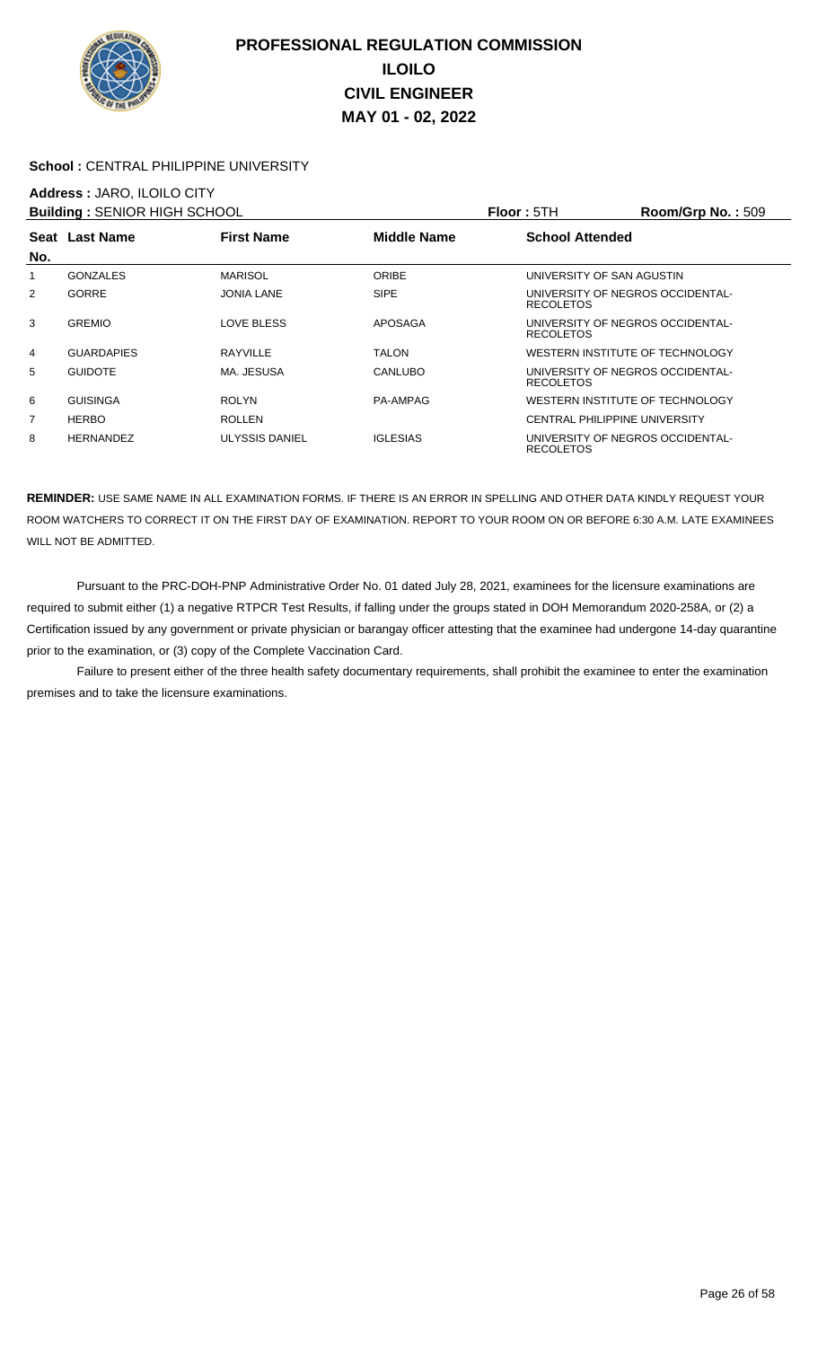

### School : CENTRAL PHILIPPINE UNIVERSITY

## **Address :** JARO, ILOILO CITY

| <b>Building: SENIOR HIGH SCHOOL</b> |                   |                   |                 | <b>Floor: 5TH</b>                                    | Room/Grp No.: 509 |
|-------------------------------------|-------------------|-------------------|-----------------|------------------------------------------------------|-------------------|
|                                     | Seat Last Name    | <b>First Name</b> | Middle Name     | <b>School Attended</b>                               |                   |
| No.                                 |                   |                   |                 |                                                      |                   |
| 1                                   | <b>GONZALES</b>   | <b>MARISOL</b>    | <b>ORIBE</b>    | UNIVERSITY OF SAN AGUSTIN                            |                   |
| $\overline{2}$                      | <b>GORRE</b>      | <b>JONIA LANE</b> | <b>SIPE</b>     | UNIVERSITY OF NEGROS OCCIDENTAL-<br><b>RECOLETOS</b> |                   |
| 3                                   | <b>GREMIO</b>     | LOVE BLESS        | <b>APOSAGA</b>  | UNIVERSITY OF NEGROS OCCIDENTAL-<br><b>RECOLETOS</b> |                   |
| 4                                   | <b>GUARDAPIES</b> | RAYVILLE          | TALON           | WESTERN INSTITUTE OF TECHNOLOGY                      |                   |
| 5                                   | <b>GUIDOTE</b>    | MA. JESUSA        | <b>CANLUBO</b>  | UNIVERSITY OF NEGROS OCCIDENTAL-<br><b>RECOLETOS</b> |                   |
| 6                                   | <b>GUISINGA</b>   | <b>ROLYN</b>      | PA-AMPAG        | WESTERN INSTITUTE OF TECHNOLOGY                      |                   |
| $\overline{7}$                      | <b>HERBO</b>      | <b>ROLLEN</b>     |                 | CENTRAL PHILIPPINE UNIVERSITY                        |                   |
| 8                                   | <b>HERNANDEZ</b>  | ULYSSIS DANIEL    | <b>IGLESIAS</b> | UNIVERSITY OF NEGROS OCCIDENTAL-<br><b>RECOLETOS</b> |                   |

**REMINDER:** USE SAME NAME IN ALL EXAMINATION FORMS. IF THERE IS AN ERROR IN SPELLING AND OTHER DATA KINDLY REQUEST YOUR ROOM WATCHERS TO CORRECT IT ON THE FIRST DAY OF EXAMINATION. REPORT TO YOUR ROOM ON OR BEFORE 6:30 A.M. LATE EXAMINEES WILL NOT BE ADMITTED.

 Pursuant to the PRC-DOH-PNP Administrative Order No. 01 dated July 28, 2021, examinees for the licensure examinations are required to submit either (1) a negative RTPCR Test Results, if falling under the groups stated in DOH Memorandum 2020-258A, or (2) a Certification issued by any government or private physician or barangay officer attesting that the examinee had undergone 14-day quarantine prior to the examination, or (3) copy of the Complete Vaccination Card.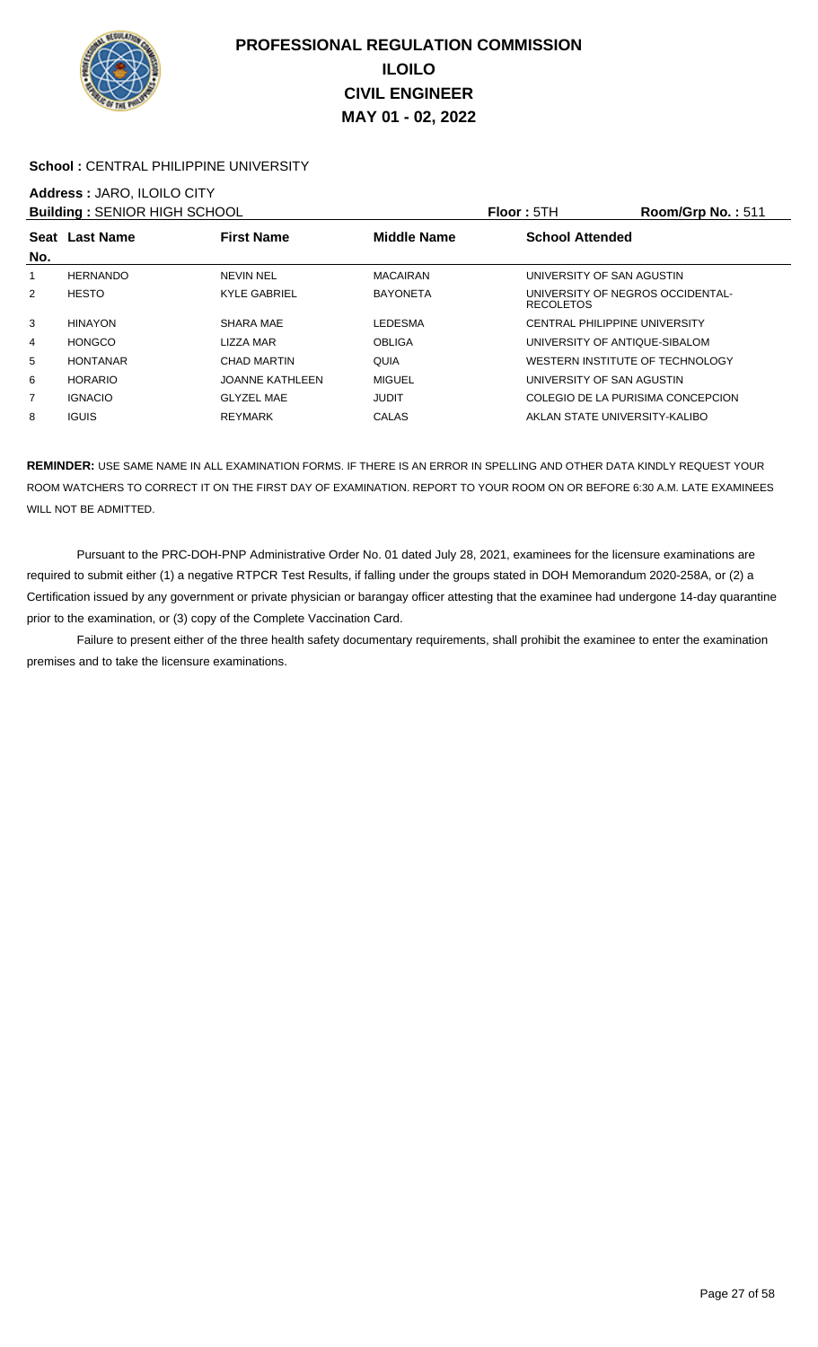

### School : CENTRAL PHILIPPINE UNIVERSITY

## **Address :** JARO, ILOILO CITY

| <b>Building: SENIOR HIGH SCHOOL</b> |                 |                        |                    | Floor: 5TH                                           | Room/Grp No.: 511 |
|-------------------------------------|-----------------|------------------------|--------------------|------------------------------------------------------|-------------------|
| No.                                 | Seat Last Name  | <b>First Name</b>      | <b>Middle Name</b> | <b>School Attended</b>                               |                   |
| 1                                   | <b>HERNANDO</b> | <b>NEVIN NEL</b>       | <b>MACAIRAN</b>    | UNIVERSITY OF SAN AGUSTIN                            |                   |
| 2                                   | <b>HESTO</b>    | <b>KYLE GABRIEL</b>    | <b>BAYONETA</b>    | UNIVERSITY OF NEGROS OCCIDENTAL-<br><b>RECOLETOS</b> |                   |
| 3                                   | <b>HINAYON</b>  | SHARA MAE              | <b>LEDESMA</b>     | CENTRAL PHILIPPINE UNIVERSITY                        |                   |
| 4                                   | <b>HONGCO</b>   | LIZZA MAR              | <b>OBLIGA</b>      | UNIVERSITY OF ANTIQUE-SIBALOM                        |                   |
| 5                                   | <b>HONTANAR</b> | <b>CHAD MARTIN</b>     | QUIA               | WESTERN INSTITUTE OF TECHNOLOGY                      |                   |
| 6                                   | <b>HORARIO</b>  | <b>JOANNE KATHLEEN</b> | <b>MIGUEL</b>      | UNIVERSITY OF SAN AGUSTIN                            |                   |
| 7                                   | <b>IGNACIO</b>  | <b>GLYZEL MAE</b>      | <b>JUDIT</b>       | COLEGIO DE LA PURISIMA CONCEPCION                    |                   |
| 8                                   | <b>IGUIS</b>    | REYMARK                | CALAS              | AKLAN STATE UNIVERSITY-KALIBO                        |                   |

**REMINDER:** USE SAME NAME IN ALL EXAMINATION FORMS. IF THERE IS AN ERROR IN SPELLING AND OTHER DATA KINDLY REQUEST YOUR ROOM WATCHERS TO CORRECT IT ON THE FIRST DAY OF EXAMINATION. REPORT TO YOUR ROOM ON OR BEFORE 6:30 A.M. LATE EXAMINEES WILL NOT BE ADMITTED.

 Pursuant to the PRC-DOH-PNP Administrative Order No. 01 dated July 28, 2021, examinees for the licensure examinations are required to submit either (1) a negative RTPCR Test Results, if falling under the groups stated in DOH Memorandum 2020-258A, or (2) a Certification issued by any government or private physician or barangay officer attesting that the examinee had undergone 14-day quarantine prior to the examination, or (3) copy of the Complete Vaccination Card.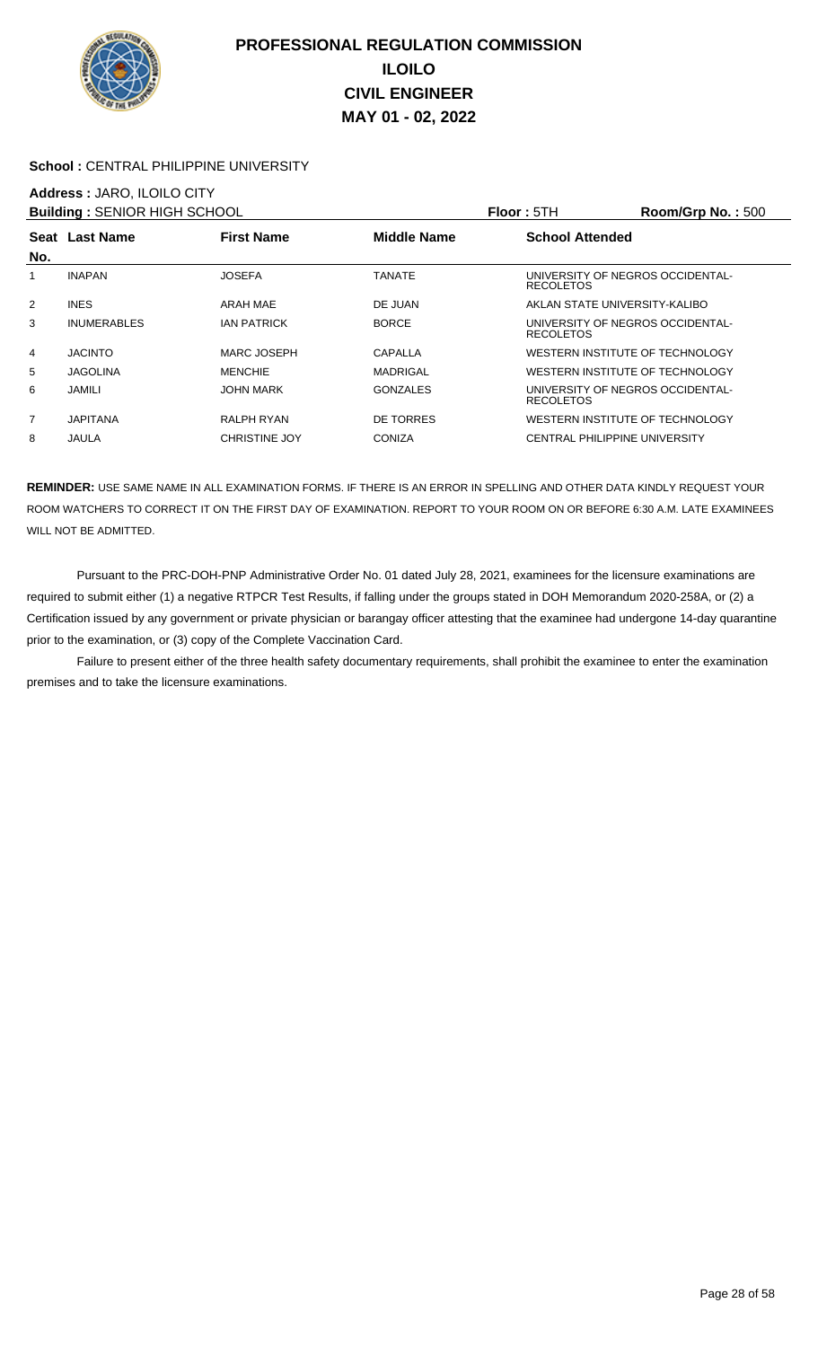

### **School :** CENTRAL PHILIPPINE UNIVERSITY

### **Address :** JARO, ILOILO CITY

| <b>Building: SENIOR HIGH SCHOOL</b> |                    |                      |                 | <b>Floor: 5TH</b>      | Room/Grp No.: 500                |
|-------------------------------------|--------------------|----------------------|-----------------|------------------------|----------------------------------|
|                                     | Seat Last Name     | <b>First Name</b>    | Middle Name     | <b>School Attended</b> |                                  |
| No.                                 |                    |                      |                 |                        |                                  |
|                                     | <b>INAPAN</b>      | <b>JOSEFA</b>        | TANATE          | <b>RECOLETOS</b>       | UNIVERSITY OF NEGROS OCCIDENTAL- |
| $\overline{2}$                      | <b>INES</b>        | ARAH MAE             | DE JUAN         |                        | AKLAN STATE UNIVERSITY-KALIBO    |
| 3                                   | <b>INUMERABLES</b> | <b>IAN PATRICK</b>   | <b>BORCE</b>    | <b>RECOLETOS</b>       | UNIVERSITY OF NEGROS OCCIDENTAL- |
| 4                                   | <b>JACINTO</b>     | MARC JOSEPH          | CAPALLA         |                        | WESTERN INSTITUTE OF TECHNOLOGY  |
| 5                                   | <b>JAGOLINA</b>    | <b>MENCHIE</b>       | <b>MADRIGAL</b> |                        | WESTERN INSTITUTE OF TECHNOLOGY  |
| 6                                   | <b>JAMILI</b>      | <b>JOHN MARK</b>     | <b>GONZALES</b> | <b>RECOLETOS</b>       | UNIVERSITY OF NEGROS OCCIDENTAL- |
| 7                                   | <b>JAPITANA</b>    | RALPH RYAN           | DE TORRES       |                        | WESTERN INSTITUTE OF TECHNOLOGY  |
| 8                                   | JAULA              | <b>CHRISTINE JOY</b> | <b>CONIZA</b>   |                        | CENTRAL PHILIPPINE UNIVERSITY    |

**REMINDER:** USE SAME NAME IN ALL EXAMINATION FORMS. IF THERE IS AN ERROR IN SPELLING AND OTHER DATA KINDLY REQUEST YOUR ROOM WATCHERS TO CORRECT IT ON THE FIRST DAY OF EXAMINATION. REPORT TO YOUR ROOM ON OR BEFORE 6:30 A.M. LATE EXAMINEES WILL NOT BE ADMITTED.

 Pursuant to the PRC-DOH-PNP Administrative Order No. 01 dated July 28, 2021, examinees for the licensure examinations are required to submit either (1) a negative RTPCR Test Results, if falling under the groups stated in DOH Memorandum 2020-258A, or (2) a Certification issued by any government or private physician or barangay officer attesting that the examinee had undergone 14-day quarantine prior to the examination, or (3) copy of the Complete Vaccination Card.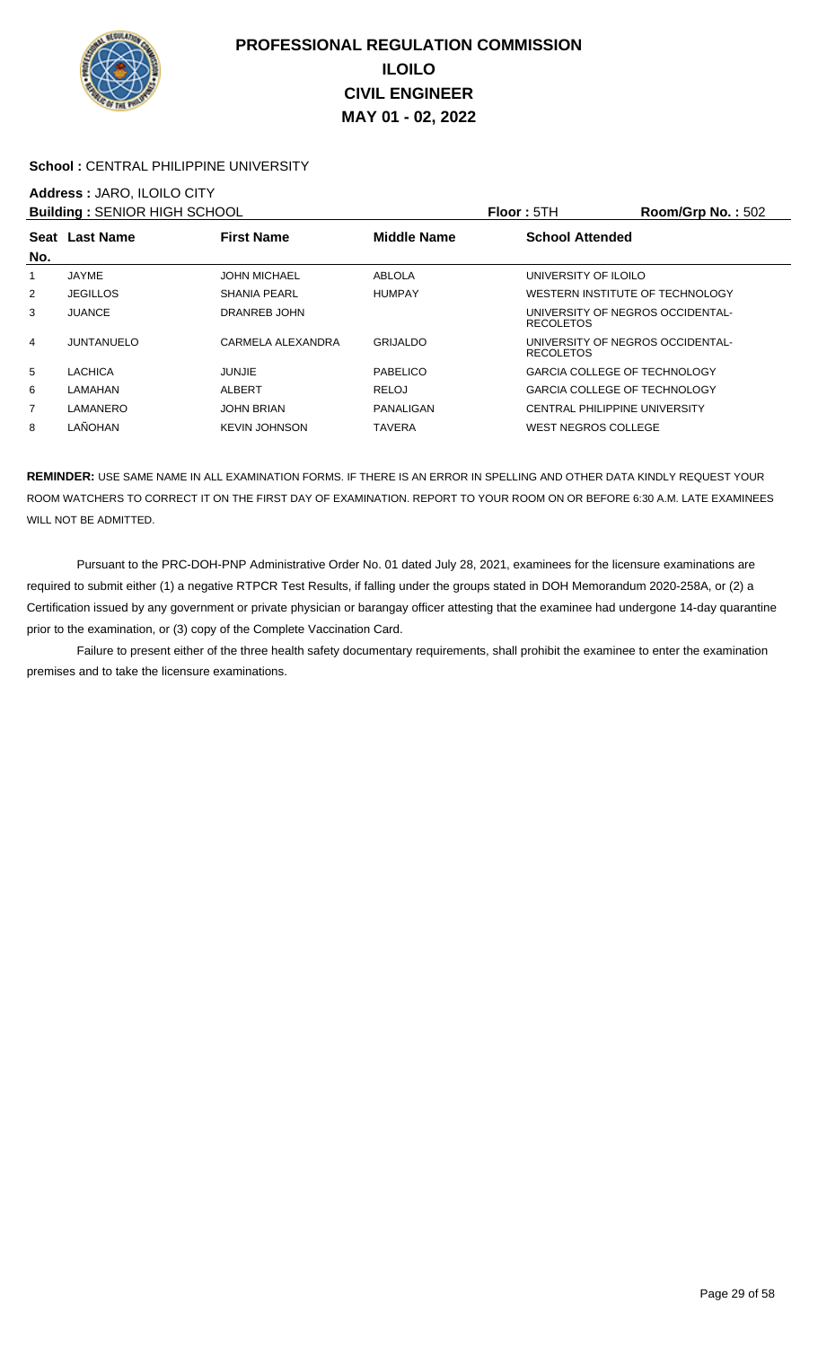

### School : CENTRAL PHILIPPINE UNIVERSITY

## **Address :** JARO, ILOILO CITY

| <b>Building: SENIOR HIGH SCHOOL</b> |                   |                      |                    | <b>Floor: 5TH</b>                                    | Room/Grp No.: 502 |
|-------------------------------------|-------------------|----------------------|--------------------|------------------------------------------------------|-------------------|
|                                     | Seat Last Name    | <b>First Name</b>    | <b>Middle Name</b> | <b>School Attended</b>                               |                   |
| No.                                 |                   |                      |                    |                                                      |                   |
| 1                                   | JAYME             | <b>JOHN MICHAEL</b>  | ABLOLA             | UNIVERSITY OF ILOILO                                 |                   |
| 2                                   | <b>JEGILLOS</b>   | <b>SHANIA PEARL</b>  | <b>HUMPAY</b>      | WESTERN INSTITUTE OF TECHNOLOGY                      |                   |
| 3                                   | <b>JUANCE</b>     | DRANREB JOHN         |                    | UNIVERSITY OF NEGROS OCCIDENTAL-<br><b>RECOLETOS</b> |                   |
| 4                                   | <b>JUNTANUELO</b> | CARMELA ALEXANDRA    | <b>GRIJALDO</b>    | UNIVERSITY OF NEGROS OCCIDENTAL-<br><b>RECOLETOS</b> |                   |
| 5                                   | LACHICA           | <b>JUNJIE</b>        | PABELICO           | <b>GARCIA COLLEGE OF TECHNOLOGY</b>                  |                   |
| 6                                   | LAMAHAN           | <b>ALBERT</b>        | RELOJ              | <b>GARCIA COLLEGE OF TECHNOLOGY</b>                  |                   |
| 7                                   | LAMANERO          | <b>JOHN BRIAN</b>    | PANALIGAN          | CENTRAL PHILIPPINE UNIVERSITY                        |                   |
| 8                                   | LAÑOHAN           | <b>KEVIN JOHNSON</b> | <b>TAVERA</b>      | WEST NEGROS COLLEGE                                  |                   |

**REMINDER:** USE SAME NAME IN ALL EXAMINATION FORMS. IF THERE IS AN ERROR IN SPELLING AND OTHER DATA KINDLY REQUEST YOUR ROOM WATCHERS TO CORRECT IT ON THE FIRST DAY OF EXAMINATION. REPORT TO YOUR ROOM ON OR BEFORE 6:30 A.M. LATE EXAMINEES WILL NOT BE ADMITTED.

 Pursuant to the PRC-DOH-PNP Administrative Order No. 01 dated July 28, 2021, examinees for the licensure examinations are required to submit either (1) a negative RTPCR Test Results, if falling under the groups stated in DOH Memorandum 2020-258A, or (2) a Certification issued by any government or private physician or barangay officer attesting that the examinee had undergone 14-day quarantine prior to the examination, or (3) copy of the Complete Vaccination Card.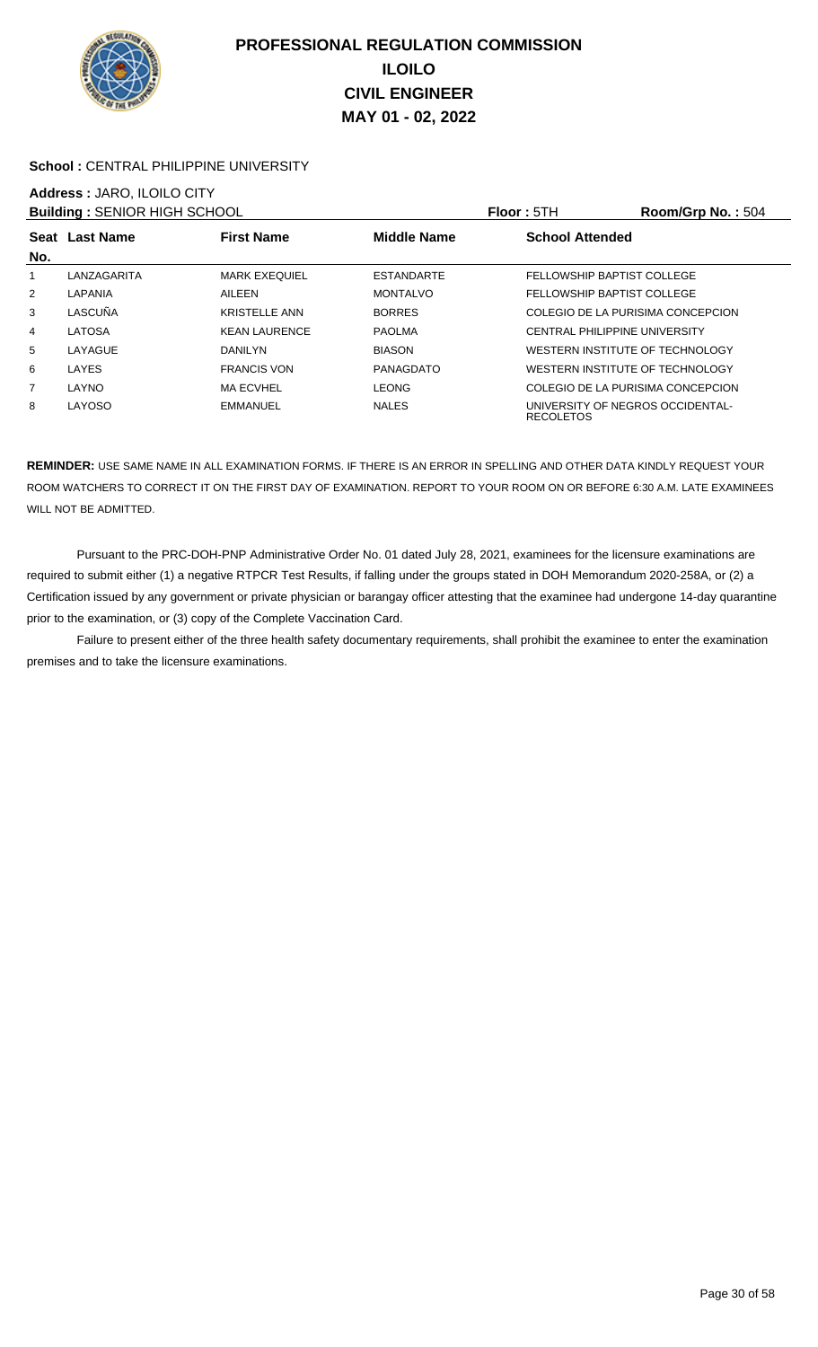

### School : CENTRAL PHILIPPINE UNIVERSITY

# **Address :** JARO, ILOILO CITY

| <b>Building: SENIOR HIGH SCHOOL</b> |                |                      |                    | <b>Floor: 5TH</b>      | Room/Grp No.: 504                    |
|-------------------------------------|----------------|----------------------|--------------------|------------------------|--------------------------------------|
|                                     | Seat Last Name | <b>First Name</b>    | <b>Middle Name</b> | <b>School Attended</b> |                                      |
| No.                                 |                |                      |                    |                        |                                      |
|                                     | LANZAGARITA    | <b>MARK EXEQUIEL</b> | <b>ESTANDARTE</b>  |                        | FELLOWSHIP BAPTIST COLLEGE           |
| 2                                   | LAPANIA        | AILEEN               | <b>MONTALVO</b>    |                        | FELLOWSHIP BAPTIST COLLEGE           |
| 3                                   | LASCUÑA        | <b>KRISTELLE ANN</b> | <b>BORRES</b>      |                        | COLEGIO DE LA PURISIMA CONCEPCION    |
| 4                                   | LATOSA         | <b>KEAN LAURENCE</b> | <b>PAOLMA</b>      |                        | <b>CENTRAL PHILIPPINE UNIVERSITY</b> |
| 5                                   | LAYAGUE        | <b>DANILYN</b>       | <b>BIASON</b>      |                        | WESTERN INSTITUTE OF TECHNOLOGY      |
| 6                                   | LAYES          | <b>FRANCIS VON</b>   | PANAGDATO          |                        | WESTERN INSTITUTE OF TECHNOLOGY      |
| 7                                   | LAYNO          | <b>MA ECVHEL</b>     | <b>LEONG</b>       |                        | COLEGIO DE LA PURISIMA CONCEPCION    |
| 8                                   | LAYOSO         | <b>EMMANUEL</b>      | <b>NALES</b>       | <b>RECOLETOS</b>       | UNIVERSITY OF NEGROS OCCIDENTAL-     |

**REMINDER:** USE SAME NAME IN ALL EXAMINATION FORMS. IF THERE IS AN ERROR IN SPELLING AND OTHER DATA KINDLY REQUEST YOUR ROOM WATCHERS TO CORRECT IT ON THE FIRST DAY OF EXAMINATION. REPORT TO YOUR ROOM ON OR BEFORE 6:30 A.M. LATE EXAMINEES WILL NOT BE ADMITTED.

 Pursuant to the PRC-DOH-PNP Administrative Order No. 01 dated July 28, 2021, examinees for the licensure examinations are required to submit either (1) a negative RTPCR Test Results, if falling under the groups stated in DOH Memorandum 2020-258A, or (2) a Certification issued by any government or private physician or barangay officer attesting that the examinee had undergone 14-day quarantine prior to the examination, or (3) copy of the Complete Vaccination Card.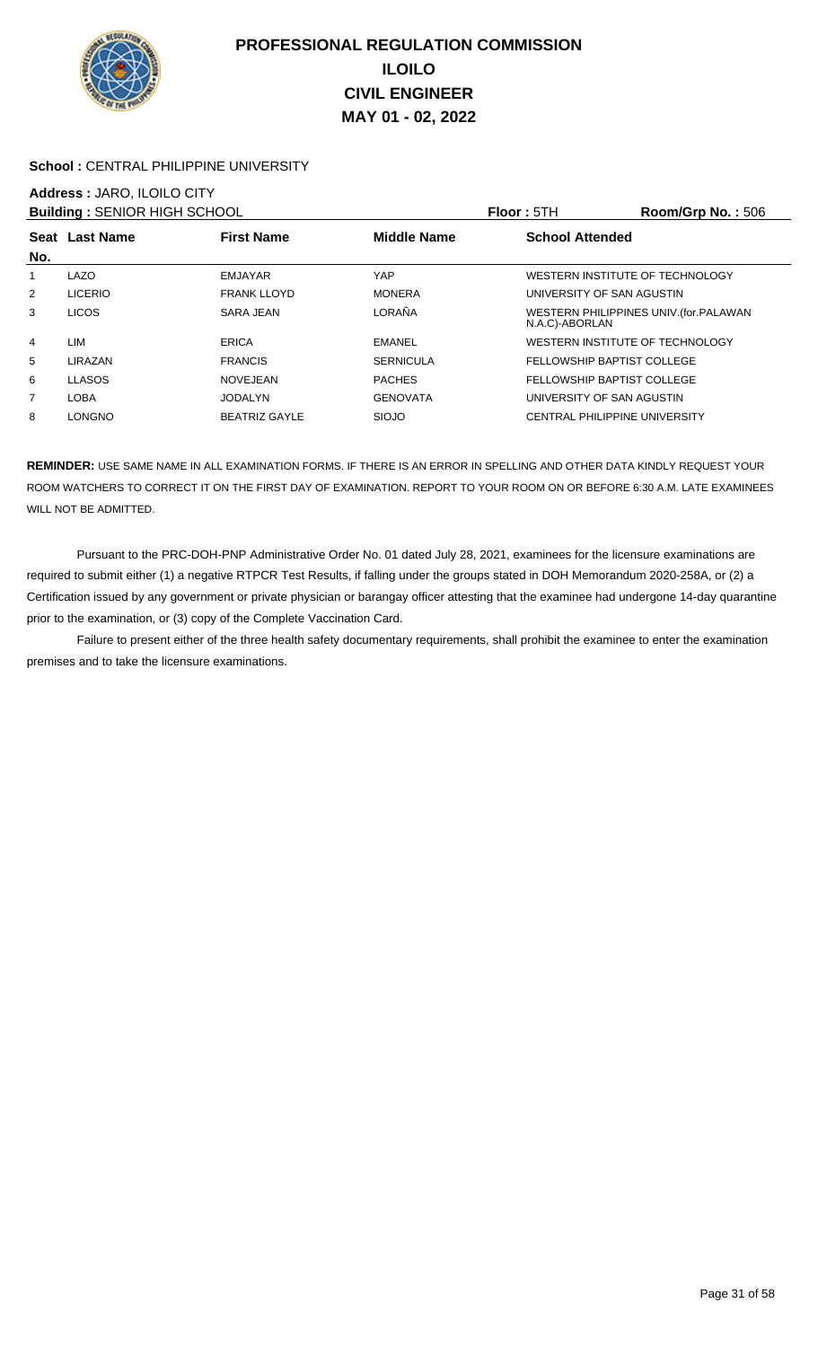

### School : CENTRAL PHILIPPINE UNIVERSITY

# **Address :** JARO, ILOILO CITY

| <b>Building: SENIOR HIGH SCHOOL</b> |                |                      |                    | Floor: 5TH                      | Room/Grp No.: 506                       |
|-------------------------------------|----------------|----------------------|--------------------|---------------------------------|-----------------------------------------|
| No.                                 | Seat Last Name | <b>First Name</b>    | <b>Middle Name</b> | <b>School Attended</b>          |                                         |
|                                     | LAZO           | EMJAYAR              | YAP                | WESTERN INSTITUTE OF TECHNOLOGY |                                         |
| 2                                   | <b>LICERIO</b> | <b>FRANK LLOYD</b>   | <b>MONERA</b>      | UNIVERSITY OF SAN AGUSTIN       |                                         |
| 3                                   | <b>LICOS</b>   | SARA JEAN            | LORAÑA             | N.A.C)-ABORLAN                  | WESTERN PHILIPPINES UNIV. (for. PALAWAN |
| 4                                   | LIM            | ERICA                | <b>EMANEL</b>      | WESTERN INSTITUTE OF TECHNOLOGY |                                         |
| 5                                   | LIRAZAN        | <b>FRANCIS</b>       | <b>SERNICULA</b>   | FELLOWSHIP BAPTIST COLLEGE      |                                         |
| 6                                   | <b>LLASOS</b>  | NOVEJEAN             | <b>PACHES</b>      | FELLOWSHIP BAPTIST COLLEGE      |                                         |
| $\overline{7}$                      | LOBA           | JODALYN              | <b>GENOVATA</b>    | UNIVERSITY OF SAN AGUSTIN       |                                         |
| 8                                   | LONGNO         | <b>BEATRIZ GAYLE</b> | SIOJO              | CENTRAL PHILIPPINE UNIVERSITY   |                                         |

**REMINDER:** USE SAME NAME IN ALL EXAMINATION FORMS. IF THERE IS AN ERROR IN SPELLING AND OTHER DATA KINDLY REQUEST YOUR ROOM WATCHERS TO CORRECT IT ON THE FIRST DAY OF EXAMINATION. REPORT TO YOUR ROOM ON OR BEFORE 6:30 A.M. LATE EXAMINEES WILL NOT BE ADMITTED.

 Pursuant to the PRC-DOH-PNP Administrative Order No. 01 dated July 28, 2021, examinees for the licensure examinations are required to submit either (1) a negative RTPCR Test Results, if falling under the groups stated in DOH Memorandum 2020-258A, or (2) a Certification issued by any government or private physician or barangay officer attesting that the examinee had undergone 14-day quarantine prior to the examination, or (3) copy of the Complete Vaccination Card.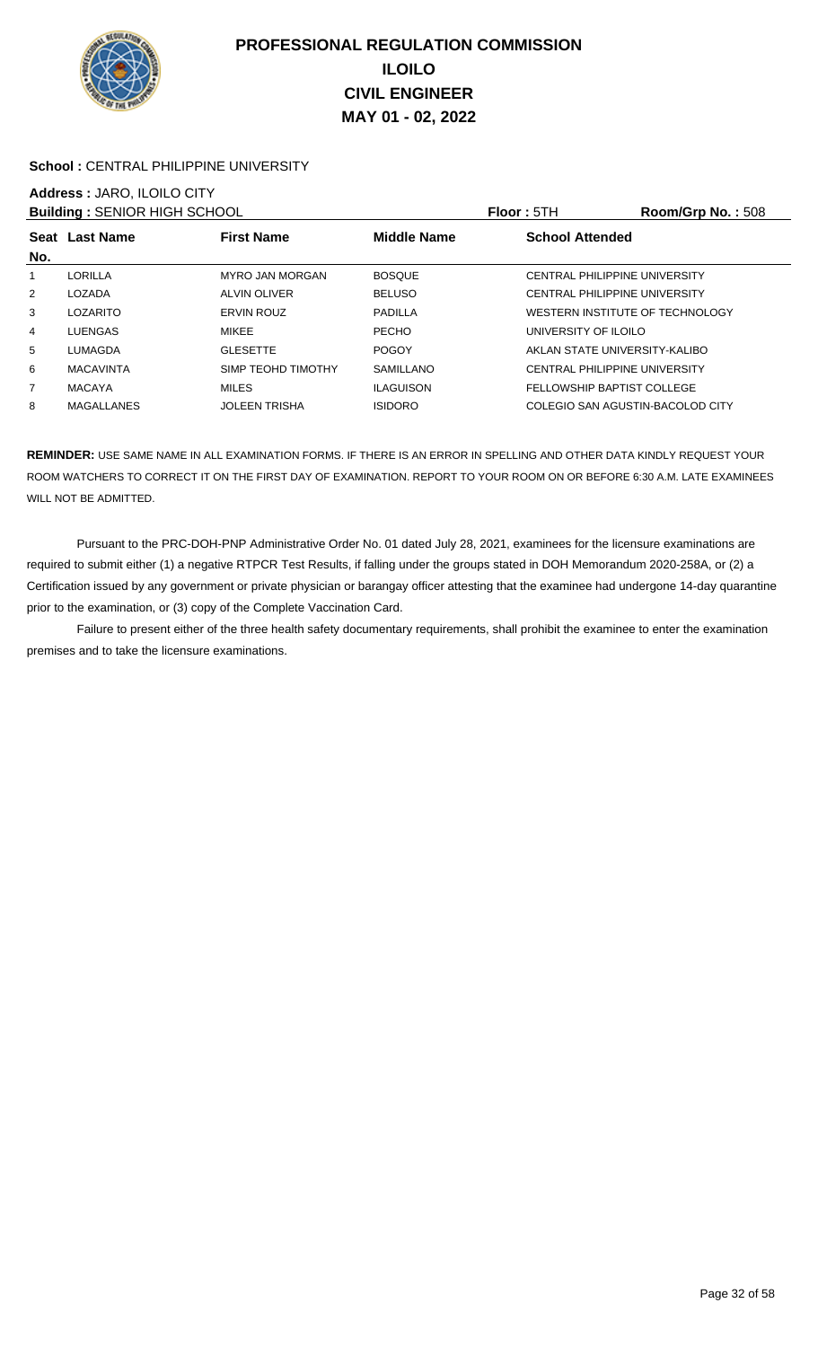

### School : CENTRAL PHILIPPINE UNIVERSITY

# **Address :** JARO, ILOILO CITY

| <b>Building: SENIOR HIGH SCHOOL</b> |                   |                        |                  | <b>Floor: 5TH</b>                    | Room/Grp No.: 508 |
|-------------------------------------|-------------------|------------------------|------------------|--------------------------------------|-------------------|
|                                     | Seat Last Name    | <b>First Name</b>      | Middle Name      | <b>School Attended</b>               |                   |
| No.                                 |                   |                        |                  |                                      |                   |
|                                     | LORILLA           | <b>MYRO JAN MORGAN</b> | <b>BOSQUE</b>    | CENTRAL PHILIPPINE UNIVERSITY        |                   |
| 2                                   | LOZADA            | ALVIN OLIVER           | <b>BELUSO</b>    | CENTRAL PHILIPPINE UNIVERSITY        |                   |
| 3                                   | LOZARITO          | <b>ERVIN ROUZ</b>      | PADILLA          | WESTERN INSTITUTE OF TECHNOLOGY      |                   |
| 4                                   | LUENGAS           | MIKEE                  | <b>PECHO</b>     | UNIVERSITY OF ILOILO                 |                   |
| 5                                   | LUMAGDA           | <b>GLESETTE</b>        | <b>POGOY</b>     | AKLAN STATE UNIVERSITY-KALIBO        |                   |
| 6                                   | <b>MACAVINTA</b>  | SIMP TEOHD TIMOTHY     | <b>SAMILLANO</b> | <b>CENTRAL PHILIPPINE UNIVERSITY</b> |                   |
| 7                                   | <b>MACAYA</b>     | <b>MILES</b>           | <b>ILAGUISON</b> | FELLOWSHIP BAPTIST COLLEGE           |                   |
| 8                                   | <b>MAGALLANES</b> | <b>JOLEEN TRISHA</b>   | <b>ISIDORO</b>   | COLEGIO SAN AGUSTIN-BACOLOD CITY     |                   |

**REMINDER:** USE SAME NAME IN ALL EXAMINATION FORMS. IF THERE IS AN ERROR IN SPELLING AND OTHER DATA KINDLY REQUEST YOUR ROOM WATCHERS TO CORRECT IT ON THE FIRST DAY OF EXAMINATION. REPORT TO YOUR ROOM ON OR BEFORE 6:30 A.M. LATE EXAMINEES WILL NOT BE ADMITTED.

 Pursuant to the PRC-DOH-PNP Administrative Order No. 01 dated July 28, 2021, examinees for the licensure examinations are required to submit either (1) a negative RTPCR Test Results, if falling under the groups stated in DOH Memorandum 2020-258A, or (2) a Certification issued by any government or private physician or barangay officer attesting that the examinee had undergone 14-day quarantine prior to the examination, or (3) copy of the Complete Vaccination Card.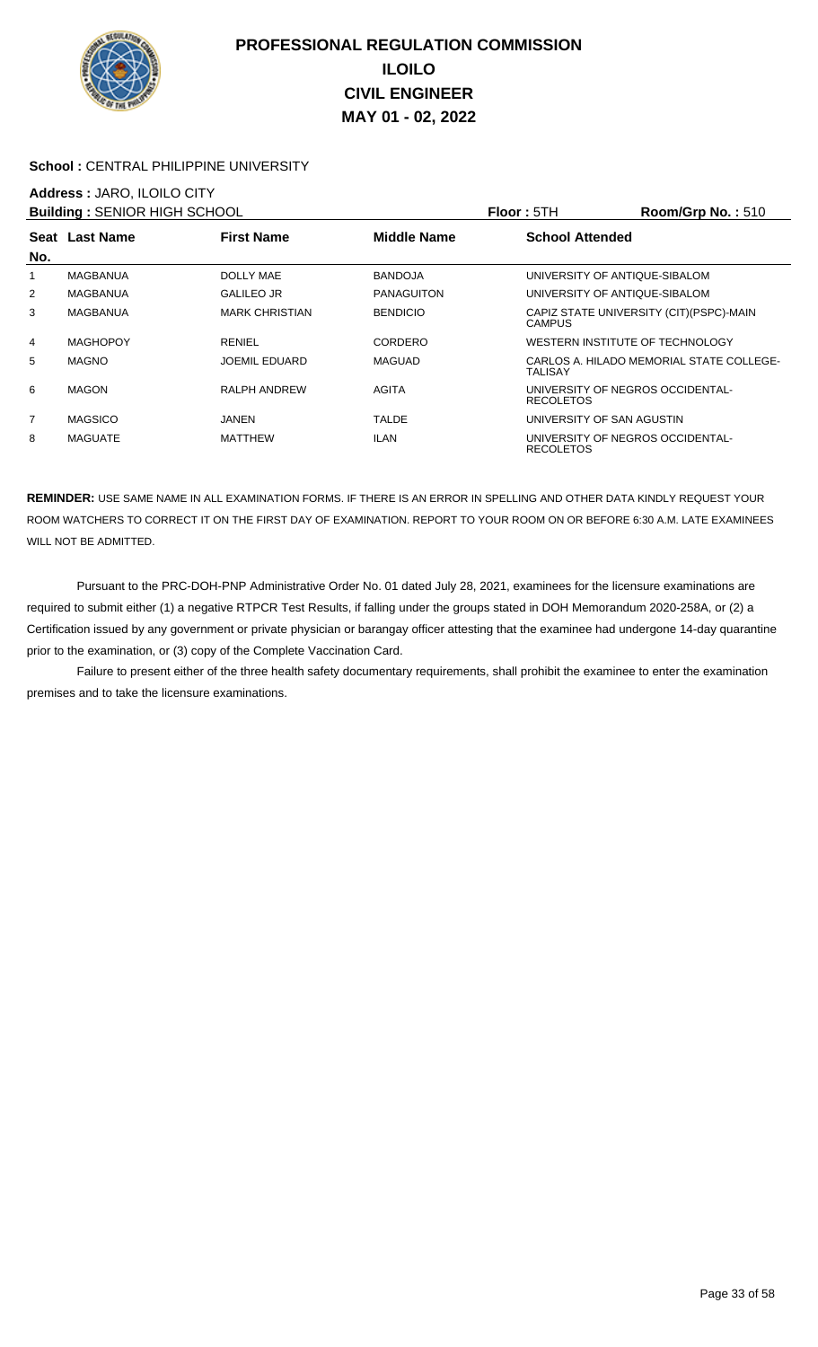

### School : CENTRAL PHILIPPINE UNIVERSITY

## **Address :** JARO, ILOILO CITY

| <b>Building: SENIOR HIGH SCHOOL</b> |                 |                       |                    | <b>Floor: 5TH</b>                                    | Room/Grp No.: $510$                      |
|-------------------------------------|-----------------|-----------------------|--------------------|------------------------------------------------------|------------------------------------------|
|                                     | Seat Last Name  | <b>First Name</b>     | <b>Middle Name</b> | <b>School Attended</b>                               |                                          |
| No.                                 |                 |                       |                    |                                                      |                                          |
| 1                                   | MAGBANUA        | <b>DOLLY MAE</b>      | <b>BANDOJA</b>     | UNIVERSITY OF ANTIQUE-SIBALOM                        |                                          |
| 2                                   | <b>MAGBANUA</b> | <b>GALILEO JR</b>     | <b>PANAGUITON</b>  | UNIVERSITY OF ANTIQUE-SIBALOM                        |                                          |
| 3                                   | MAGBANUA        | <b>MARK CHRISTIAN</b> | <b>BENDICIO</b>    | <b>CAMPUS</b>                                        | CAPIZ STATE UNIVERSITY (CIT) (PSPC)-MAIN |
| 4                                   | <b>MAGHOPOY</b> | <b>RENIEL</b>         | CORDERO            | WESTERN INSTITUTE OF TECHNOLOGY                      |                                          |
| 5                                   | <b>MAGNO</b>    | <b>JOEMIL EDUARD</b>  | <b>MAGUAD</b>      | <b>TALISAY</b>                                       | CARLOS A. HILADO MEMORIAL STATE COLLEGE- |
| 6                                   | <b>MAGON</b>    | <b>RALPH ANDREW</b>   | <b>AGITA</b>       | UNIVERSITY OF NEGROS OCCIDENTAL-<br><b>RECOLETOS</b> |                                          |
| 7                                   | <b>MAGSICO</b>  | JANEN                 | TALDE              | UNIVERSITY OF SAN AGUSTIN                            |                                          |
| 8                                   | <b>MAGUATE</b>  | MATTHEW               | <b>ILAN</b>        | UNIVERSITY OF NEGROS OCCIDENTAL-<br><b>RECOLETOS</b> |                                          |

**REMINDER:** USE SAME NAME IN ALL EXAMINATION FORMS. IF THERE IS AN ERROR IN SPELLING AND OTHER DATA KINDLY REQUEST YOUR ROOM WATCHERS TO CORRECT IT ON THE FIRST DAY OF EXAMINATION. REPORT TO YOUR ROOM ON OR BEFORE 6:30 A.M. LATE EXAMINEES WILL NOT BE ADMITTED.

 Pursuant to the PRC-DOH-PNP Administrative Order No. 01 dated July 28, 2021, examinees for the licensure examinations are required to submit either (1) a negative RTPCR Test Results, if falling under the groups stated in DOH Memorandum 2020-258A, or (2) a Certification issued by any government or private physician or barangay officer attesting that the examinee had undergone 14-day quarantine prior to the examination, or (3) copy of the Complete Vaccination Card.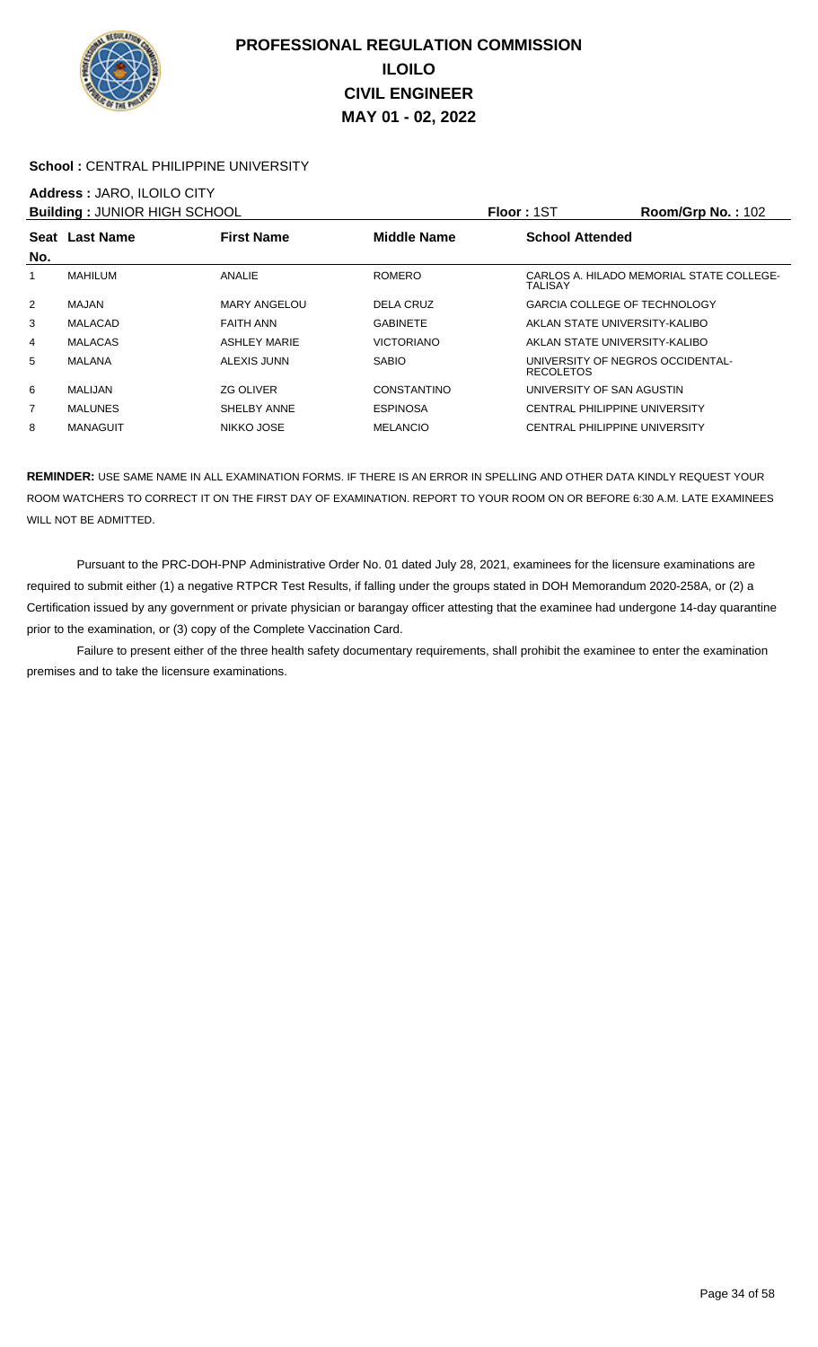

### School : CENTRAL PHILIPPINE UNIVERSITY

### **Address :** JARO, ILOILO CITY

| <b>Building: JUNIOR HIGH SCHOOL</b> |                 |                     |                    | <b>Floor: 1ST</b>                                    | Room/Grp No.: 102                        |
|-------------------------------------|-----------------|---------------------|--------------------|------------------------------------------------------|------------------------------------------|
| No.                                 | Seat Last Name  | <b>First Name</b>   | <b>Middle Name</b> | <b>School Attended</b>                               |                                          |
| 1                                   | <b>MAHILUM</b>  | <b>ANALIE</b>       | <b>ROMERO</b>      | TALISAY                                              | CARLOS A. HILADO MEMORIAL STATE COLLEGE- |
| $\overline{2}$                      | MAJAN           | MARY ANGELOU        | DELA CRUZ          | <b>GARCIA COLLEGE OF TECHNOLOGY</b>                  |                                          |
| 3                                   | <b>MALACAD</b>  | FAITH ANN           | <b>GABINETE</b>    | AKLAN STATE UNIVERSITY-KALIBO                        |                                          |
| 4                                   | <b>MALACAS</b>  | <b>ASHLEY MARIE</b> | <b>VICTORIANO</b>  | AKLAN STATE UNIVERSITY-KALIBO                        |                                          |
| 5                                   | MALANA          | ALEXIS JUNN         | <b>SABIO</b>       | UNIVERSITY OF NEGROS OCCIDENTAL-<br><b>RECOLETOS</b> |                                          |
| 6                                   | <b>MALIJAN</b>  | <b>ZG OLIVER</b>    | CONSTANTINO        | UNIVERSITY OF SAN AGUSTIN                            |                                          |
| 7                                   | <b>MALUNES</b>  | SHELBY ANNE         | <b>ESPINOSA</b>    | <b>CENTRAL PHILIPPINE UNIVERSITY</b>                 |                                          |
| 8                                   | <b>MANAGUIT</b> | NIKKO JOSE          | <b>MELANCIO</b>    | <b>CENTRAL PHILIPPINE UNIVERSITY</b>                 |                                          |

**REMINDER:** USE SAME NAME IN ALL EXAMINATION FORMS. IF THERE IS AN ERROR IN SPELLING AND OTHER DATA KINDLY REQUEST YOUR ROOM WATCHERS TO CORRECT IT ON THE FIRST DAY OF EXAMINATION. REPORT TO YOUR ROOM ON OR BEFORE 6:30 A.M. LATE EXAMINEES WILL NOT BE ADMITTED.

 Pursuant to the PRC-DOH-PNP Administrative Order No. 01 dated July 28, 2021, examinees for the licensure examinations are required to submit either (1) a negative RTPCR Test Results, if falling under the groups stated in DOH Memorandum 2020-258A, or (2) a Certification issued by any government or private physician or barangay officer attesting that the examinee had undergone 14-day quarantine prior to the examination, or (3) copy of the Complete Vaccination Card.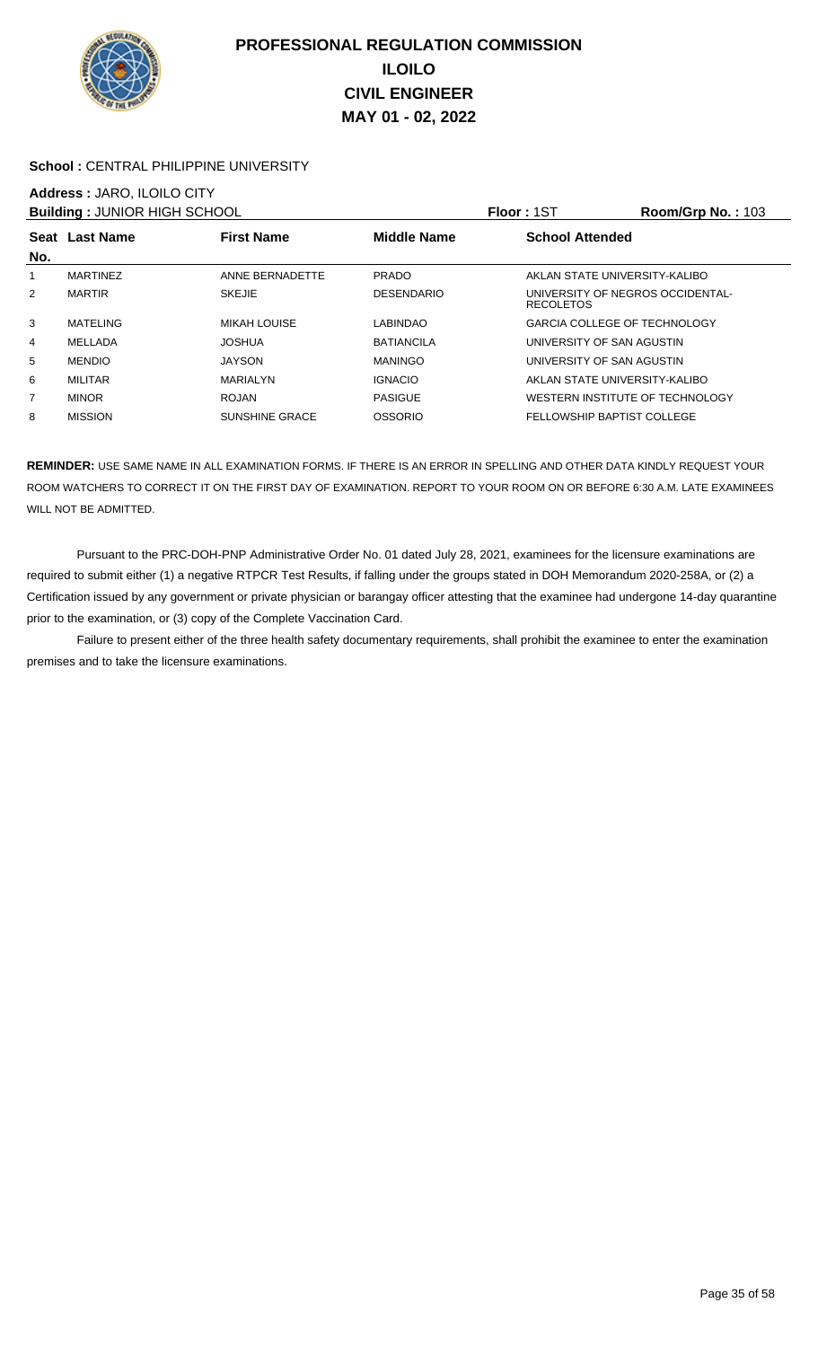

### School : CENTRAL PHILIPPINE UNIVERSITY

### **Address :** JARO, ILOILO CITY

| <b>Building: JUNIOR HIGH SCHOOL</b> |                 |                       |                    | <b>Floor: 1ST</b>                                    | Room/Grp No.: 103 |
|-------------------------------------|-----------------|-----------------------|--------------------|------------------------------------------------------|-------------------|
| No.                                 | Seat Last Name  | <b>First Name</b>     | <b>Middle Name</b> | <b>School Attended</b>                               |                   |
| 1                                   | <b>MARTINEZ</b> | ANNE BERNADETTE       | <b>PRADO</b>       | AKLAN STATE UNIVERSITY-KALIBO                        |                   |
| $\overline{2}$                      | <b>MARTIR</b>   | <b>SKEJIE</b>         | <b>DESENDARIO</b>  | UNIVERSITY OF NEGROS OCCIDENTAL-<br><b>RECOLETOS</b> |                   |
| 3                                   | MATELING        | MIKAH LOUISE          | LABINDAO           | <b>GARCIA COLLEGE OF TECHNOLOGY</b>                  |                   |
| 4                                   | MELLADA         | <b>JOSHUA</b>         | <b>BATIANCILA</b>  | UNIVERSITY OF SAN AGUSTIN                            |                   |
| 5                                   | <b>MENDIO</b>   | <b>JAYSON</b>         | <b>MANINGO</b>     | UNIVERSITY OF SAN AGUSTIN                            |                   |
| 6                                   | <b>MILITAR</b>  | MARIALYN              | <b>IGNACIO</b>     | AKLAN STATE UNIVERSITY-KALIBO                        |                   |
| $\overline{7}$                      | <b>MINOR</b>    | <b>ROJAN</b>          | <b>PASIGUE</b>     | WESTERN INSTITUTE OF TECHNOLOGY                      |                   |
| 8                                   | <b>MISSION</b>  | <b>SUNSHINE GRACE</b> | <b>OSSORIO</b>     | FELLOWSHIP BAPTIST COLLEGE                           |                   |

**REMINDER:** USE SAME NAME IN ALL EXAMINATION FORMS. IF THERE IS AN ERROR IN SPELLING AND OTHER DATA KINDLY REQUEST YOUR ROOM WATCHERS TO CORRECT IT ON THE FIRST DAY OF EXAMINATION. REPORT TO YOUR ROOM ON OR BEFORE 6:30 A.M. LATE EXAMINEES WILL NOT BE ADMITTED.

 Pursuant to the PRC-DOH-PNP Administrative Order No. 01 dated July 28, 2021, examinees for the licensure examinations are required to submit either (1) a negative RTPCR Test Results, if falling under the groups stated in DOH Memorandum 2020-258A, or (2) a Certification issued by any government or private physician or barangay officer attesting that the examinee had undergone 14-day quarantine prior to the examination, or (3) copy of the Complete Vaccination Card.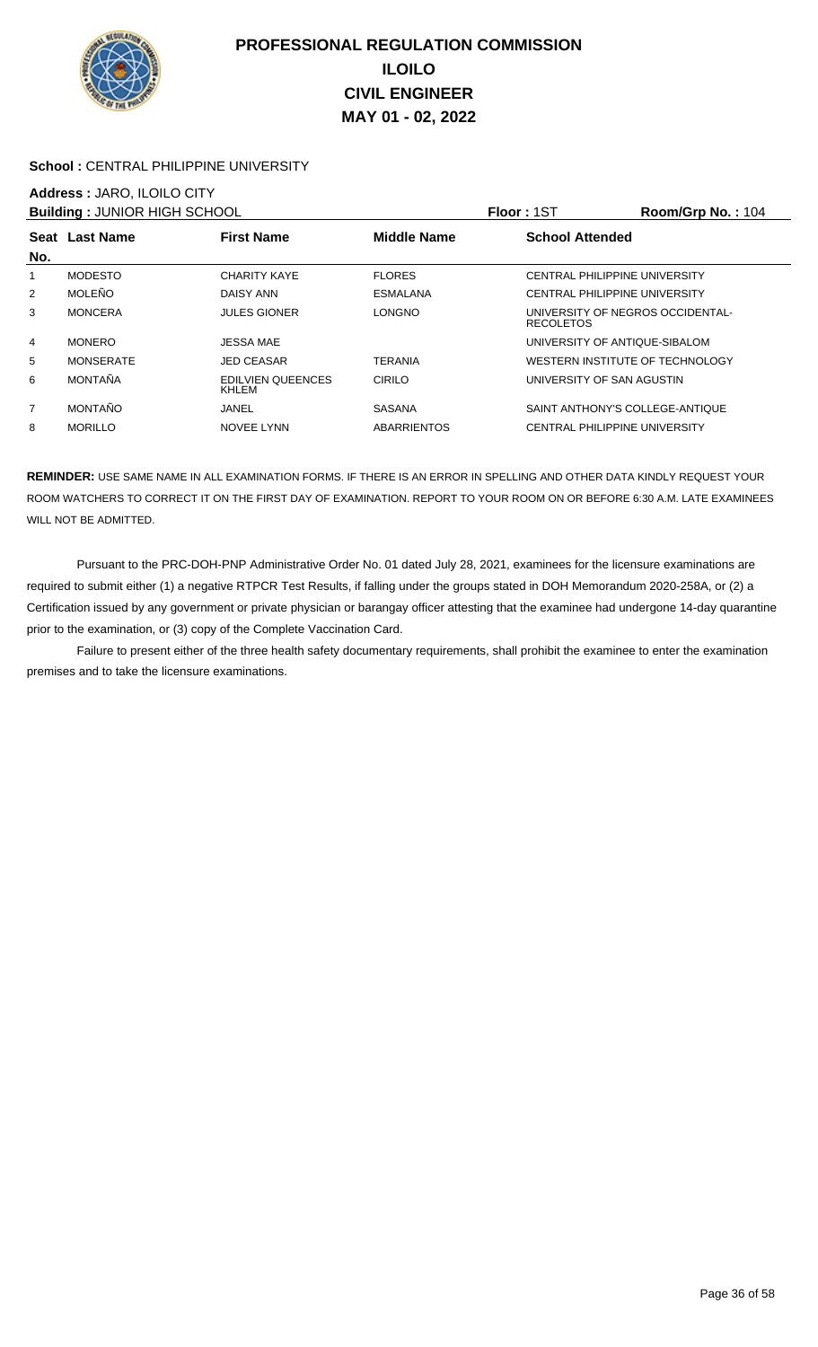

### School : CENTRAL PHILIPPINE UNIVERSITY

# **Address :** JARO, ILOILO CITY

| <b>Building: JUNIOR HIGH SCHOOL</b> |                  |                            |                    | <b>Floor: 1ST</b>                                    | Room/Grp No.: 104 |
|-------------------------------------|------------------|----------------------------|--------------------|------------------------------------------------------|-------------------|
|                                     | Seat Last Name   | <b>First Name</b>          | <b>Middle Name</b> | <b>School Attended</b>                               |                   |
| No.                                 |                  |                            |                    |                                                      |                   |
| 1                                   | <b>MODESTO</b>   | <b>CHARITY KAYE</b>        | <b>FLORES</b>      | CENTRAL PHILIPPINE UNIVERSITY                        |                   |
| 2                                   | <b>MOLEÑO</b>    | DAISY ANN                  | <b>ESMALANA</b>    | CENTRAL PHILIPPINE UNIVERSITY                        |                   |
| 3                                   | <b>MONCERA</b>   | <b>JULES GIONER</b>        | <b>LONGNO</b>      | UNIVERSITY OF NEGROS OCCIDENTAL-<br><b>RECOLETOS</b> |                   |
| 4                                   | <b>MONERO</b>    | JESSA MAE                  |                    | UNIVERSITY OF ANTIQUE-SIBALOM                        |                   |
| 5                                   | <b>MONSERATE</b> | <b>JED CEASAR</b>          | TERANIA            | WESTERN INSTITUTE OF TECHNOLOGY                      |                   |
| 6                                   | <b>MONTAÑA</b>   | EDILVIEN QUEENCES<br>KHLEM | <b>CIRILO</b>      | UNIVERSITY OF SAN AGUSTIN                            |                   |
| $\overline{7}$                      | <b>MONTAÑO</b>   | JANEL                      | <b>SASANA</b>      | SAINT ANTHONY'S COLLEGE-ANTIQUE                      |                   |
| 8                                   | <b>MORILLO</b>   | NOVEE LYNN                 | <b>ABARRIENTOS</b> | CENTRAL PHILIPPINE UNIVERSITY                        |                   |

**REMINDER:** USE SAME NAME IN ALL EXAMINATION FORMS. IF THERE IS AN ERROR IN SPELLING AND OTHER DATA KINDLY REQUEST YOUR ROOM WATCHERS TO CORRECT IT ON THE FIRST DAY OF EXAMINATION. REPORT TO YOUR ROOM ON OR BEFORE 6:30 A.M. LATE EXAMINEES WILL NOT BE ADMITTED.

 Pursuant to the PRC-DOH-PNP Administrative Order No. 01 dated July 28, 2021, examinees for the licensure examinations are required to submit either (1) a negative RTPCR Test Results, if falling under the groups stated in DOH Memorandum 2020-258A, or (2) a Certification issued by any government or private physician or barangay officer attesting that the examinee had undergone 14-day quarantine prior to the examination, or (3) copy of the Complete Vaccination Card.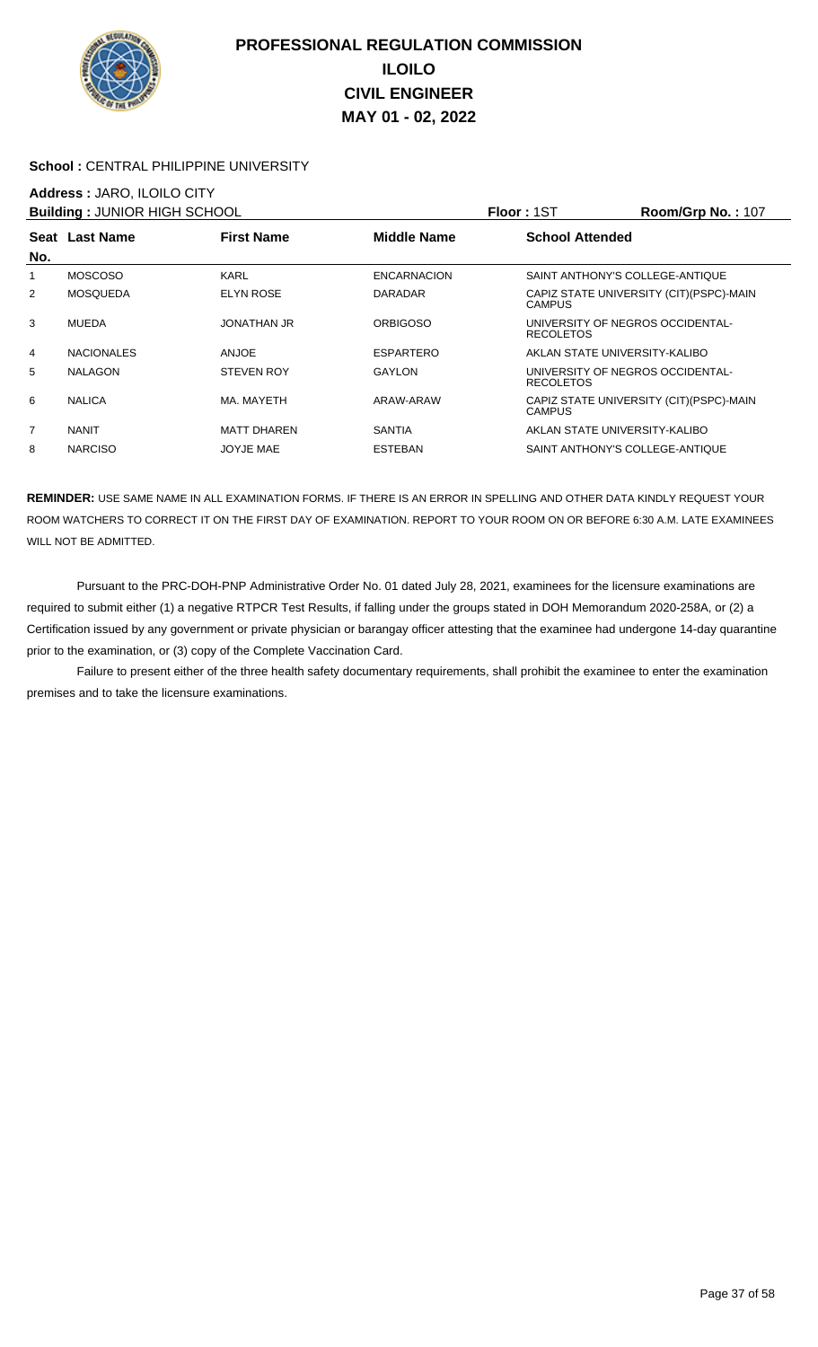

### School : CENTRAL PHILIPPINE UNIVERSITY

## **Address :** JARO, ILOILO CITY

| <b>Building: JUNIOR HIGH SCHOOL</b> |                   |                    |                    | <b>Floor: 1ST</b>                                    | Room/Grp No.: 107                        |
|-------------------------------------|-------------------|--------------------|--------------------|------------------------------------------------------|------------------------------------------|
|                                     | Seat Last Name    | <b>First Name</b>  | <b>Middle Name</b> | <b>School Attended</b>                               |                                          |
| No.                                 |                   |                    |                    |                                                      |                                          |
| 1                                   | <b>MOSCOSO</b>    | <b>KARL</b>        | <b>ENCARNACION</b> | SAINT ANTHONY'S COLLEGE-ANTIQUE                      |                                          |
| $\overline{2}$                      | <b>MOSQUEDA</b>   | <b>ELYN ROSE</b>   | <b>DARADAR</b>     | <b>CAMPUS</b>                                        | CAPIZ STATE UNIVERSITY (CIT) (PSPC)-MAIN |
| 3                                   | <b>MUEDA</b>      | <b>JONATHAN JR</b> | <b>ORBIGOSO</b>    | UNIVERSITY OF NEGROS OCCIDENTAL-<br><b>RECOLETOS</b> |                                          |
| 4                                   | <b>NACIONALES</b> | ANJOE              | <b>ESPARTERO</b>   | AKLAN STATE UNIVERSITY-KALIBO                        |                                          |
| 5                                   | <b>NALAGON</b>    | <b>STEVEN ROY</b>  | <b>GAYLON</b>      | UNIVERSITY OF NEGROS OCCIDENTAL-<br><b>RECOLETOS</b> |                                          |
| 6                                   | <b>NALICA</b>     | MA, MAYETH         | ARAW-ARAW          | <b>CAMPUS</b>                                        | CAPIZ STATE UNIVERSITY (CIT) (PSPC)-MAIN |
| 7                                   | <b>NANIT</b>      | <b>MATT DHAREN</b> | <b>SANTIA</b>      | AKLAN STATE UNIVERSITY-KALIBO                        |                                          |
| 8                                   | <b>NARCISO</b>    | JOYJE MAE          | <b>ESTEBAN</b>     | SAINT ANTHONY'S COLLEGE-ANTIQUE                      |                                          |

**REMINDER:** USE SAME NAME IN ALL EXAMINATION FORMS. IF THERE IS AN ERROR IN SPELLING AND OTHER DATA KINDLY REQUEST YOUR ROOM WATCHERS TO CORRECT IT ON THE FIRST DAY OF EXAMINATION. REPORT TO YOUR ROOM ON OR BEFORE 6:30 A.M. LATE EXAMINEES WILL NOT BE ADMITTED.

 Pursuant to the PRC-DOH-PNP Administrative Order No. 01 dated July 28, 2021, examinees for the licensure examinations are required to submit either (1) a negative RTPCR Test Results, if falling under the groups stated in DOH Memorandum 2020-258A, or (2) a Certification issued by any government or private physician or barangay officer attesting that the examinee had undergone 14-day quarantine prior to the examination, or (3) copy of the Complete Vaccination Card.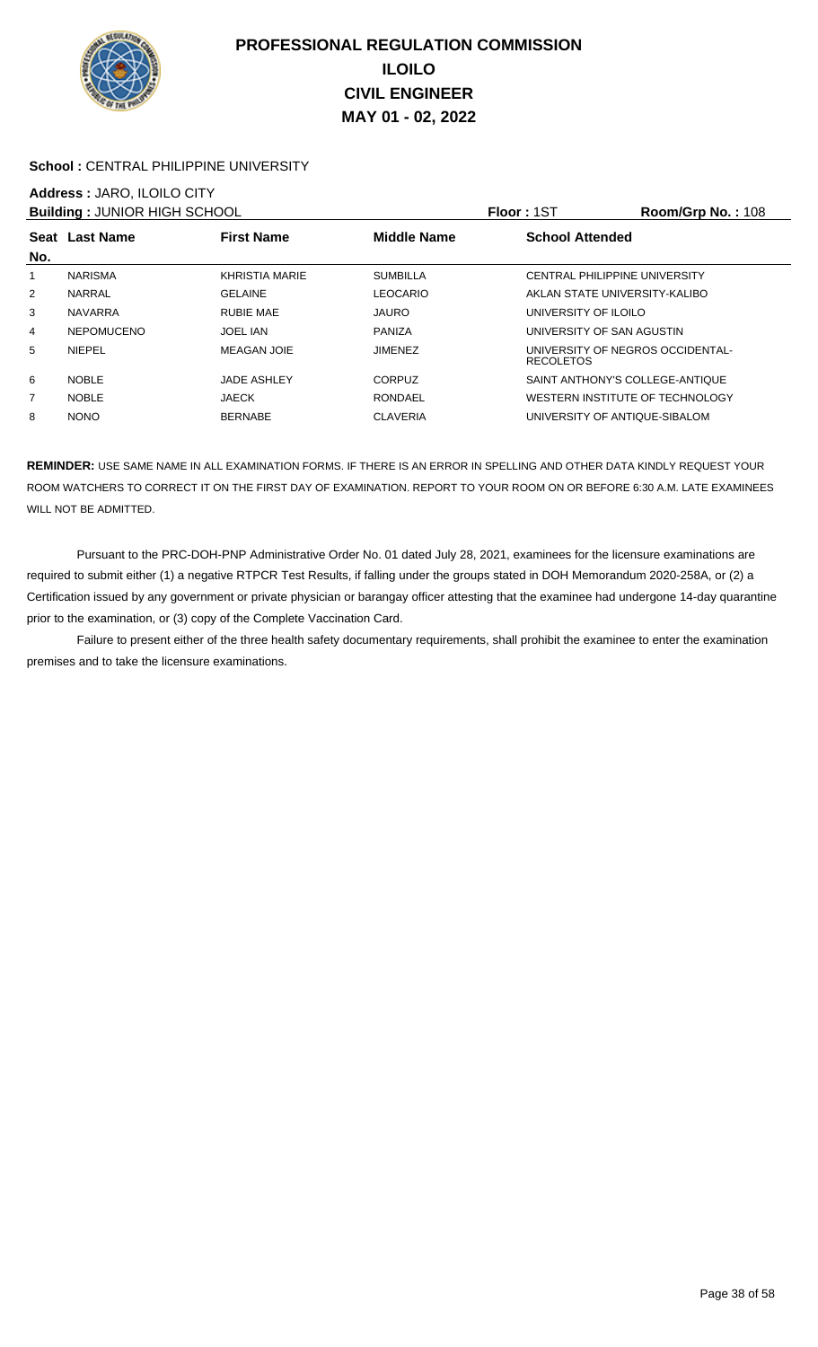

### School : CENTRAL PHILIPPINE UNIVERSITY

## **Address :** JARO, ILOILO CITY

| <b>Building: JUNIOR HIGH SCHOOL</b> |                   |                    |                    | <b>Floor: 1ST</b>                                    | Room/Grp No.: 108 |
|-------------------------------------|-------------------|--------------------|--------------------|------------------------------------------------------|-------------------|
| No.                                 | Seat Last Name    | <b>First Name</b>  | <b>Middle Name</b> | <b>School Attended</b>                               |                   |
|                                     | <b>NARISMA</b>    | KHRISTIA MARIE     | <b>SUMBILLA</b>    | CENTRAL PHILIPPINE UNIVERSITY                        |                   |
| $\overline{2}$                      | <b>NARRAL</b>     | <b>GELAINE</b>     | <b>LEOCARIO</b>    | AKLAN STATE UNIVERSITY-KALIBO                        |                   |
| 3                                   | <b>NAVARRA</b>    | <b>RUBIE MAE</b>   | <b>JAURO</b>       | UNIVERSITY OF ILOILO                                 |                   |
| 4                                   | <b>NEPOMUCENO</b> | <b>JOEL IAN</b>    | <b>PANIZA</b>      | UNIVERSITY OF SAN AGUSTIN                            |                   |
| 5                                   | <b>NIEPEL</b>     | <b>MEAGAN JOIE</b> | <b>JIMENEZ</b>     | UNIVERSITY OF NEGROS OCCIDENTAL-<br><b>RECOLETOS</b> |                   |
| 6                                   | <b>NOBLE</b>      | <b>JADE ASHLEY</b> | <b>CORPUZ</b>      | SAINT ANTHONY'S COLLEGE-ANTIQUE                      |                   |
| 7                                   | <b>NOBLE</b>      | <b>JAECK</b>       | <b>RONDAEL</b>     | WESTERN INSTITUTE OF TECHNOLOGY                      |                   |
| 8                                   | <b>NONO</b>       | <b>BERNABE</b>     | <b>CLAVERIA</b>    | UNIVERSITY OF ANTIQUE-SIBALOM                        |                   |

**REMINDER:** USE SAME NAME IN ALL EXAMINATION FORMS. IF THERE IS AN ERROR IN SPELLING AND OTHER DATA KINDLY REQUEST YOUR ROOM WATCHERS TO CORRECT IT ON THE FIRST DAY OF EXAMINATION. REPORT TO YOUR ROOM ON OR BEFORE 6:30 A.M. LATE EXAMINEES WILL NOT BE ADMITTED.

 Pursuant to the PRC-DOH-PNP Administrative Order No. 01 dated July 28, 2021, examinees for the licensure examinations are required to submit either (1) a negative RTPCR Test Results, if falling under the groups stated in DOH Memorandum 2020-258A, or (2) a Certification issued by any government or private physician or barangay officer attesting that the examinee had undergone 14-day quarantine prior to the examination, or (3) copy of the Complete Vaccination Card.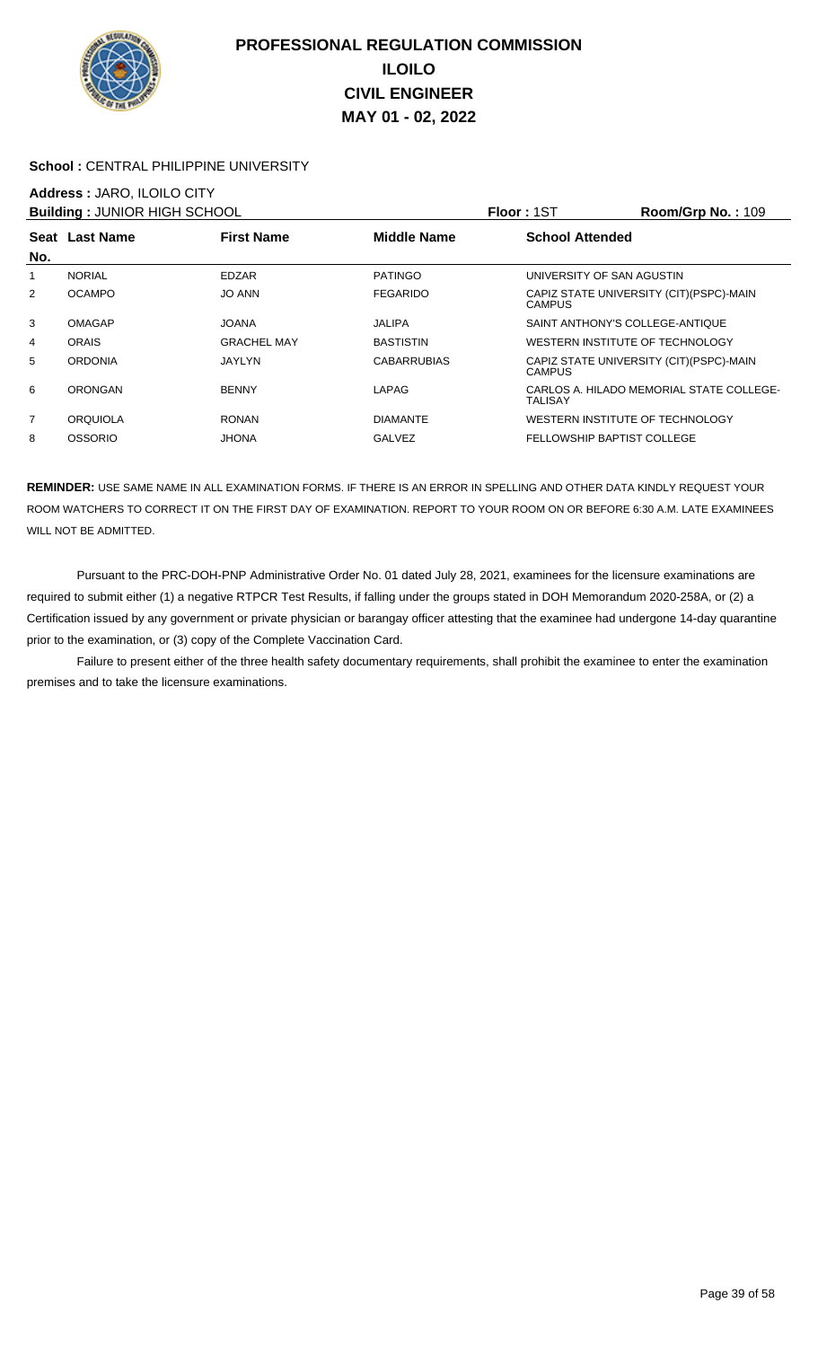

### **School :** CENTRAL PHILIPPINE UNIVERSITY

## **Address :** JARO, ILOILO CITY

| <b>Building: JUNIOR HIGH SCHOOL</b> |                 |                    |                    | Floor: 1ST                      | Room/Grp No.: 109                        |
|-------------------------------------|-----------------|--------------------|--------------------|---------------------------------|------------------------------------------|
|                                     | Seat Last Name  | <b>First Name</b>  | <b>Middle Name</b> | <b>School Attended</b>          |                                          |
| No.                                 |                 |                    |                    |                                 |                                          |
| 1                                   | <b>NORIAL</b>   | EDZAR              | <b>PATINGO</b>     | UNIVERSITY OF SAN AGUSTIN       |                                          |
| $\overline{2}$                      | <b>OCAMPO</b>   | <b>JO ANN</b>      | <b>FEGARIDO</b>    | <b>CAMPUS</b>                   | CAPIZ STATE UNIVERSITY (CIT) (PSPC)-MAIN |
| 3                                   | <b>OMAGAP</b>   | <b>JOANA</b>       | JALIPA             | SAINT ANTHONY'S COLLEGE-ANTIQUE |                                          |
| 4                                   | <b>ORAIS</b>    | <b>GRACHEL MAY</b> | <b>BASTISTIN</b>   | WESTERN INSTITUTE OF TECHNOLOGY |                                          |
| 5                                   | <b>ORDONIA</b>  | <b>JAYLYN</b>      | <b>CABARRUBIAS</b> | <b>CAMPUS</b>                   | CAPIZ STATE UNIVERSITY (CIT) (PSPC)-MAIN |
| 6                                   | ORONGAN         | <b>BENNY</b>       | LAPAG              | TALISAY                         | CARLOS A. HILADO MEMORIAL STATE COLLEGE- |
| $\overline{7}$                      | <b>ORQUIOLA</b> | <b>RONAN</b>       | <b>DIAMANTE</b>    | WESTERN INSTITUTE OF TECHNOLOGY |                                          |
| 8                                   | <b>OSSORIO</b>  | <b>JHONA</b>       | <b>GALVEZ</b>      | FELLOWSHIP BAPTIST COLLEGE      |                                          |

**REMINDER:** USE SAME NAME IN ALL EXAMINATION FORMS. IF THERE IS AN ERROR IN SPELLING AND OTHER DATA KINDLY REQUEST YOUR ROOM WATCHERS TO CORRECT IT ON THE FIRST DAY OF EXAMINATION. REPORT TO YOUR ROOM ON OR BEFORE 6:30 A.M. LATE EXAMINEES WILL NOT BE ADMITTED.

 Pursuant to the PRC-DOH-PNP Administrative Order No. 01 dated July 28, 2021, examinees for the licensure examinations are required to submit either (1) a negative RTPCR Test Results, if falling under the groups stated in DOH Memorandum 2020-258A, or (2) a Certification issued by any government or private physician or barangay officer attesting that the examinee had undergone 14-day quarantine prior to the examination, or (3) copy of the Complete Vaccination Card.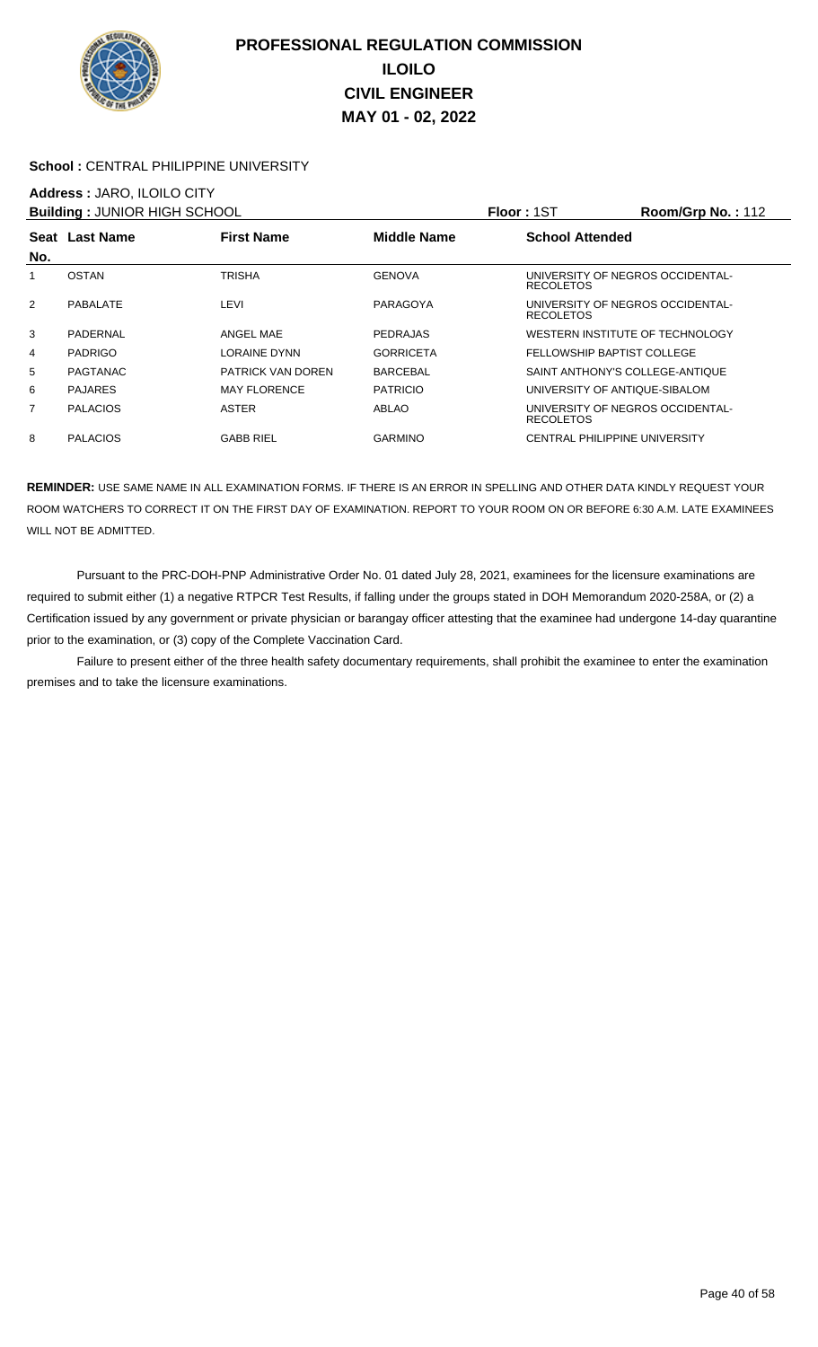

### **School :** CENTRAL PHILIPPINE UNIVERSITY

### **Address :** JARO, ILOILO CITY

| <b>Building: JUNIOR HIGH SCHOOL</b> |                 |                          |                  | <b>Floor: 1ST</b>                                    | Room/Grp No.: 112 |
|-------------------------------------|-----------------|--------------------------|------------------|------------------------------------------------------|-------------------|
|                                     | Seat Last Name  | <b>First Name</b>        | Middle Name      | <b>School Attended</b>                               |                   |
| No.                                 |                 |                          |                  |                                                      |                   |
|                                     | <b>OSTAN</b>    | <b>TRISHA</b>            | <b>GENOVA</b>    | UNIVERSITY OF NEGROS OCCIDENTAL-<br><b>RECOLETOS</b> |                   |
| 2                                   | PABALATE        | LEVI                     | PARAGOYA         | UNIVERSITY OF NEGROS OCCIDENTAL-<br><b>RECOLETOS</b> |                   |
| 3                                   | PADERNAL        | ANGEL MAE                | <b>PEDRAJAS</b>  | WESTERN INSTITUTE OF TECHNOLOGY                      |                   |
| 4                                   | <b>PADRIGO</b>  | <b>LORAINE DYNN</b>      | <b>GORRICETA</b> | FELLOWSHIP BAPTIST COLLEGE                           |                   |
| 5                                   | PAGTANAC        | <b>PATRICK VAN DOREN</b> | <b>BARCEBAL</b>  | SAINT ANTHONY'S COLLEGE-ANTIQUE                      |                   |
| 6                                   | <b>PAJARES</b>  | <b>MAY FLORENCE</b>      | <b>PATRICIO</b>  | UNIVERSITY OF ANTIQUE-SIBALOM                        |                   |
| 7                                   | <b>PALACIOS</b> | <b>ASTER</b>             | ABLAO            | UNIVERSITY OF NEGROS OCCIDENTAL-<br><b>RECOLETOS</b> |                   |
| 8                                   | <b>PALACIOS</b> | <b>GABB RIEL</b>         | <b>GARMINO</b>   | <b>CENTRAL PHILIPPINE UNIVERSITY</b>                 |                   |

**REMINDER:** USE SAME NAME IN ALL EXAMINATION FORMS. IF THERE IS AN ERROR IN SPELLING AND OTHER DATA KINDLY REQUEST YOUR ROOM WATCHERS TO CORRECT IT ON THE FIRST DAY OF EXAMINATION. REPORT TO YOUR ROOM ON OR BEFORE 6:30 A.M. LATE EXAMINEES WILL NOT BE ADMITTED.

 Pursuant to the PRC-DOH-PNP Administrative Order No. 01 dated July 28, 2021, examinees for the licensure examinations are required to submit either (1) a negative RTPCR Test Results, if falling under the groups stated in DOH Memorandum 2020-258A, or (2) a Certification issued by any government or private physician or barangay officer attesting that the examinee had undergone 14-day quarantine prior to the examination, or (3) copy of the Complete Vaccination Card.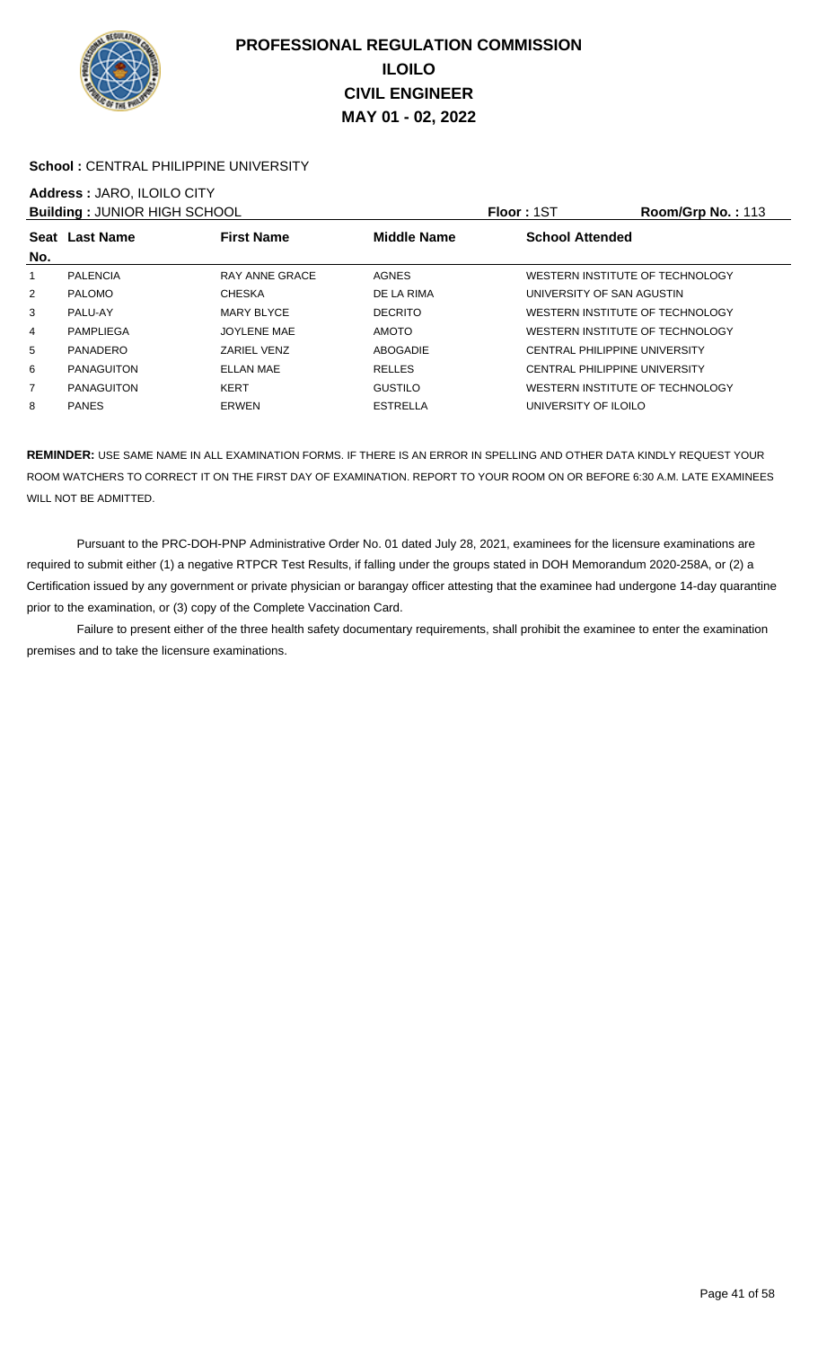

### School : CENTRAL PHILIPPINE UNIVERSITY

# **Address :** JARO, ILOILO CITY

| <b>Building: JUNIOR HIGH SCHOOL</b> |                   |                   |                 | Floor: 1ST                           | <b>Room/Grp No.: 113</b> |
|-------------------------------------|-------------------|-------------------|-----------------|--------------------------------------|--------------------------|
|                                     | Seat Last Name    | <b>First Name</b> | Middle Name     | <b>School Attended</b>               |                          |
| No.                                 |                   |                   |                 |                                      |                          |
| 1                                   | <b>PALENCIA</b>   | RAY ANNE GRACE    | <b>AGNES</b>    | WESTERN INSTITUTE OF TECHNOLOGY      |                          |
| $\overline{2}$                      | <b>PALOMO</b>     | <b>CHESKA</b>     | DE LA RIMA      | UNIVERSITY OF SAN AGUSTIN            |                          |
| 3                                   | PALU-AY           | MARY BLYCE        | <b>DECRITO</b>  | WESTERN INSTITUTE OF TECHNOLOGY      |                          |
| 4                                   | PAMPLIEGA         | JOYLENE MAE       | <b>AMOTO</b>    | WESTERN INSTITUTE OF TECHNOLOGY      |                          |
| 5                                   | PANADERO          | ZARIEL VENZ       | ABOGADIE        | <b>CENTRAL PHILIPPINE UNIVERSITY</b> |                          |
| 6                                   | <b>PANAGUITON</b> | <b>ELLAN MAE</b>  | <b>RELLES</b>   | <b>CENTRAL PHILIPPINE UNIVERSITY</b> |                          |
| 7                                   | <b>PANAGUITON</b> | <b>KERT</b>       | <b>GUSTILO</b>  | WESTERN INSTITUTE OF TECHNOLOGY      |                          |
| 8                                   | <b>PANES</b>      | <b>ERWEN</b>      | <b>ESTRELLA</b> | UNIVERSITY OF ILOILO                 |                          |

**REMINDER:** USE SAME NAME IN ALL EXAMINATION FORMS. IF THERE IS AN ERROR IN SPELLING AND OTHER DATA KINDLY REQUEST YOUR ROOM WATCHERS TO CORRECT IT ON THE FIRST DAY OF EXAMINATION. REPORT TO YOUR ROOM ON OR BEFORE 6:30 A.M. LATE EXAMINEES WILL NOT BE ADMITTED.

 Pursuant to the PRC-DOH-PNP Administrative Order No. 01 dated July 28, 2021, examinees for the licensure examinations are required to submit either (1) a negative RTPCR Test Results, if falling under the groups stated in DOH Memorandum 2020-258A, or (2) a Certification issued by any government or private physician or barangay officer attesting that the examinee had undergone 14-day quarantine prior to the examination, or (3) copy of the Complete Vaccination Card.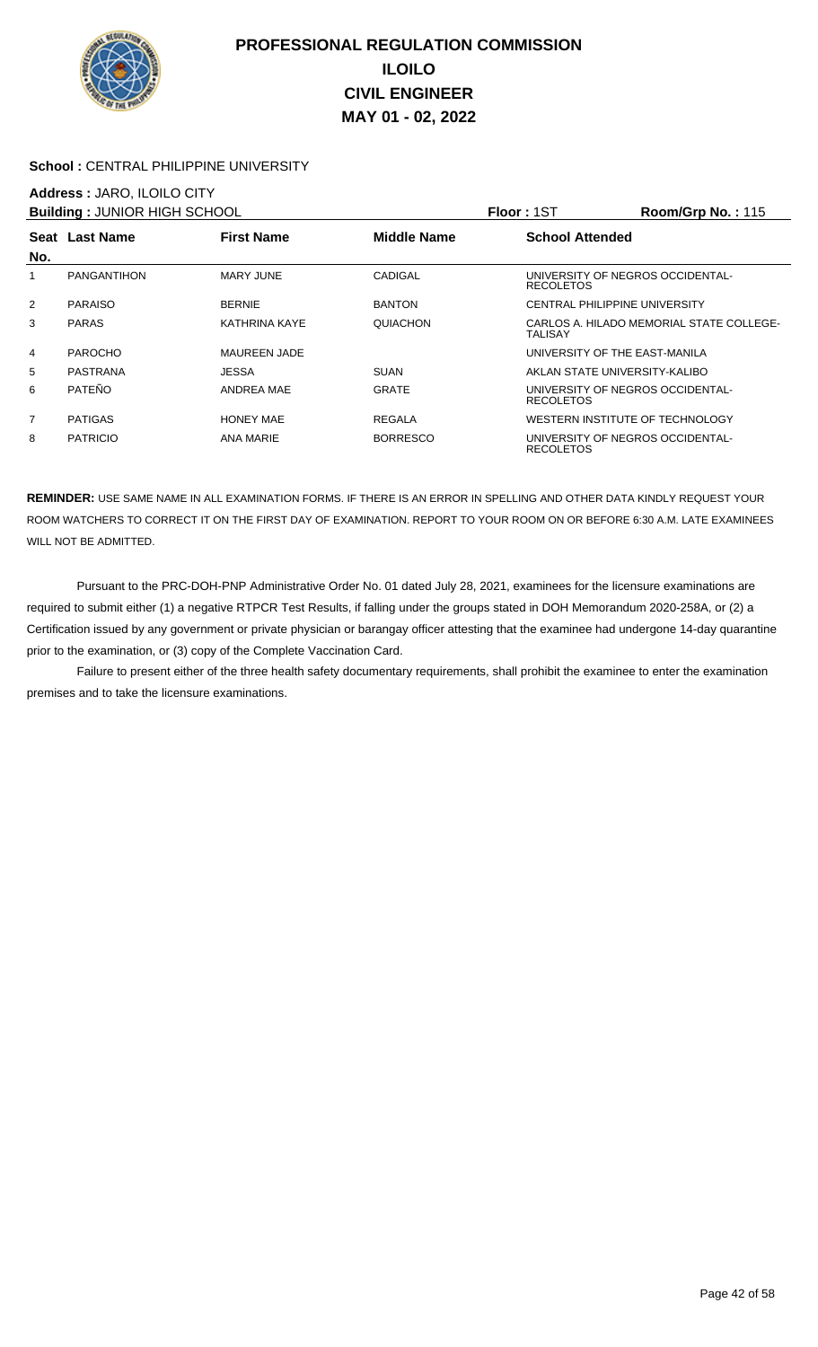

### School : CENTRAL PHILIPPINE UNIVERSITY

### **Address :** JARO, ILOILO CITY

| <b>Building: JUNIOR HIGH SCHOOL</b> |                    |                      |                    | Floor: 1ST             | <b>Room/Grp No.: 115</b>                 |
|-------------------------------------|--------------------|----------------------|--------------------|------------------------|------------------------------------------|
|                                     | Seat Last Name     | <b>First Name</b>    | <b>Middle Name</b> | <b>School Attended</b> |                                          |
| No.                                 |                    |                      |                    |                        |                                          |
| 1                                   | <b>PANGANTIHON</b> | MARY JUNE            | CADIGAL            | <b>RECOLETOS</b>       | UNIVERSITY OF NEGROS OCCIDENTAL-         |
| 2                                   | <b>PARAISO</b>     | <b>BERNIE</b>        | <b>BANTON</b>      |                        | <b>CENTRAL PHILIPPINE UNIVERSITY</b>     |
| 3                                   | <b>PARAS</b>       | <b>KATHRINA KAYE</b> | QUIACHON           | TALISAY                | CARLOS A. HILADO MEMORIAL STATE COLLEGE- |
| 4                                   | <b>PAROCHO</b>     | <b>MAUREEN JADE</b>  |                    |                        | UNIVERSITY OF THE EAST-MANILA            |
| 5                                   | PASTRANA           | <b>JESSA</b>         | <b>SUAN</b>        |                        | AKLAN STATE UNIVERSITY-KALIBO            |
| 6                                   | PATEÑO             | <b>ANDREA MAE</b>    | <b>GRATE</b>       | <b>RECOLETOS</b>       | UNIVERSITY OF NEGROS OCCIDENTAL-         |
| 7                                   | <b>PATIGAS</b>     | <b>HONEY MAE</b>     | <b>REGALA</b>      |                        | WESTERN INSTITUTE OF TECHNOLOGY          |
| 8                                   | <b>PATRICIO</b>    | ANA MARIE            | <b>BORRESCO</b>    | <b>RECOLETOS</b>       | UNIVERSITY OF NEGROS OCCIDENTAL-         |

**REMINDER:** USE SAME NAME IN ALL EXAMINATION FORMS. IF THERE IS AN ERROR IN SPELLING AND OTHER DATA KINDLY REQUEST YOUR ROOM WATCHERS TO CORRECT IT ON THE FIRST DAY OF EXAMINATION. REPORT TO YOUR ROOM ON OR BEFORE 6:30 A.M. LATE EXAMINEES WILL NOT BE ADMITTED.

 Pursuant to the PRC-DOH-PNP Administrative Order No. 01 dated July 28, 2021, examinees for the licensure examinations are required to submit either (1) a negative RTPCR Test Results, if falling under the groups stated in DOH Memorandum 2020-258A, or (2) a Certification issued by any government or private physician or barangay officer attesting that the examinee had undergone 14-day quarantine prior to the examination, or (3) copy of the Complete Vaccination Card.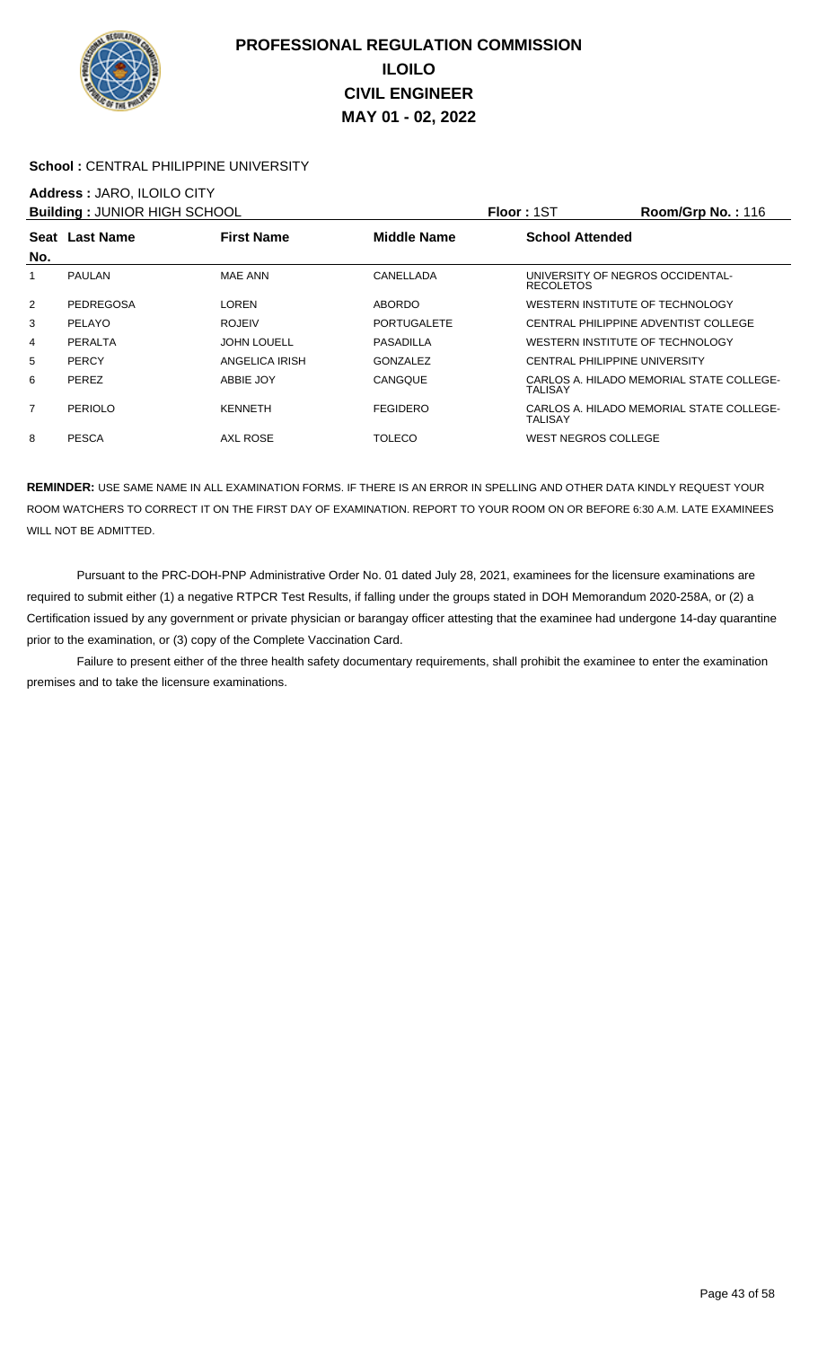

### School : CENTRAL PHILIPPINE UNIVERSITY

### **Address :** JARO, ILOILO CITY

| <b>Building: JUNIOR HIGH SCHOOL</b> |                |                    |                    | Floor: 1ST                                           | Room/Grp No.: $116$                      |
|-------------------------------------|----------------|--------------------|--------------------|------------------------------------------------------|------------------------------------------|
| No.                                 | Seat Last Name | <b>First Name</b>  | <b>Middle Name</b> | <b>School Attended</b>                               |                                          |
| 1                                   | <b>PAULAN</b>  | MAE ANN            | CANELLADA          | UNIVERSITY OF NEGROS OCCIDENTAL-<br><b>RECOLETOS</b> |                                          |
| 2                                   | PEDREGOSA      | LOREN              | <b>ABORDO</b>      | WESTERN INSTITUTE OF TECHNOLOGY                      |                                          |
| 3                                   | PELAYO         | <b>ROJEIV</b>      | <b>PORTUGALETE</b> |                                                      | CENTRAL PHILIPPINE ADVENTIST COLLEGE     |
| 4                                   | PERALTA        | <b>JOHN LOUELL</b> | PASADILLA          | WESTERN INSTITUTE OF TECHNOLOGY                      |                                          |
| 5                                   | <b>PERCY</b>   | ANGELICA IRISH     | <b>GONZALEZ</b>    | <b>CENTRAL PHILIPPINE UNIVERSITY</b>                 |                                          |
| 6                                   | <b>PEREZ</b>   | ABBIE JOY          | CANGQUE            | TALISAY                                              | CARLOS A. HILADO MEMORIAL STATE COLLEGE- |
| $\overline{7}$                      | PERIOLO        | <b>KENNETH</b>     | <b>FEGIDERO</b>    | <b>TALISAY</b>                                       | CARLOS A. HILADO MEMORIAL STATE COLLEGE- |
| 8                                   | <b>PESCA</b>   | AXL ROSE           | <b>TOLECO</b>      | <b>WEST NEGROS COLLEGE</b>                           |                                          |

**REMINDER:** USE SAME NAME IN ALL EXAMINATION FORMS. IF THERE IS AN ERROR IN SPELLING AND OTHER DATA KINDLY REQUEST YOUR ROOM WATCHERS TO CORRECT IT ON THE FIRST DAY OF EXAMINATION. REPORT TO YOUR ROOM ON OR BEFORE 6:30 A.M. LATE EXAMINEES WILL NOT BE ADMITTED.

 Pursuant to the PRC-DOH-PNP Administrative Order No. 01 dated July 28, 2021, examinees for the licensure examinations are required to submit either (1) a negative RTPCR Test Results, if falling under the groups stated in DOH Memorandum 2020-258A, or (2) a Certification issued by any government or private physician or barangay officer attesting that the examinee had undergone 14-day quarantine prior to the examination, or (3) copy of the Complete Vaccination Card.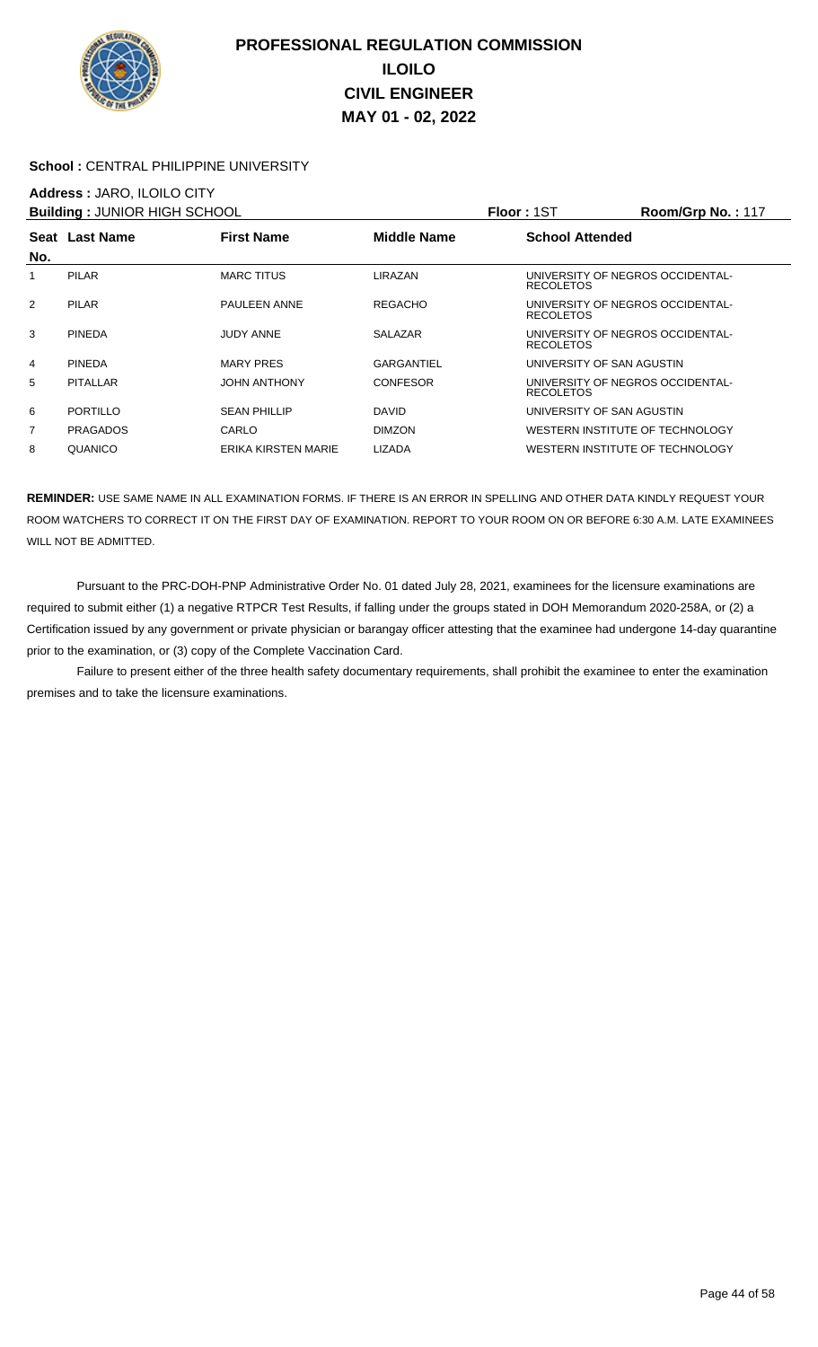

### School : CENTRAL PHILIPPINE UNIVERSITY

### **Address :** JARO, ILOILO CITY

| <b>Building: JUNIOR HIGH SCHOOL</b> |                 |                     |                    | <b>Floor: 1ST</b>                                    | Room/Grp No.: 117 |
|-------------------------------------|-----------------|---------------------|--------------------|------------------------------------------------------|-------------------|
|                                     | Seat Last Name  | <b>First Name</b>   | <b>Middle Name</b> | <b>School Attended</b>                               |                   |
| No.                                 |                 |                     |                    |                                                      |                   |
|                                     | <b>PILAR</b>    | <b>MARC TITUS</b>   | LIRAZAN            | UNIVERSITY OF NEGROS OCCIDENTAL-<br><b>RECOLETOS</b> |                   |
| $\overline{2}$                      | <b>PILAR</b>    | <b>PAULEEN ANNE</b> | <b>REGACHO</b>     | UNIVERSITY OF NEGROS OCCIDENTAL-<br><b>RECOLETOS</b> |                   |
| 3                                   | <b>PINEDA</b>   | <b>JUDY ANNE</b>    | <b>SALAZAR</b>     | UNIVERSITY OF NEGROS OCCIDENTAL-<br><b>RECOLETOS</b> |                   |
| 4                                   | <b>PINEDA</b>   | <b>MARY PRES</b>    | GARGANTIEL         | UNIVERSITY OF SAN AGUSTIN                            |                   |
| 5                                   | PITALLAR        | <b>JOHN ANTHONY</b> | <b>CONFESOR</b>    | UNIVERSITY OF NEGROS OCCIDENTAL-<br><b>RECOLETOS</b> |                   |
| 6                                   | <b>PORTILLO</b> | <b>SEAN PHILLIP</b> | <b>DAVID</b>       | UNIVERSITY OF SAN AGUSTIN                            |                   |
| 7                                   | <b>PRAGADOS</b> | CARLO               | <b>DIMZON</b>      | WESTERN INSTITUTE OF TECHNOLOGY                      |                   |
| 8                                   | QUANICO         | ERIKA KIRSTEN MARIE | <b>LIZADA</b>      | WESTERN INSTITUTE OF TECHNOLOGY                      |                   |

**REMINDER:** USE SAME NAME IN ALL EXAMINATION FORMS. IF THERE IS AN ERROR IN SPELLING AND OTHER DATA KINDLY REQUEST YOUR ROOM WATCHERS TO CORRECT IT ON THE FIRST DAY OF EXAMINATION. REPORT TO YOUR ROOM ON OR BEFORE 6:30 A.M. LATE EXAMINEES WILL NOT BE ADMITTED.

 Pursuant to the PRC-DOH-PNP Administrative Order No. 01 dated July 28, 2021, examinees for the licensure examinations are required to submit either (1) a negative RTPCR Test Results, if falling under the groups stated in DOH Memorandum 2020-258A, or (2) a Certification issued by any government or private physician or barangay officer attesting that the examinee had undergone 14-day quarantine prior to the examination, or (3) copy of the Complete Vaccination Card.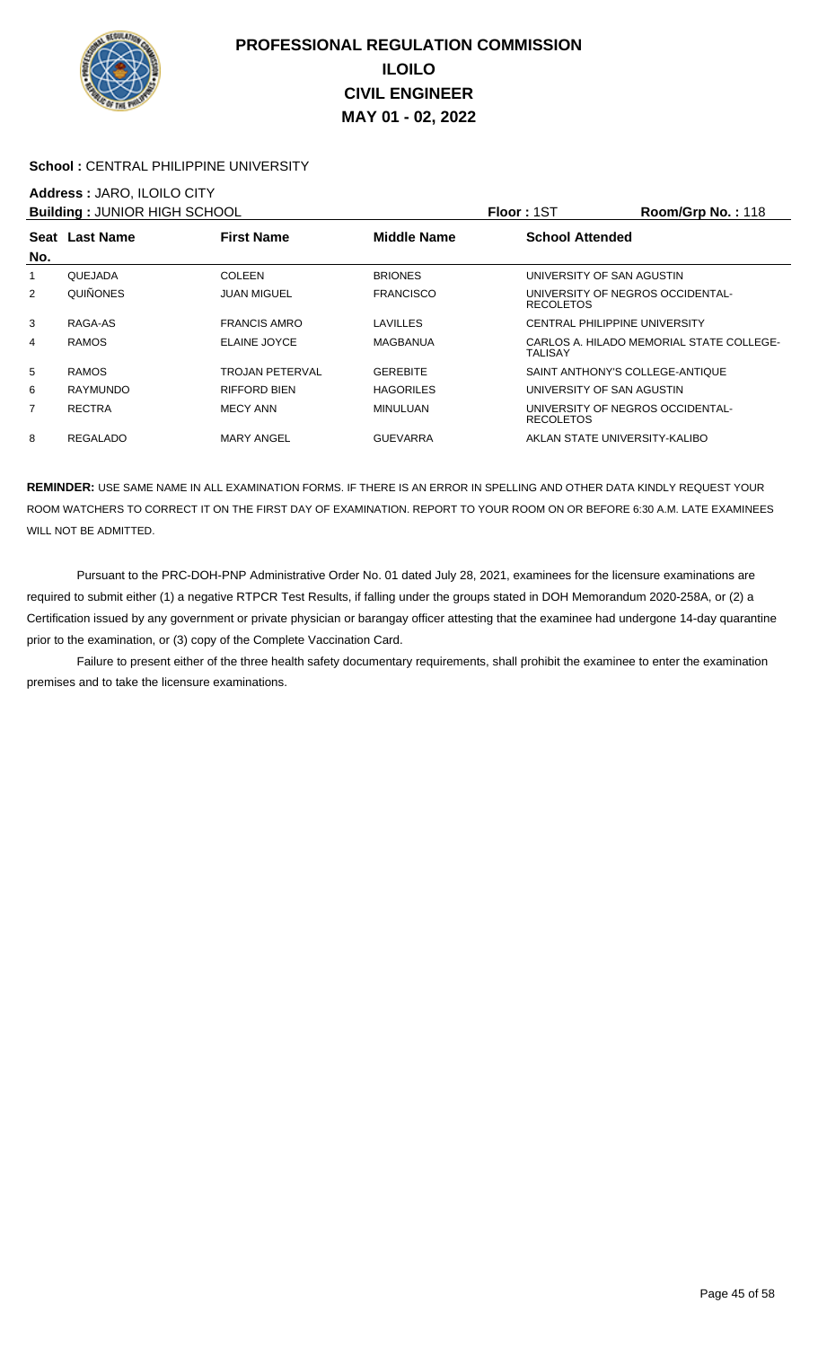

### School : CENTRAL PHILIPPINE UNIVERSITY

## **Address :** JARO, ILOILO CITY

| <b>Building: JUNIOR HIGH SCHOOL</b> |                 |                     |                    | Floor: 1ST                                           | <b>Room/Grp No.: 118</b>                 |
|-------------------------------------|-----------------|---------------------|--------------------|------------------------------------------------------|------------------------------------------|
|                                     | Seat Last Name  | <b>First Name</b>   | <b>Middle Name</b> | <b>School Attended</b>                               |                                          |
| No.                                 |                 |                     |                    |                                                      |                                          |
| 1                                   | QUEJADA         | <b>COLEEN</b>       | <b>BRIONES</b>     | UNIVERSITY OF SAN AGUSTIN                            |                                          |
| 2                                   | <b>QUIÑONES</b> | JUAN MIGUEL         | <b>FRANCISCO</b>   | UNIVERSITY OF NEGROS OCCIDENTAL-<br><b>RECOLETOS</b> |                                          |
| 3                                   | RAGA-AS         | <b>FRANCIS AMRO</b> | LAVILLES           | <b>CENTRAL PHILIPPINE UNIVERSITY</b>                 |                                          |
| 4                                   | <b>RAMOS</b>    | ELAINE JOYCE        | <b>MAGBANUA</b>    | TALISAY                                              | CARLOS A. HILADO MEMORIAL STATE COLLEGE- |
| 5                                   | <b>RAMOS</b>    | TROJAN PETERVAL     | <b>GEREBITE</b>    | SAINT ANTHONY'S COLLEGE-ANTIQUE                      |                                          |
| 6                                   | <b>RAYMUNDO</b> | <b>RIFFORD BIEN</b> | <b>HAGORILES</b>   | UNIVERSITY OF SAN AGUSTIN                            |                                          |
| 7                                   | <b>RECTRA</b>   | MECY ANN            | <b>MINULUAN</b>    | UNIVERSITY OF NEGROS OCCIDENTAL-<br><b>RECOLETOS</b> |                                          |
| 8                                   | <b>REGALADO</b> | <b>MARY ANGEL</b>   | <b>GUEVARRA</b>    | AKLAN STATE UNIVERSITY-KALIBO                        |                                          |

**REMINDER:** USE SAME NAME IN ALL EXAMINATION FORMS. IF THERE IS AN ERROR IN SPELLING AND OTHER DATA KINDLY REQUEST YOUR ROOM WATCHERS TO CORRECT IT ON THE FIRST DAY OF EXAMINATION. REPORT TO YOUR ROOM ON OR BEFORE 6:30 A.M. LATE EXAMINEES WILL NOT BE ADMITTED.

 Pursuant to the PRC-DOH-PNP Administrative Order No. 01 dated July 28, 2021, examinees for the licensure examinations are required to submit either (1) a negative RTPCR Test Results, if falling under the groups stated in DOH Memorandum 2020-258A, or (2) a Certification issued by any government or private physician or barangay officer attesting that the examinee had undergone 14-day quarantine prior to the examination, or (3) copy of the Complete Vaccination Card.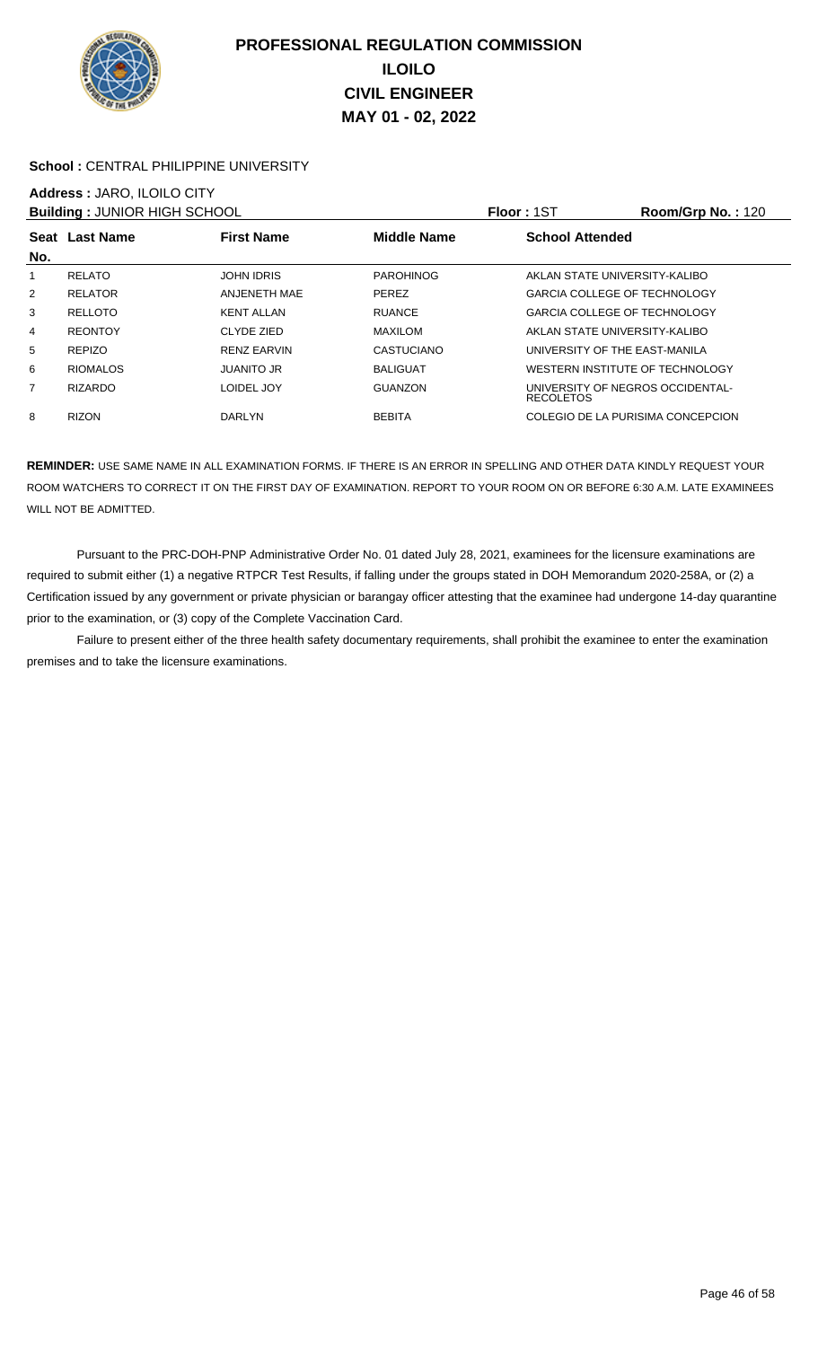

### School : CENTRAL PHILIPPINE UNIVERSITY

# **Address :** JARO, ILOILO CITY

| <b>Building: JUNIOR HIGH SCHOOL</b> |                 |                    |                    | <b>Floor: 1ST</b>                                    | <b>Room/Grp No.: 120</b> |
|-------------------------------------|-----------------|--------------------|--------------------|------------------------------------------------------|--------------------------|
| No.                                 | Seat Last Name  | <b>First Name</b>  | <b>Middle Name</b> | <b>School Attended</b>                               |                          |
|                                     | <b>RELATO</b>   | <b>JOHN IDRIS</b>  | <b>PAROHINOG</b>   | AKLAN STATE UNIVERSITY-KALIBO                        |                          |
| $\overline{2}$                      | <b>RELATOR</b>  | ANJENETH MAE       | <b>PEREZ</b>       | <b>GARCIA COLLEGE OF TECHNOLOGY</b>                  |                          |
| 3                                   | <b>RELLOTO</b>  | <b>KENT ALLAN</b>  | <b>RUANCE</b>      | <b>GARCIA COLLEGE OF TECHNOLOGY</b>                  |                          |
| 4                                   | <b>REONTOY</b>  | CLYDE ZIED         | <b>MAXILOM</b>     | AKLAN STATE UNIVERSITY-KALIBO                        |                          |
| 5                                   | <b>REPIZO</b>   | <b>RENZ EARVIN</b> | <b>CASTUCIANO</b>  | UNIVERSITY OF THE EAST-MANILA                        |                          |
| 6                                   | <b>RIOMALOS</b> | <b>JUANITO JR</b>  | <b>BALIGUAT</b>    | WESTERN INSTITUTE OF TECHNOLOGY                      |                          |
| 7                                   | <b>RIZARDO</b>  | LOIDEL JOY         | <b>GUANZON</b>     | UNIVERSITY OF NEGROS OCCIDENTAL-<br><b>RECOLETOS</b> |                          |
| 8                                   | <b>RIZON</b>    | <b>DARLYN</b>      | <b>BEBITA</b>      | COLEGIO DE LA PURISIMA CONCEPCION                    |                          |

**REMINDER:** USE SAME NAME IN ALL EXAMINATION FORMS. IF THERE IS AN ERROR IN SPELLING AND OTHER DATA KINDLY REQUEST YOUR ROOM WATCHERS TO CORRECT IT ON THE FIRST DAY OF EXAMINATION. REPORT TO YOUR ROOM ON OR BEFORE 6:30 A.M. LATE EXAMINEES WILL NOT BE ADMITTED.

 Pursuant to the PRC-DOH-PNP Administrative Order No. 01 dated July 28, 2021, examinees for the licensure examinations are required to submit either (1) a negative RTPCR Test Results, if falling under the groups stated in DOH Memorandum 2020-258A, or (2) a Certification issued by any government or private physician or barangay officer attesting that the examinee had undergone 14-day quarantine prior to the examination, or (3) copy of the Complete Vaccination Card.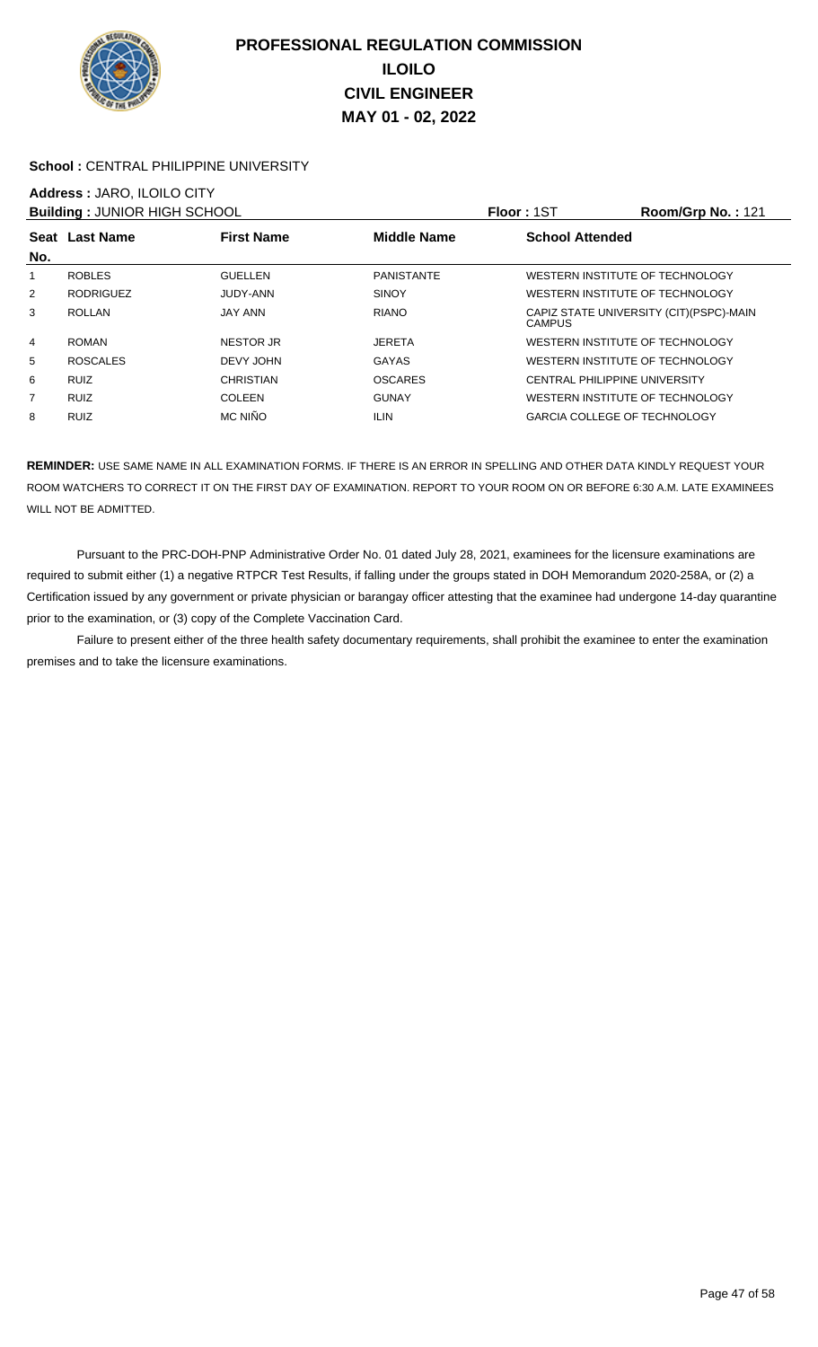

### School : CENTRAL PHILIPPINE UNIVERSITY

# **Address :** JARO, ILOILO CITY

| <b>Building: JUNIOR HIGH SCHOOL</b> |                  |                   |                    | <b>Floor: 1ST</b>                    | Room/Grp No.: 121                        |
|-------------------------------------|------------------|-------------------|--------------------|--------------------------------------|------------------------------------------|
| No.                                 | Seat Last Name   | <b>First Name</b> | <b>Middle Name</b> | <b>School Attended</b>               |                                          |
| 1                                   | <b>ROBLES</b>    | <b>GUELLEN</b>    | <b>PANISTANTE</b>  | WESTERN INSTITUTE OF TECHNOLOGY      |                                          |
| 2                                   | <b>RODRIGUEZ</b> | JUDY-ANN          | <b>SINOY</b>       | WESTERN INSTITUTE OF TECHNOLOGY      |                                          |
| 3                                   | <b>ROLLAN</b>    | <b>JAY ANN</b>    | <b>RIANO</b>       | <b>CAMPUS</b>                        | CAPIZ STATE UNIVERSITY (CIT) (PSPC)-MAIN |
| 4                                   | <b>ROMAN</b>     | <b>NESTOR JR</b>  | <b>JERETA</b>      | WESTERN INSTITUTE OF TECHNOLOGY      |                                          |
| 5                                   | <b>ROSCALES</b>  | DEVY JOHN         | <b>GAYAS</b>       | WESTERN INSTITUTE OF TECHNOLOGY      |                                          |
| 6                                   | <b>RUIZ</b>      | CHRISTIAN         | <b>OSCARES</b>     | <b>CENTRAL PHILIPPINE UNIVERSITY</b> |                                          |
| 7                                   | <b>RUIZ</b>      | <b>COLEEN</b>     | <b>GUNAY</b>       | WESTERN INSTITUTE OF TECHNOLOGY      |                                          |
| 8                                   | <b>RUIZ</b>      | MC NIÑO           | <b>ILIN</b>        | <b>GARCIA COLLEGE OF TECHNOLOGY</b>  |                                          |

**REMINDER:** USE SAME NAME IN ALL EXAMINATION FORMS. IF THERE IS AN ERROR IN SPELLING AND OTHER DATA KINDLY REQUEST YOUR ROOM WATCHERS TO CORRECT IT ON THE FIRST DAY OF EXAMINATION. REPORT TO YOUR ROOM ON OR BEFORE 6:30 A.M. LATE EXAMINEES WILL NOT BE ADMITTED.

 Pursuant to the PRC-DOH-PNP Administrative Order No. 01 dated July 28, 2021, examinees for the licensure examinations are required to submit either (1) a negative RTPCR Test Results, if falling under the groups stated in DOH Memorandum 2020-258A, or (2) a Certification issued by any government or private physician or barangay officer attesting that the examinee had undergone 14-day quarantine prior to the examination, or (3) copy of the Complete Vaccination Card.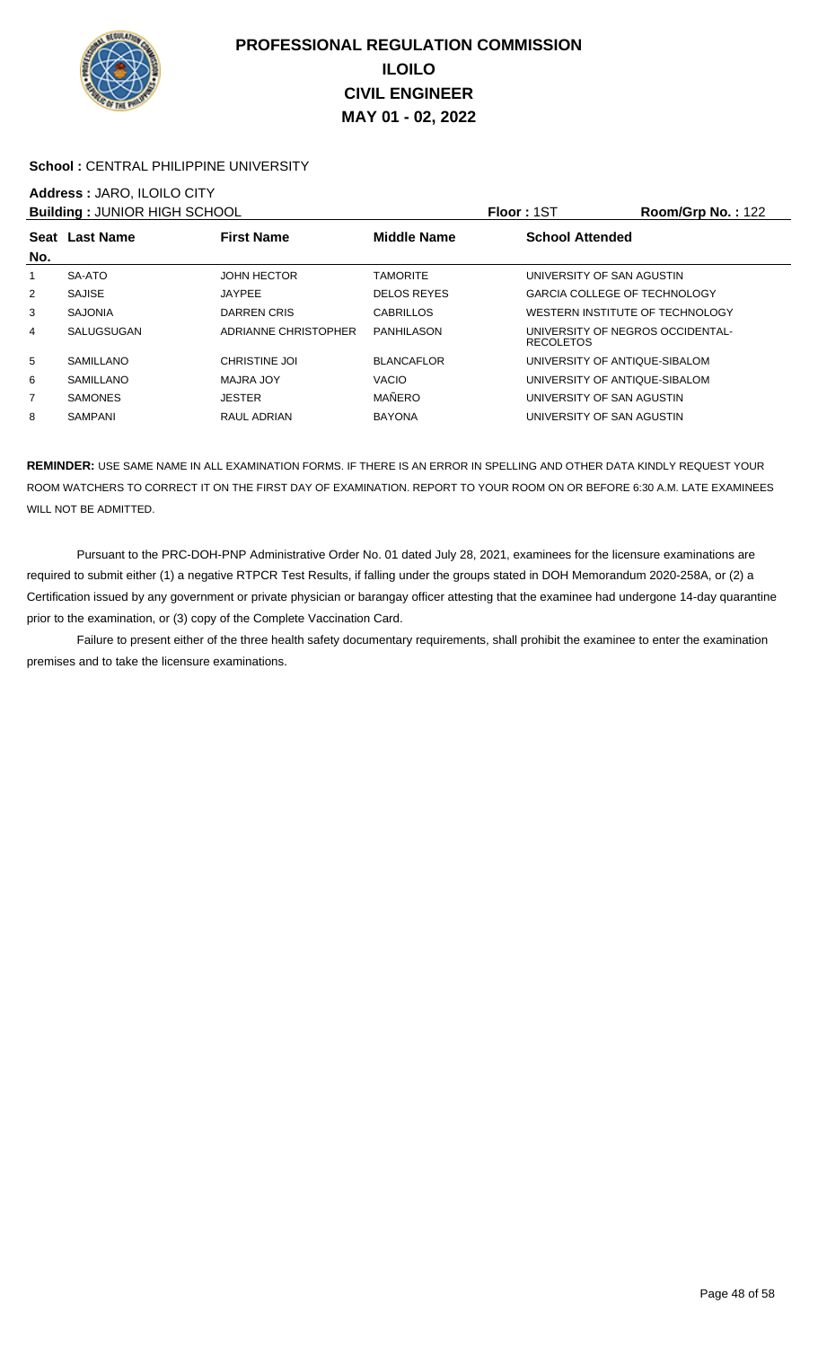

### School : CENTRAL PHILIPPINE UNIVERSITY

### **Address :** JARO, ILOILO CITY

| <b>Building: JUNIOR HIGH SCHOOL</b> |                  |                      |                    | <b>Floor: 1ST</b>                                    | Room/Grp No.: 122 |
|-------------------------------------|------------------|----------------------|--------------------|------------------------------------------------------|-------------------|
| No.                                 | Seat Last Name   | <b>First Name</b>    | <b>Middle Name</b> | <b>School Attended</b>                               |                   |
| 1                                   | SA-ATO           | <b>JOHN HECTOR</b>   | <b>TAMORITE</b>    | UNIVERSITY OF SAN AGUSTIN                            |                   |
| $\overline{2}$                      | <b>SAJISE</b>    | <b>JAYPEE</b>        | <b>DELOS REYES</b> | <b>GARCIA COLLEGE OF TECHNOLOGY</b>                  |                   |
| 3                                   | <b>SAJONIA</b>   | DARREN CRIS          | <b>CABRILLOS</b>   | WESTERN INSTITUTE OF TECHNOLOGY                      |                   |
| 4                                   | SALUGSUGAN       | ADRIANNE CHRISTOPHER | PANHILASON         | UNIVERSITY OF NEGROS OCCIDENTAL-<br><b>RECOLETOS</b> |                   |
| 5                                   | SAMILLANO        | <b>CHRISTINE JOI</b> | <b>BLANCAFLOR</b>  | UNIVERSITY OF ANTIQUE-SIBALOM                        |                   |
| 6                                   | <b>SAMILLANO</b> | MAJRA JOY            | <b>VACIO</b>       | UNIVERSITY OF ANTIQUE-SIBALOM                        |                   |
| $\overline{7}$                      | <b>SAMONES</b>   | <b>JESTER</b>        | MAÑERO             | UNIVERSITY OF SAN AGUSTIN                            |                   |
| 8                                   | <b>SAMPANI</b>   | RAUL ADRIAN          | <b>BAYONA</b>      | UNIVERSITY OF SAN AGUSTIN                            |                   |

**REMINDER:** USE SAME NAME IN ALL EXAMINATION FORMS. IF THERE IS AN ERROR IN SPELLING AND OTHER DATA KINDLY REQUEST YOUR ROOM WATCHERS TO CORRECT IT ON THE FIRST DAY OF EXAMINATION. REPORT TO YOUR ROOM ON OR BEFORE 6:30 A.M. LATE EXAMINEES WILL NOT BE ADMITTED.

 Pursuant to the PRC-DOH-PNP Administrative Order No. 01 dated July 28, 2021, examinees for the licensure examinations are required to submit either (1) a negative RTPCR Test Results, if falling under the groups stated in DOH Memorandum 2020-258A, or (2) a Certification issued by any government or private physician or barangay officer attesting that the examinee had undergone 14-day quarantine prior to the examination, or (3) copy of the Complete Vaccination Card.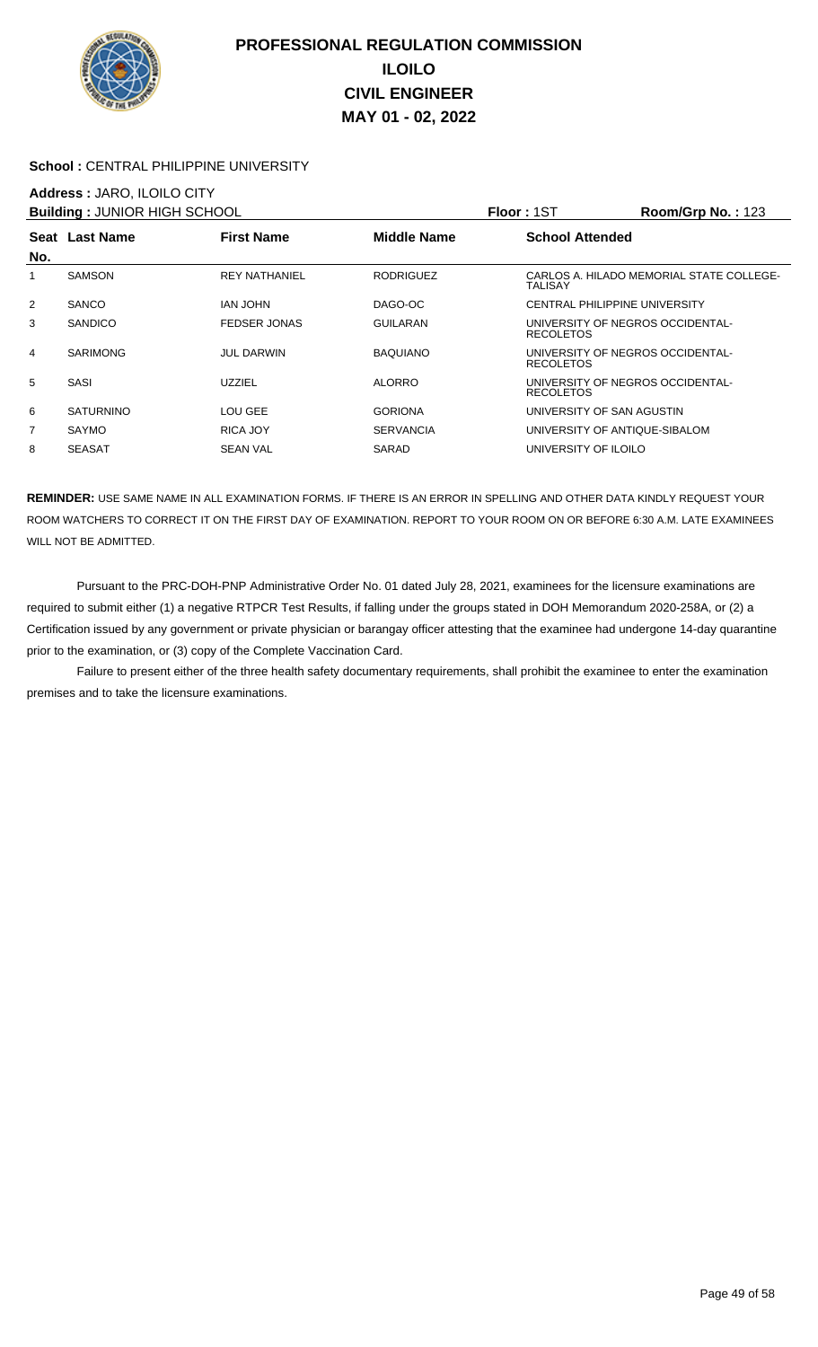

### School : CENTRAL PHILIPPINE UNIVERSITY

### **Address :** JARO, ILOILO CITY

|     | <b>Building: JUNIOR HIGH SCHOOL</b> |                      |                  | Floor: 1ST                                           | <b>Room/Grp No.: 123</b>                 |
|-----|-------------------------------------|----------------------|------------------|------------------------------------------------------|------------------------------------------|
| No. | Seat Last Name                      | <b>First Name</b>    | Middle Name      | <b>School Attended</b>                               |                                          |
| 1   | <b>SAMSON</b>                       | <b>REY NATHANIEL</b> | <b>RODRIGUEZ</b> | TALISAY                                              | CARLOS A. HILADO MEMORIAL STATE COLLEGE- |
| 2   | <b>SANCO</b>                        | IAN JOHN             | DAGO-OC          | <b>CENTRAL PHILIPPINE UNIVERSITY</b>                 |                                          |
| 3   | <b>SANDICO</b>                      | <b>FEDSER JONAS</b>  | GUILARAN         | UNIVERSITY OF NEGROS OCCIDENTAL-<br><b>RECOLETOS</b> |                                          |
| 4   | <b>SARIMONG</b>                     | <b>JUL DARWIN</b>    | <b>BAQUIANO</b>  | UNIVERSITY OF NEGROS OCCIDENTAL-<br><b>RECOLETOS</b> |                                          |
| 5   | <b>SASI</b>                         | <b>UZZIEL</b>        | <b>ALORRO</b>    | UNIVERSITY OF NEGROS OCCIDENTAL-<br><b>RECOLETOS</b> |                                          |
| 6   | <b>SATURNINO</b>                    | LOU GEE              | <b>GORIONA</b>   | UNIVERSITY OF SAN AGUSTIN                            |                                          |
| 7   | <b>SAYMO</b>                        | RICA JOY             | <b>SERVANCIA</b> | UNIVERSITY OF ANTIQUE-SIBALOM                        |                                          |
| 8   | <b>SEASAT</b>                       | <b>SEAN VAL</b>      | SARAD            | UNIVERSITY OF ILOILO                                 |                                          |

**REMINDER:** USE SAME NAME IN ALL EXAMINATION FORMS. IF THERE IS AN ERROR IN SPELLING AND OTHER DATA KINDLY REQUEST YOUR ROOM WATCHERS TO CORRECT IT ON THE FIRST DAY OF EXAMINATION. REPORT TO YOUR ROOM ON OR BEFORE 6:30 A.M. LATE EXAMINEES WILL NOT BE ADMITTED.

 Pursuant to the PRC-DOH-PNP Administrative Order No. 01 dated July 28, 2021, examinees for the licensure examinations are required to submit either (1) a negative RTPCR Test Results, if falling under the groups stated in DOH Memorandum 2020-258A, or (2) a Certification issued by any government or private physician or barangay officer attesting that the examinee had undergone 14-day quarantine prior to the examination, or (3) copy of the Complete Vaccination Card.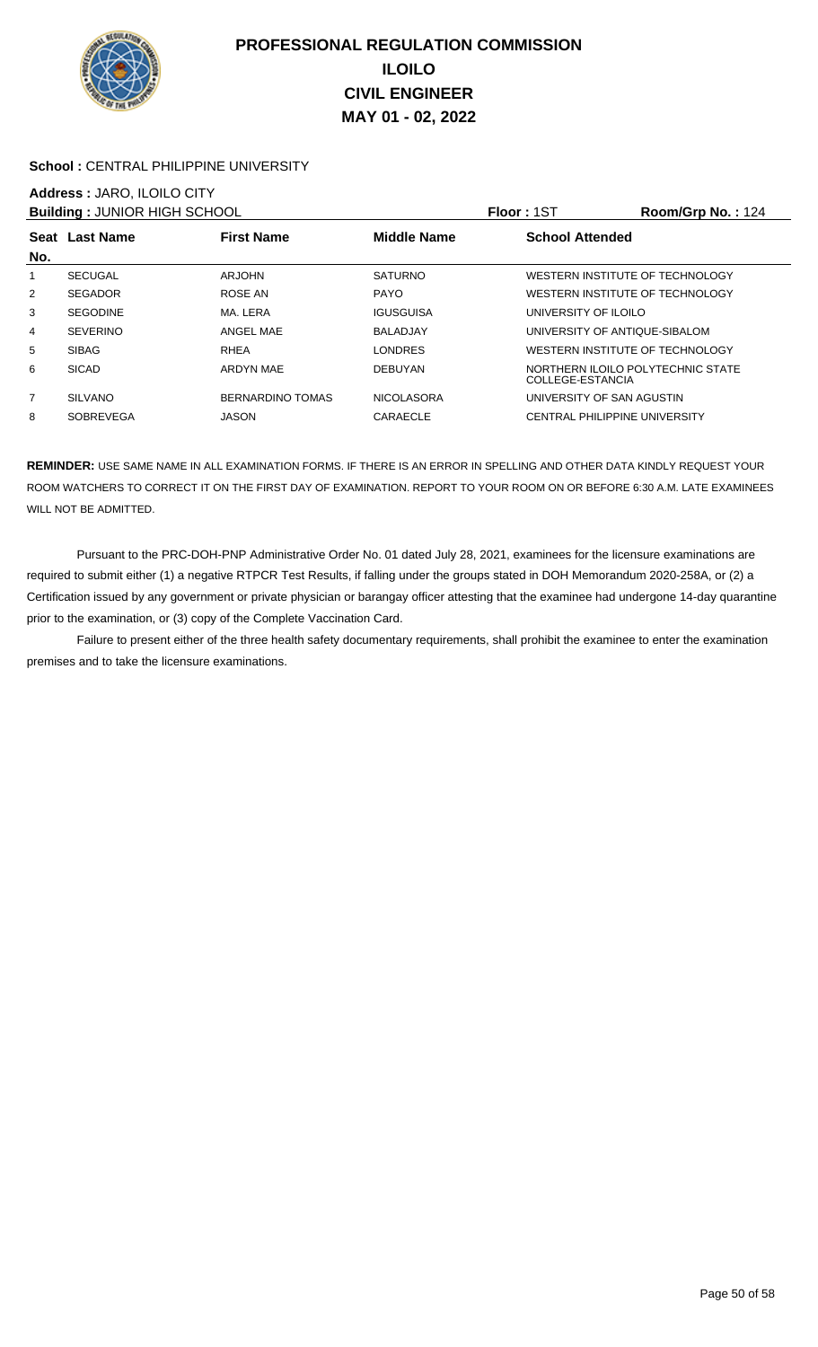

### School : CENTRAL PHILIPPINE UNIVERSITY

# **Address :** JARO, ILOILO CITY

| <b>Building: JUNIOR HIGH SCHOOL</b> |                  |                   |                   | <b>Floor: 1ST</b><br><b>Room/Grp No.: 124</b>         |  |
|-------------------------------------|------------------|-------------------|-------------------|-------------------------------------------------------|--|
| No.                                 | Seat Last Name   | <b>First Name</b> | Middle Name       | <b>School Attended</b>                                |  |
|                                     | <b>SECUGAL</b>   | ARJOHN            | <b>SATURNO</b>    | WESTERN INSTITUTE OF TECHNOLOGY                       |  |
| $\overline{2}$                      | <b>SEGADOR</b>   | ROSE AN           | <b>PAYO</b>       | WESTERN INSTITUTE OF TECHNOLOGY                       |  |
| 3                                   | <b>SEGODINE</b>  | MA. LERA          | <b>IGUSGUISA</b>  | UNIVERSITY OF ILOILO                                  |  |
| 4                                   | <b>SEVERINO</b>  | ANGEL MAE         | <b>BALADJAY</b>   | UNIVERSITY OF ANTIQUE-SIBALOM                         |  |
| 5                                   | <b>SIBAG</b>     | RHEA              | <b>LONDRES</b>    | WESTERN INSTITUTE OF TECHNOLOGY                       |  |
| 6                                   | <b>SICAD</b>     | <b>ARDYN MAE</b>  | <b>DEBUYAN</b>    | NORTHERN ILOILO POLYTECHNIC STATE<br>COLLEGE-ESTANCIA |  |
| $\overline{7}$                      | <b>SILVANO</b>   | BERNARDINO TOMAS  | <b>NICOLASORA</b> | UNIVERSITY OF SAN AGUSTIN                             |  |
| 8                                   | <b>SOBREVEGA</b> | <b>JASON</b>      | CARAECLE          | CENTRAL PHILIPPINE UNIVERSITY                         |  |

**REMINDER:** USE SAME NAME IN ALL EXAMINATION FORMS. IF THERE IS AN ERROR IN SPELLING AND OTHER DATA KINDLY REQUEST YOUR ROOM WATCHERS TO CORRECT IT ON THE FIRST DAY OF EXAMINATION. REPORT TO YOUR ROOM ON OR BEFORE 6:30 A.M. LATE EXAMINEES WILL NOT BE ADMITTED.

 Pursuant to the PRC-DOH-PNP Administrative Order No. 01 dated July 28, 2021, examinees for the licensure examinations are required to submit either (1) a negative RTPCR Test Results, if falling under the groups stated in DOH Memorandum 2020-258A, or (2) a Certification issued by any government or private physician or barangay officer attesting that the examinee had undergone 14-day quarantine prior to the examination, or (3) copy of the Complete Vaccination Card.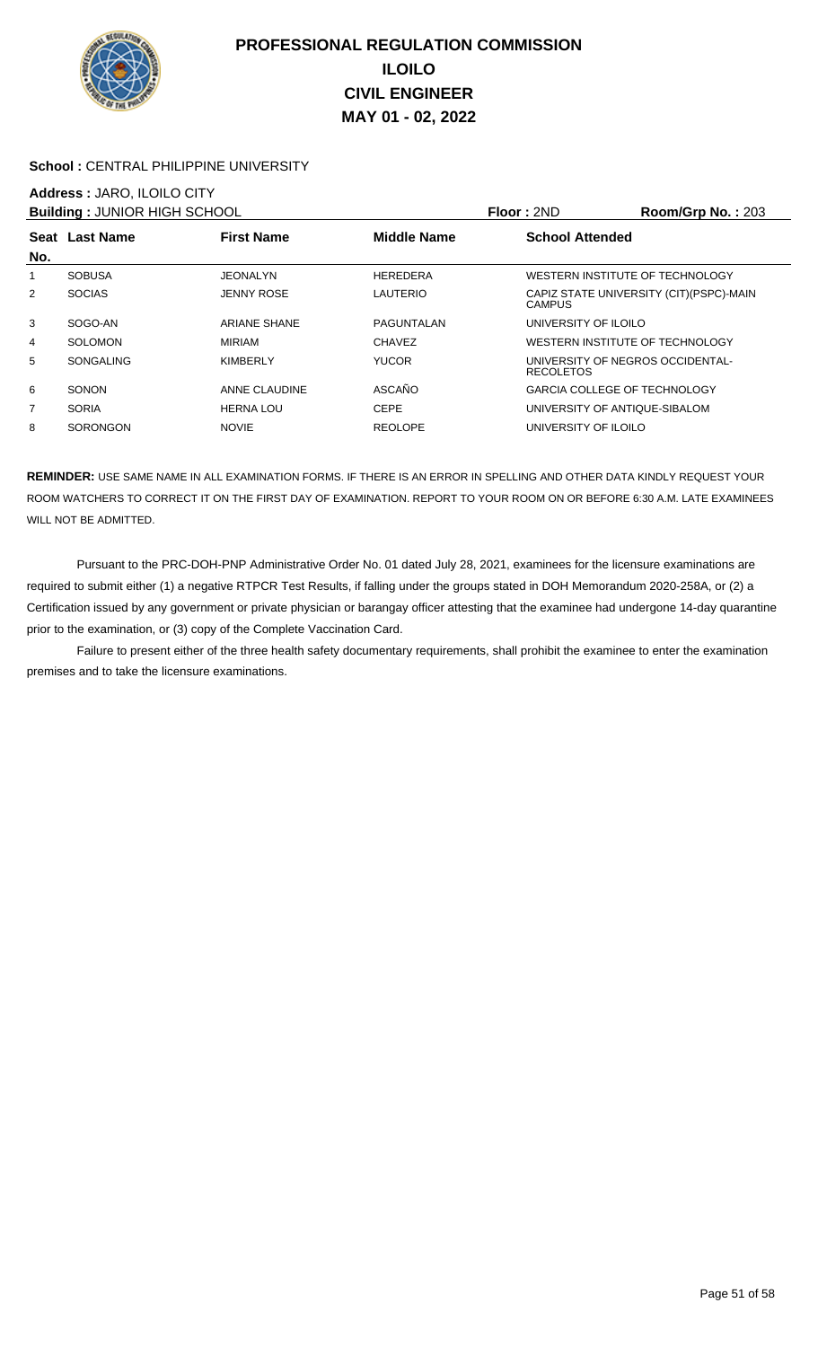

### School : CENTRAL PHILIPPINE UNIVERSITY

### **Address :** JARO, ILOILO CITY

|                | <b>Building: JUNIOR HIGH SCHOOL</b>                       |                     |                 | Floor: 2ND                                           | Room/Grp No.: 203                        |  |
|----------------|-----------------------------------------------------------|---------------------|-----------------|------------------------------------------------------|------------------------------------------|--|
|                | <b>First Name</b><br><b>Middle Name</b><br>Seat Last Name |                     |                 | <b>School Attended</b>                               |                                          |  |
| No.            |                                                           |                     |                 |                                                      |                                          |  |
| 1              | <b>SOBUSA</b>                                             | JEONALYN            | <b>HEREDERA</b> | WESTERN INSTITUTE OF TECHNOLOGY                      |                                          |  |
| 2              | <b>SOCIAS</b>                                             | <b>JENNY ROSE</b>   | LAUTERIO        | CAMPUS                                               | CAPIZ STATE UNIVERSITY (CIT) (PSPC)-MAIN |  |
| 3              | SOGO-AN                                                   | <b>ARIANE SHANE</b> | PAGUNTALAN      | UNIVERSITY OF ILOILO                                 |                                          |  |
| 4              | SOLOMON                                                   | <b>MIRIAM</b>       | <b>CHAVEZ</b>   | WESTERN INSTITUTE OF TECHNOLOGY                      |                                          |  |
| 5              | <b>SONGALING</b>                                          | KIMBERLY            | <b>YUCOR</b>    | UNIVERSITY OF NEGROS OCCIDENTAL-<br><b>RECOLETOS</b> |                                          |  |
| 6              | <b>SONON</b>                                              | ANNE CLAUDINE       | ASCAÑO          | <b>GARCIA COLLEGE OF TECHNOLOGY</b>                  |                                          |  |
| $\overline{7}$ | <b>SORIA</b>                                              | <b>HERNA LOU</b>    | <b>CEPE</b>     | UNIVERSITY OF ANTIQUE-SIBALOM                        |                                          |  |
| 8              | SORONGON                                                  | <b>NOVIE</b>        | <b>REOLOPE</b>  | UNIVERSITY OF ILOILO                                 |                                          |  |

**REMINDER:** USE SAME NAME IN ALL EXAMINATION FORMS. IF THERE IS AN ERROR IN SPELLING AND OTHER DATA KINDLY REQUEST YOUR ROOM WATCHERS TO CORRECT IT ON THE FIRST DAY OF EXAMINATION. REPORT TO YOUR ROOM ON OR BEFORE 6:30 A.M. LATE EXAMINEES WILL NOT BE ADMITTED.

 Pursuant to the PRC-DOH-PNP Administrative Order No. 01 dated July 28, 2021, examinees for the licensure examinations are required to submit either (1) a negative RTPCR Test Results, if falling under the groups stated in DOH Memorandum 2020-258A, or (2) a Certification issued by any government or private physician or barangay officer attesting that the examinee had undergone 14-day quarantine prior to the examination, or (3) copy of the Complete Vaccination Card.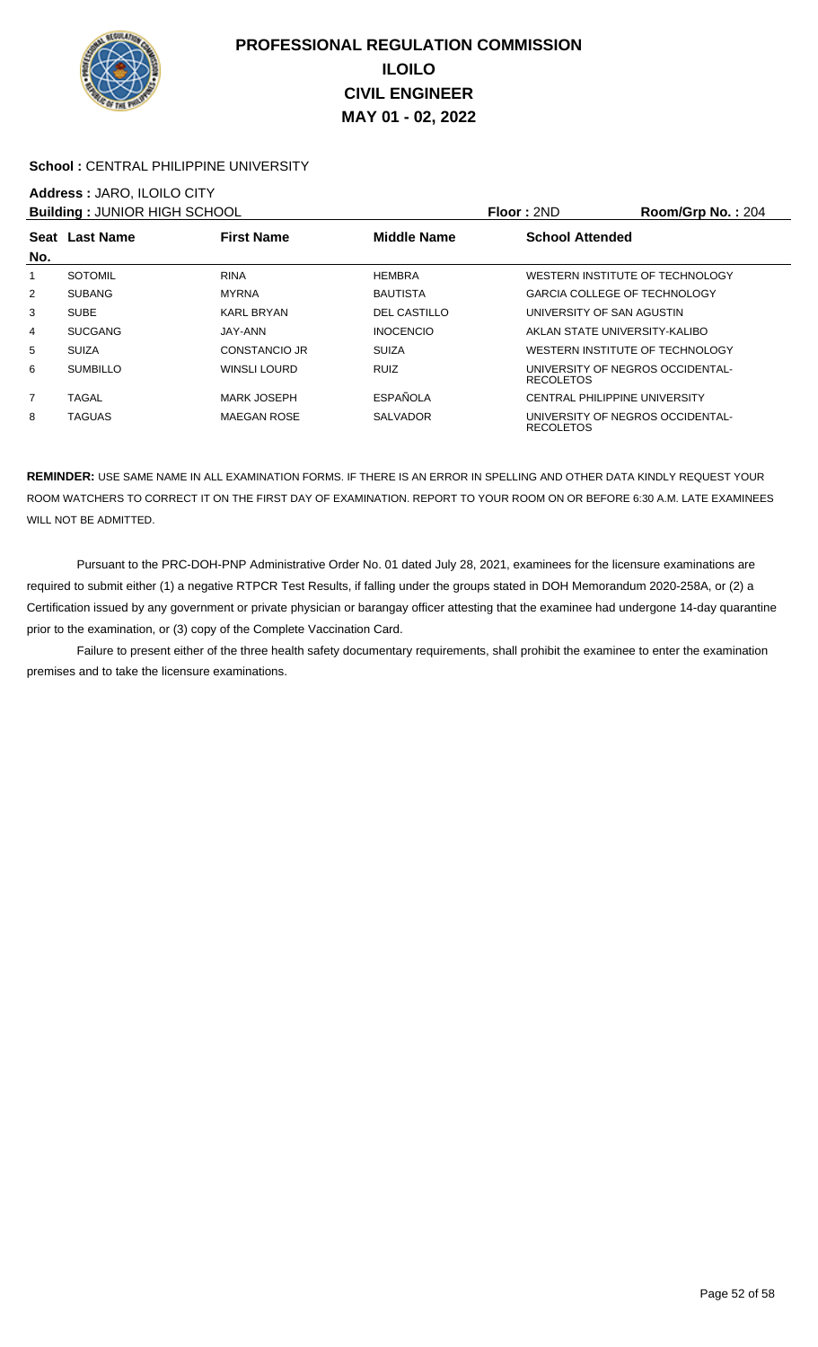

### School : CENTRAL PHILIPPINE UNIVERSITY

# **Address :** JARO, ILOILO CITY

|                | <b>Building: JUNIOR HIGH SCHOOL</b>                |                    |                     | Floor: 2ND             | Room/Grp No.: 204                    |
|----------------|----------------------------------------------------|--------------------|---------------------|------------------------|--------------------------------------|
|                | <b>First Name</b><br>Middle Name<br>Seat Last Name |                    |                     | <b>School Attended</b> |                                      |
| No.            |                                                    |                    |                     |                        |                                      |
|                | <b>SOTOMIL</b>                                     | <b>RINA</b>        | <b>HEMBRA</b>       |                        | WESTERN INSTITUTE OF TECHNOLOGY      |
| $\overline{2}$ | <b>SUBANG</b>                                      | <b>MYRNA</b>       | <b>BAUTISTA</b>     |                        | <b>GARCIA COLLEGE OF TECHNOLOGY</b>  |
| 3              | <b>SUBE</b>                                        | <b>KARL BRYAN</b>  | <b>DEL CASTILLO</b> |                        | UNIVERSITY OF SAN AGUSTIN            |
| 4              | <b>SUCGANG</b>                                     | JAY-ANN            | <b>INOCENCIO</b>    |                        | AKLAN STATE UNIVERSITY-KALIBO        |
| 5              | <b>SUIZA</b>                                       | CONSTANCIO JR      | <b>SUIZA</b>        |                        | WESTERN INSTITUTE OF TECHNOLOGY      |
| 6              | <b>SUMBILLO</b>                                    | WINSLI LOURD       | <b>RUIZ</b>         | <b>RECOLETOS</b>       | UNIVERSITY OF NEGROS OCCIDENTAL-     |
| $\overline{7}$ | TAGAL                                              | <b>MARK JOSEPH</b> | <b>ESPAÑOLA</b>     |                        | <b>CENTRAL PHILIPPINE UNIVERSITY</b> |
| 8              | <b>TAGUAS</b>                                      | <b>MAEGAN ROSE</b> | <b>SALVADOR</b>     | <b>RECOLETOS</b>       | UNIVERSITY OF NEGROS OCCIDENTAL-     |

**REMINDER:** USE SAME NAME IN ALL EXAMINATION FORMS. IF THERE IS AN ERROR IN SPELLING AND OTHER DATA KINDLY REQUEST YOUR ROOM WATCHERS TO CORRECT IT ON THE FIRST DAY OF EXAMINATION. REPORT TO YOUR ROOM ON OR BEFORE 6:30 A.M. LATE EXAMINEES WILL NOT BE ADMITTED.

 Pursuant to the PRC-DOH-PNP Administrative Order No. 01 dated July 28, 2021, examinees for the licensure examinations are required to submit either (1) a negative RTPCR Test Results, if falling under the groups stated in DOH Memorandum 2020-258A, or (2) a Certification issued by any government or private physician or barangay officer attesting that the examinee had undergone 14-day quarantine prior to the examination, or (3) copy of the Complete Vaccination Card.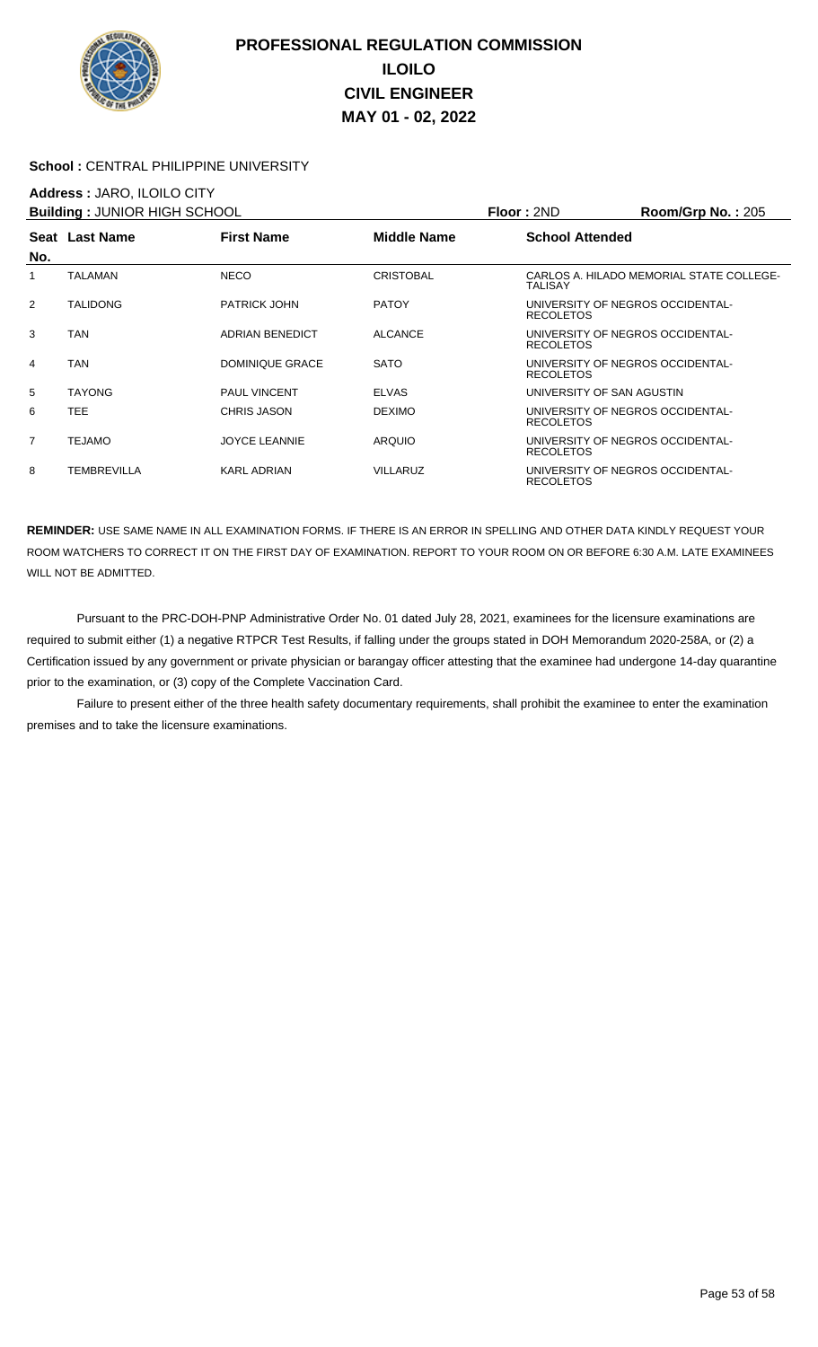

### School : CENTRAL PHILIPPINE UNIVERSITY

### **Address :** JARO, ILOILO CITY

|     | <b>Building: JUNIOR HIGH SCHOOL</b> |                        |                  | Floor: 2ND                | Room/Grp No.: $205$                      |
|-----|-------------------------------------|------------------------|------------------|---------------------------|------------------------------------------|
| No. | Seat Last Name                      | <b>First Name</b>      | Middle Name      | <b>School Attended</b>    |                                          |
| 1   | <b>TALAMAN</b>                      | <b>NECO</b>            | <b>CRISTOBAL</b> | TALISAY                   | CARLOS A. HILADO MEMORIAL STATE COLLEGE- |
| 2   | TALIDONG                            | <b>PATRICK JOHN</b>    | <b>PATOY</b>     | <b>RECOLETOS</b>          | UNIVERSITY OF NEGROS OCCIDENTAL-         |
| 3   | TAN                                 | <b>ADRIAN BENEDICT</b> | <b>ALCANCE</b>   | <b>RECOLETOS</b>          | UNIVERSITY OF NEGROS OCCIDENTAL-         |
| 4   | TAN                                 | DOMINIQUE GRACE        | <b>SATO</b>      | <b>RECOLETOS</b>          | UNIVERSITY OF NEGROS OCCIDENTAL-         |
| 5   | <b>TAYONG</b>                       | <b>PAUL VINCENT</b>    | <b>ELVAS</b>     | UNIVERSITY OF SAN AGUSTIN |                                          |
| 6   | TEE.                                | CHRIS JASON            | <b>DEXIMO</b>    | <b>RECOLETOS</b>          | UNIVERSITY OF NEGROS OCCIDENTAL-         |
| 7   | <b>TEJAMO</b>                       | <b>JOYCE LEANNIE</b>   | <b>ARQUIO</b>    | <b>RECOLETOS</b>          | UNIVERSITY OF NEGROS OCCIDENTAL-         |
| 8   | TEMBREVILLA                         | <b>KARL ADRIAN</b>     | <b>VILLARUZ</b>  | <b>RECOLETOS</b>          | UNIVERSITY OF NEGROS OCCIDENTAL-         |

**REMINDER:** USE SAME NAME IN ALL EXAMINATION FORMS. IF THERE IS AN ERROR IN SPELLING AND OTHER DATA KINDLY REQUEST YOUR ROOM WATCHERS TO CORRECT IT ON THE FIRST DAY OF EXAMINATION. REPORT TO YOUR ROOM ON OR BEFORE 6:30 A.M. LATE EXAMINEES WILL NOT BE ADMITTED.

 Pursuant to the PRC-DOH-PNP Administrative Order No. 01 dated July 28, 2021, examinees for the licensure examinations are required to submit either (1) a negative RTPCR Test Results, if falling under the groups stated in DOH Memorandum 2020-258A, or (2) a Certification issued by any government or private physician or barangay officer attesting that the examinee had undergone 14-day quarantine prior to the examination, or (3) copy of the Complete Vaccination Card.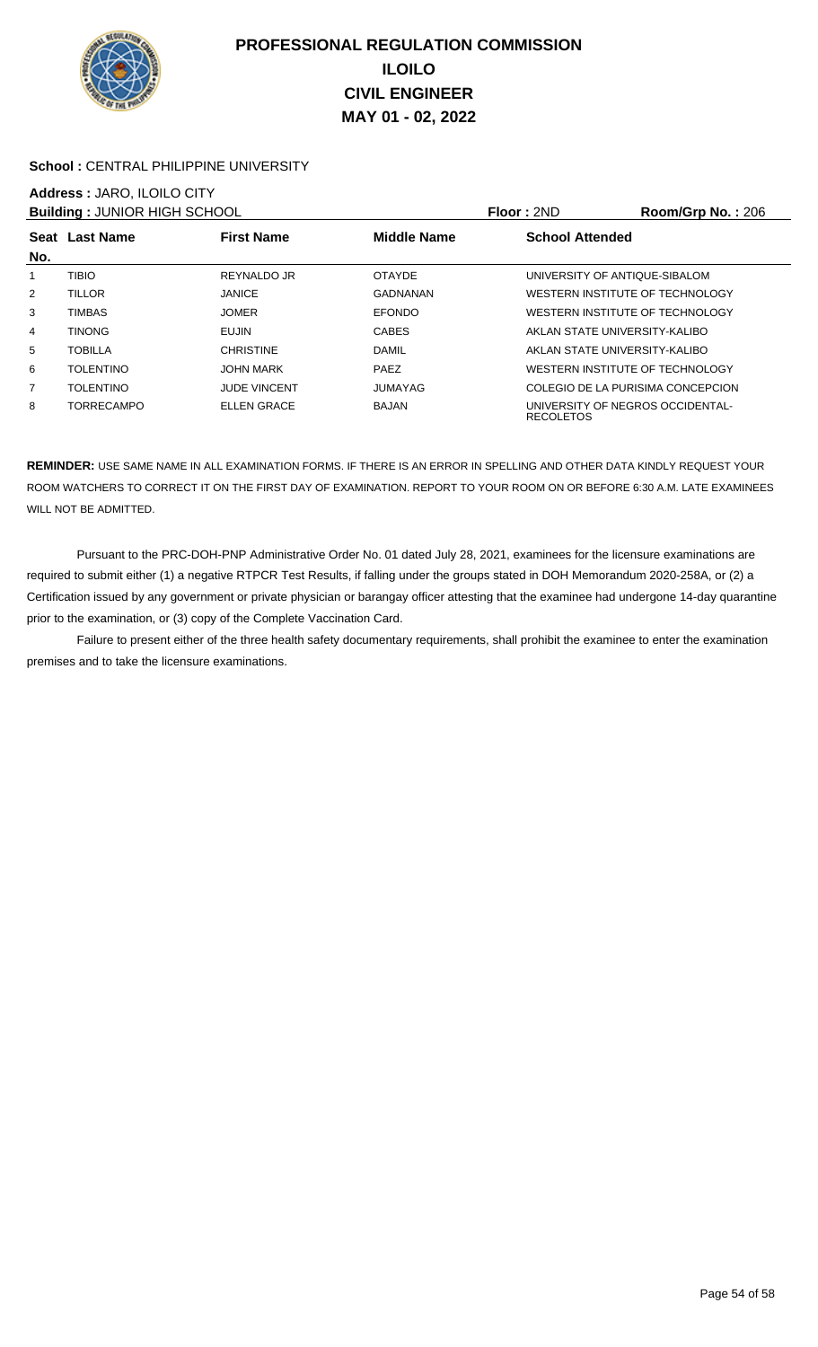

### School : CENTRAL PHILIPPINE UNIVERSITY

# **Address :** JARO, ILOILO CITY

|                | <b>Building: JUNIOR HIGH SCHOOL</b>                |                     |                | Floor: 2ND                                           | <b>Room/Grp No.: 206</b>          |
|----------------|----------------------------------------------------|---------------------|----------------|------------------------------------------------------|-----------------------------------|
|                | Middle Name<br>Seat Last Name<br><b>First Name</b> |                     |                | <b>School Attended</b>                               |                                   |
| No.            |                                                    |                     |                |                                                      |                                   |
| 1              | <b>TIBIO</b>                                       | REYNALDO JR         | <b>OTAYDE</b>  | UNIVERSITY OF ANTIQUE-SIBALOM                        |                                   |
| $\overline{2}$ | <b>TILLOR</b>                                      | <b>JANICE</b>       | GADNANAN       | WESTERN INSTITUTE OF TECHNOLOGY                      |                                   |
| 3              | <b>TIMBAS</b>                                      | <b>JOMER</b>        | <b>EFONDO</b>  | WESTERN INSTITUTE OF TECHNOLOGY                      |                                   |
| 4              | <b>TINONG</b>                                      | EUJIN               | <b>CABES</b>   | AKLAN STATE UNIVERSITY-KALIBO                        |                                   |
| 5              | <b>TOBILLA</b>                                     | <b>CHRISTINE</b>    | <b>DAMIL</b>   | AKLAN STATE UNIVERSITY-KALIBO                        |                                   |
| 6              | <b>TOLENTINO</b>                                   | <b>JOHN MARK</b>    | PAEZ           | WESTERN INSTITUTE OF TECHNOLOGY                      |                                   |
| $\overline{7}$ | <b>TOLENTINO</b>                                   | <b>JUDE VINCENT</b> | <b>JUMAYAG</b> |                                                      | COLEGIO DE LA PURISIMA CONCEPCION |
| 8              | TORRECAMPO                                         | <b>ELLEN GRACE</b>  | BAJAN          | UNIVERSITY OF NEGROS OCCIDENTAL-<br><b>RECOLETOS</b> |                                   |

**REMINDER:** USE SAME NAME IN ALL EXAMINATION FORMS. IF THERE IS AN ERROR IN SPELLING AND OTHER DATA KINDLY REQUEST YOUR ROOM WATCHERS TO CORRECT IT ON THE FIRST DAY OF EXAMINATION. REPORT TO YOUR ROOM ON OR BEFORE 6:30 A.M. LATE EXAMINEES WILL NOT BE ADMITTED.

 Pursuant to the PRC-DOH-PNP Administrative Order No. 01 dated July 28, 2021, examinees for the licensure examinations are required to submit either (1) a negative RTPCR Test Results, if falling under the groups stated in DOH Memorandum 2020-258A, or (2) a Certification issued by any government or private physician or barangay officer attesting that the examinee had undergone 14-day quarantine prior to the examination, or (3) copy of the Complete Vaccination Card.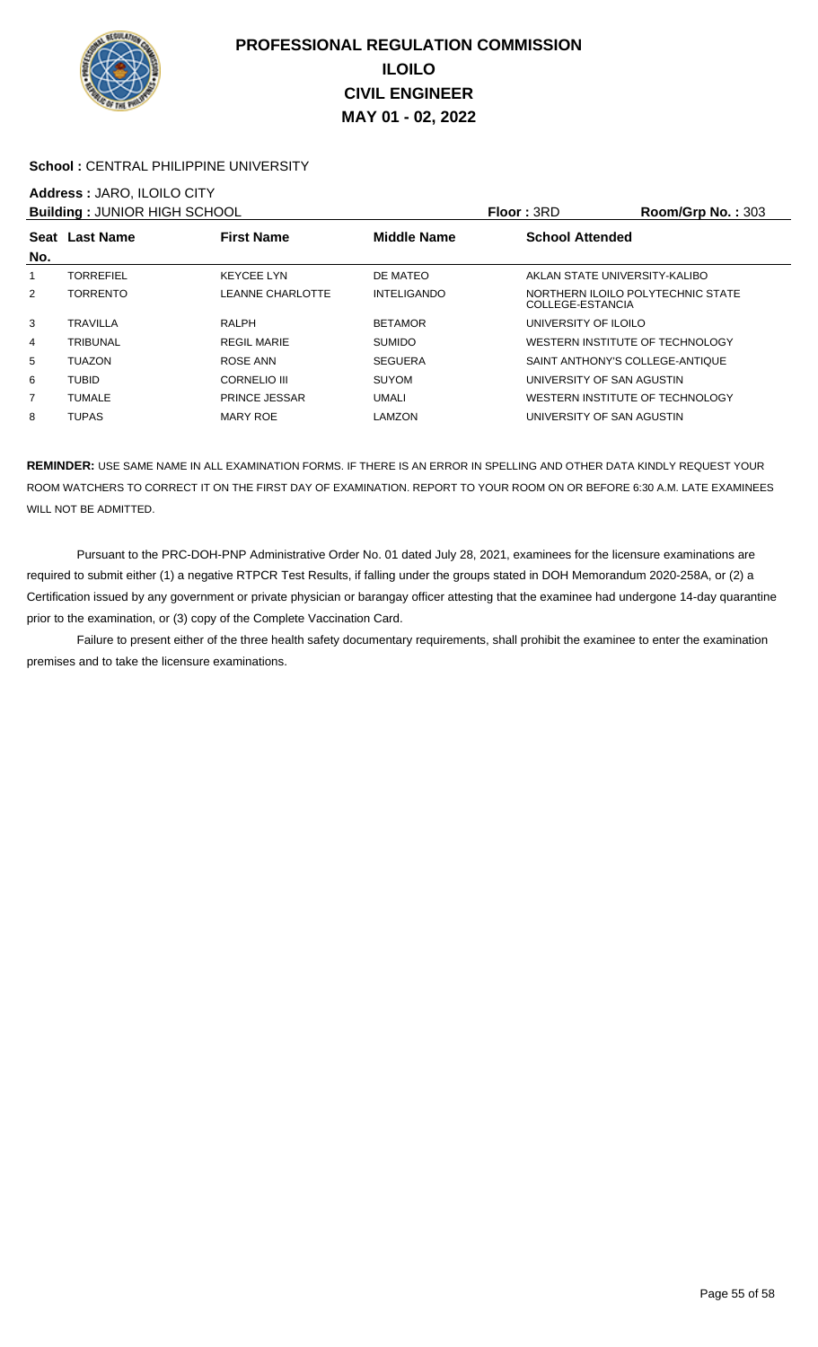

### School : CENTRAL PHILIPPINE UNIVERSITY

### **Address :** JARO, ILOILO CITY

|                | <b>Building: JUNIOR HIGH SCHOOL</b> |                         |                    | <b>Floor: 3RD</b>                                     | Room/Grp No.: 303 |
|----------------|-------------------------------------|-------------------------|--------------------|-------------------------------------------------------|-------------------|
| No.            | Seat Last Name                      | <b>First Name</b>       | <b>Middle Name</b> | <b>School Attended</b>                                |                   |
|                | <b>TORREFIEL</b>                    | <b>KEYCEE LYN</b>       | DE MATEO           | AKLAN STATE UNIVERSITY-KALIBO                         |                   |
| $\overline{2}$ | <b>TORRENTO</b>                     | <b>LEANNE CHARLOTTE</b> | <b>INTELIGANDO</b> | NORTHERN ILOILO POLYTECHNIC STATE<br>COLLEGE-ESTANCIA |                   |
| 3              | <b>TRAVILLA</b>                     | <b>RALPH</b>            | <b>BETAMOR</b>     | UNIVERSITY OF ILOILO                                  |                   |
| 4              | TRIBUNAL                            | <b>REGIL MARIE</b>      | <b>SUMIDO</b>      | WESTERN INSTITUTE OF TECHNOLOGY                       |                   |
| 5              | <b>TUAZON</b>                       | ROSE ANN                | <b>SEGUERA</b>     | SAINT ANTHONY'S COLLEGE-ANTIQUE                       |                   |
| 6              | <b>TUBID</b>                        | <b>CORNELIO III</b>     | <b>SUYOM</b>       | UNIVERSITY OF SAN AGUSTIN                             |                   |
| 7              | TUMALE                              | <b>PRINCE JESSAR</b>    | <b>UMALI</b>       | WESTERN INSTITUTE OF TECHNOLOGY                       |                   |
| 8              | <b>TUPAS</b>                        | MARY ROE                | LAMZON             | UNIVERSITY OF SAN AGUSTIN                             |                   |

**REMINDER:** USE SAME NAME IN ALL EXAMINATION FORMS. IF THERE IS AN ERROR IN SPELLING AND OTHER DATA KINDLY REQUEST YOUR ROOM WATCHERS TO CORRECT IT ON THE FIRST DAY OF EXAMINATION. REPORT TO YOUR ROOM ON OR BEFORE 6:30 A.M. LATE EXAMINEES WILL NOT BE ADMITTED.

 Pursuant to the PRC-DOH-PNP Administrative Order No. 01 dated July 28, 2021, examinees for the licensure examinations are required to submit either (1) a negative RTPCR Test Results, if falling under the groups stated in DOH Memorandum 2020-258A, or (2) a Certification issued by any government or private physician or barangay officer attesting that the examinee had undergone 14-day quarantine prior to the examination, or (3) copy of the Complete Vaccination Card.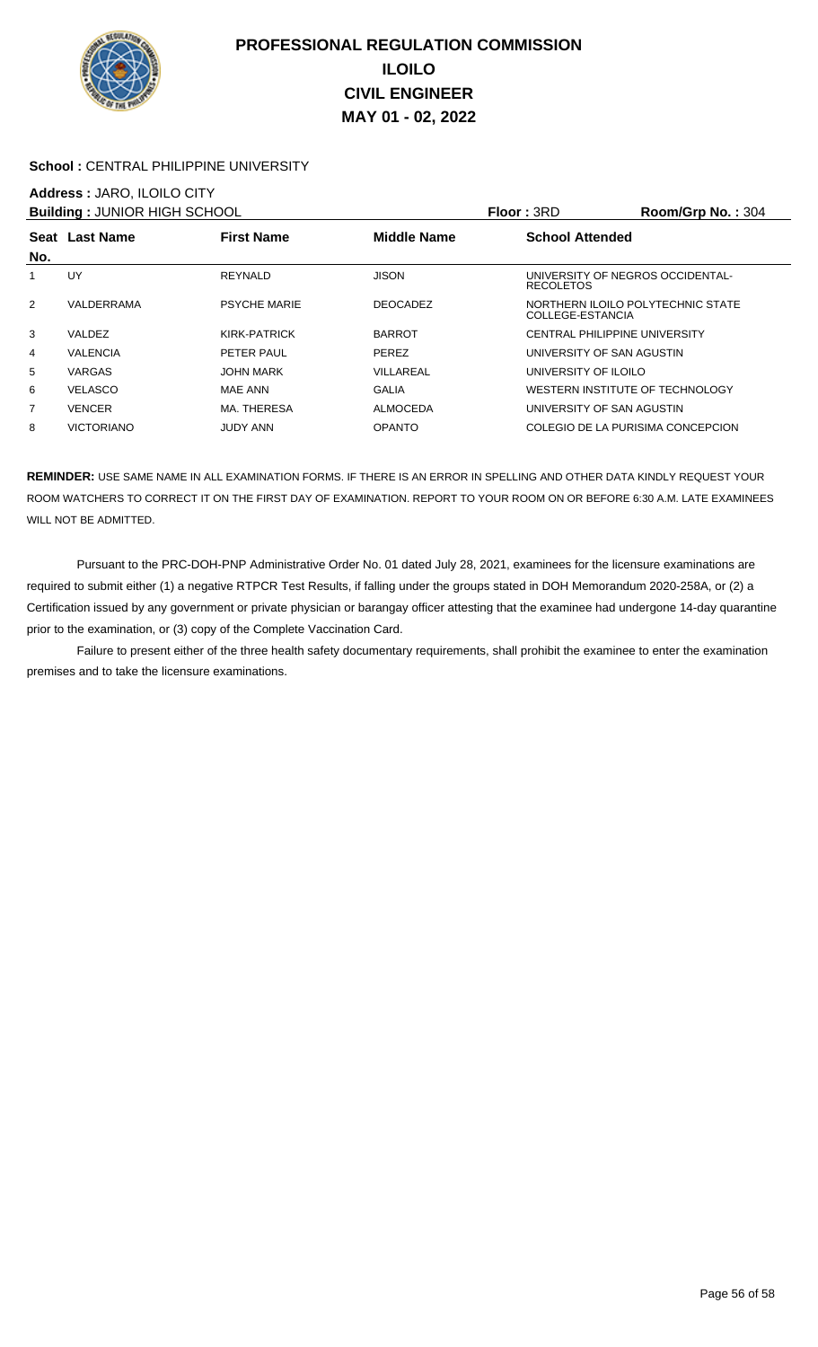

### School : CENTRAL PHILIPPINE UNIVERSITY

### **Address :** JARO, ILOILO CITY

|                | <b>Building: JUNIOR HIGH SCHOOL</b> |                     |                    | Floor: 3RD             | Room/Grp No.: 304                 |
|----------------|-------------------------------------|---------------------|--------------------|------------------------|-----------------------------------|
|                | <b>First Name</b><br>Seat Last Name |                     | <b>Middle Name</b> | <b>School Attended</b> |                                   |
| No.            |                                     |                     |                    |                        |                                   |
|                | UY                                  | REYNALD             | <b>JISON</b>       | <b>RECOLETOS</b>       | UNIVERSITY OF NEGROS OCCIDENTAL-  |
| 2              | VALDERRAMA                          | <b>PSYCHE MARIE</b> | <b>DEOCADEZ</b>    | COLLEGE-ESTANCIA       | NORTHERN ILOILO POLYTECHNIC STATE |
| 3              | VALDEZ                              | KIRK-PATRICK        | <b>BARROT</b>      |                        | CENTRAL PHILIPPINE UNIVERSITY     |
| 4              | <b>VALENCIA</b>                     | PETER PAUL          | <b>PEREZ</b>       |                        | UNIVERSITY OF SAN AGUSTIN         |
| 5              | <b>VARGAS</b>                       | <b>JOHN MARK</b>    | VILLAREAL          | UNIVERSITY OF ILOILO   |                                   |
| 6              | <b>VELASCO</b>                      | MAE ANN             | <b>GALIA</b>       |                        | WESTERN INSTITUTE OF TECHNOLOGY   |
| $\overline{7}$ | <b>VENCER</b>                       | MA. THERESA         | <b>ALMOCEDA</b>    |                        | UNIVERSITY OF SAN AGUSTIN         |
| 8              | <b>VICTORIANO</b>                   | <b>JUDY ANN</b>     | <b>OPANTO</b>      |                        | COLEGIO DE LA PURISIMA CONCEPCION |

**REMINDER:** USE SAME NAME IN ALL EXAMINATION FORMS. IF THERE IS AN ERROR IN SPELLING AND OTHER DATA KINDLY REQUEST YOUR ROOM WATCHERS TO CORRECT IT ON THE FIRST DAY OF EXAMINATION. REPORT TO YOUR ROOM ON OR BEFORE 6:30 A.M. LATE EXAMINEES WILL NOT BE ADMITTED.

 Pursuant to the PRC-DOH-PNP Administrative Order No. 01 dated July 28, 2021, examinees for the licensure examinations are required to submit either (1) a negative RTPCR Test Results, if falling under the groups stated in DOH Memorandum 2020-258A, or (2) a Certification issued by any government or private physician or barangay officer attesting that the examinee had undergone 14-day quarantine prior to the examination, or (3) copy of the Complete Vaccination Card.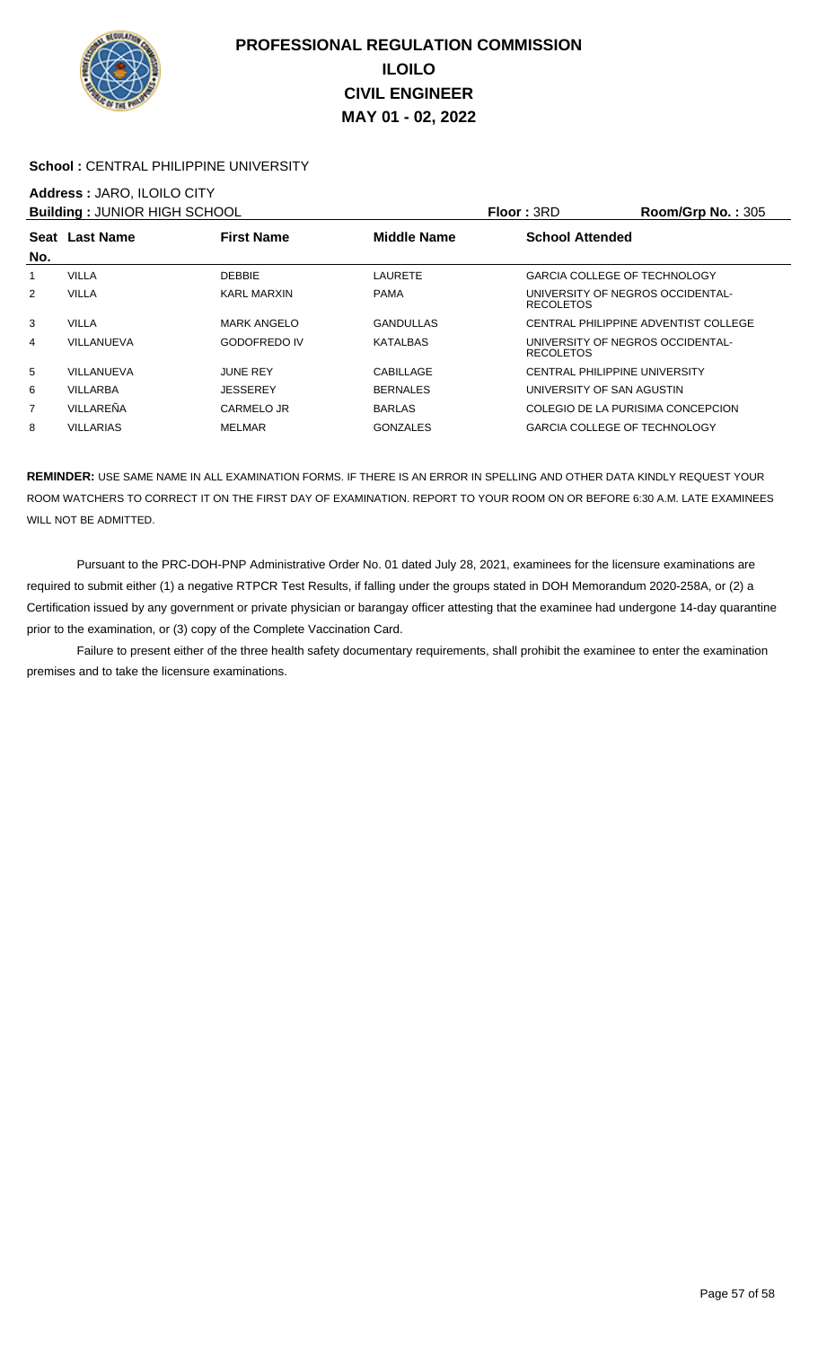

### School : CENTRAL PHILIPPINE UNIVERSITY

## **Address :** JARO, ILOILO CITY

| <b>Building: JUNIOR HIGH SCHOOL</b> |                                     |                     | <b>Floor: 3RD</b>  | Room/Grp No.: $305$                                  |                                      |
|-------------------------------------|-------------------------------------|---------------------|--------------------|------------------------------------------------------|--------------------------------------|
|                                     | <b>First Name</b><br>Seat Last Name |                     | <b>Middle Name</b> | <b>School Attended</b>                               |                                      |
| No.                                 |                                     |                     |                    |                                                      |                                      |
|                                     | <b>VILLA</b>                        | <b>DEBBIE</b>       | LAURETE            | <b>GARCIA COLLEGE OF TECHNOLOGY</b>                  |                                      |
| 2                                   | <b>VILLA</b>                        | <b>KARL MARXIN</b>  | <b>PAMA</b>        | UNIVERSITY OF NEGROS OCCIDENTAL-<br><b>RECOLETOS</b> |                                      |
| 3                                   | VILLA                               | <b>MARK ANGELO</b>  | <b>GANDULLAS</b>   |                                                      | CENTRAL PHILIPPINE ADVENTIST COLLEGE |
| 4                                   | VILLANUEVA                          | <b>GODOFREDO IV</b> | <b>KATALBAS</b>    | UNIVERSITY OF NEGROS OCCIDENTAL-<br><b>RECOLETOS</b> |                                      |
| 5                                   | VILLANUEVA                          | <b>JUNE REY</b>     | CABILLAGE          | <b>CENTRAL PHILIPPINE UNIVERSITY</b>                 |                                      |
| 6                                   | VILLARBA                            | <b>JESSEREY</b>     | <b>BERNALES</b>    | UNIVERSITY OF SAN AGUSTIN                            |                                      |
| $\overline{7}$                      | VILLAREÑA                           | CARMELO JR          | <b>BARLAS</b>      | COLEGIO DE LA PURISIMA CONCEPCION                    |                                      |
| 8                                   | <b>VILLARIAS</b>                    | <b>MELMAR</b>       | <b>GONZALES</b>    | <b>GARCIA COLLEGE OF TECHNOLOGY</b>                  |                                      |

**REMINDER:** USE SAME NAME IN ALL EXAMINATION FORMS. IF THERE IS AN ERROR IN SPELLING AND OTHER DATA KINDLY REQUEST YOUR ROOM WATCHERS TO CORRECT IT ON THE FIRST DAY OF EXAMINATION. REPORT TO YOUR ROOM ON OR BEFORE 6:30 A.M. LATE EXAMINEES WILL NOT BE ADMITTED.

 Pursuant to the PRC-DOH-PNP Administrative Order No. 01 dated July 28, 2021, examinees for the licensure examinations are required to submit either (1) a negative RTPCR Test Results, if falling under the groups stated in DOH Memorandum 2020-258A, or (2) a Certification issued by any government or private physician or barangay officer attesting that the examinee had undergone 14-day quarantine prior to the examination, or (3) copy of the Complete Vaccination Card.